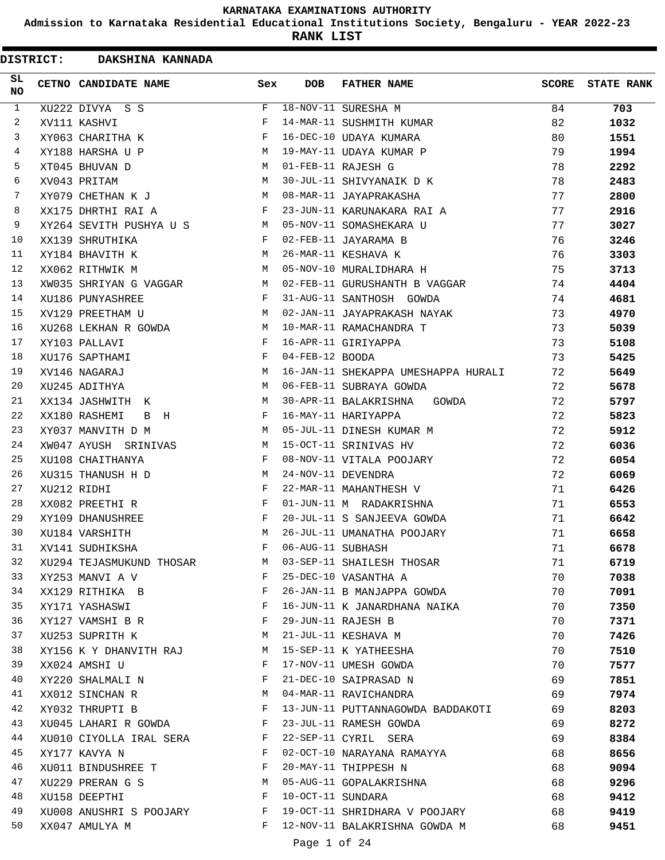**Admission to Karnataka Residential Educational Institutions Society, Bengaluru - YEAR 2022-23**

| <b>DISTRICT:</b> |             | DAKSHINA KANNADA                             |              |                   |                                     |       |                   |
|------------------|-------------|----------------------------------------------|--------------|-------------------|-------------------------------------|-------|-------------------|
| SL<br><b>NO</b>  |             | CETNO CANDIDATE NAME                         | Sex          | <b>DOB</b>        | <b>FATHER NAME</b>                  | SCORE | <b>STATE RANK</b> |
| $\mathbf{1}$     |             | XU222 DIVYA S S                              | F            |                   | 18-NOV-11 SURESHA M                 | 84    | 703               |
| 2                |             | XV111 KASHVI                                 | F            |                   | 14-MAR-11 SUSHMITH KUMAR            | 82    | 1032              |
| 3                |             | XY063 CHARITHA K                             | F            |                   | 16-DEC-10 UDAYA KUMARA              | 80    | 1551              |
| 4                |             | XY188 HARSHA U P                             | М            |                   | 19-MAY-11 UDAYA KUMAR P             | 79    | 1994              |
| 5                |             | XT045 BHUVAN D                               | M            |                   | 01-FEB-11 RAJESH G                  | 78    | 2292              |
| 6                |             | XV043 PRITAM                                 | M            |                   | 30-JUL-11 SHIVYANAIK D K            | 78    | 2483              |
| 7                |             | XY079 CHETHAN K J                            | M            |                   | 08-MAR-11 JAYAPRAKASHA              | 77    | 2800              |
| 8                |             | XX175 DHRTHI RAI A                           | F            |                   | 23-JUN-11 KARUNAKARA RAI A          | 77    | 2916              |
| 9                |             | XY264 SEVITH PUSHYA U S<br><b>Example 18</b> |              |                   | 05-NOV-11 SOMASHEKARA U             | 77    | 3027              |
| 10               |             | XX139 SHRUTHIKA                              | F            |                   | 02-FEB-11 JAYARAMA B                | 76    | 3246              |
| 11               |             | XY184 BHAVITH K                              | М            |                   | 26-MAR-11 KESHAVA K                 | 76    | 3303              |
| 12               |             | XX062 RITHWIK M                              | M            |                   | 05-NOV-10 MURALIDHARA H             | 75    | 3713              |
| 13               |             | XW035 SHRIYAN G VAGGAR                       | M            |                   | 02-FEB-11 GURUSHANTH B VAGGAR       | 74    | 4404              |
| 14               |             | XU186 PUNYASHREE                             | F            |                   | 31-AUG-11 SANTHOSH GOWDA            | 74    | 4681              |
| 15               |             | XV129 PREETHAM U                             | M            |                   | 02-JAN-11 JAYAPRAKASH NAYAK         | 73    | 4970              |
| 16               |             | XU268 LEKHAN R GOWDA                         | M            |                   | 10-MAR-11 RAMACHANDRA T             | 73    | 5039              |
| 17               |             | XY103 PALLAVI                                | F            |                   | 16-APR-11 GIRIYAPPA                 | 73    | 5108              |
| 18               |             | XU176 SAPTHAMI                               | F            | 04-FEB-12 BOODA   |                                     | 73    | 5425              |
| 19               |             | XV146 NAGARAJ                                | М            |                   | 16-JAN-11 SHEKAPPA UMESHAPPA HURALI | 72    | 5649              |
| 20               |             | XU245 ADITHYA                                | M            |                   | 06-FEB-11 SUBRAYA GOWDA             | 72    | 5678              |
| 21               |             | XX134 JASHWITH K                             | M            |                   | 30-APR-11 BALAKRISHNA<br>GOWDA      | 72    | 5797              |
| 22               |             | XX180 RASHEMI<br>B H                         | F            |                   | 16-MAY-11 HARIYAPPA                 | 72    | 5823              |
| 23               |             | XY037 MANVITH D M                            | M            |                   | 05-JUL-11 DINESH KUMAR M            | 72    | 5912              |
| 24               |             | XW047 AYUSH SRINIVAS                         | M            |                   | 15-OCT-11 SRINIVAS HV               | 72    | 6036              |
| 25               |             | XU108 CHAITHANYA                             | F            |                   | 08-NOV-11 VITALA POOJARY            | 72    | 6054              |
| 26               |             | XU315 THANUSH H D                            | M            |                   | 24-NOV-11 DEVENDRA                  | 72    | 6069              |
| 27               | XU212 RIDHI |                                              | F            |                   | 22-MAR-11 MAHANTHESH V              | 71    | 6426              |
| 28               |             | XX082 PREETHI R                              | F            |                   | 01-JUN-11 M RADAKRISHNA             | 71    | 6553              |
| 29               |             | XY109 DHANUSHREE                             | F            |                   | 20-JUL-11 S SANJEEVA GOWDA          | 71    | 6642              |
| 30               |             | XU184 VARSHITH                               | M            |                   | 26-JUL-11 UMANATHA POOJARY          | 71    | 6658              |
| 31               |             | XV141 SUDHIKSHA                              | F            | 06-AUG-11 SUBHASH |                                     | 71    | 6678              |
| 32               |             | XU294 TEJASMUKUND THOSAR                     | M            |                   | 03-SEP-11 SHAILESH THOSAR           | 71    | 6719              |
| 33               |             | XY253 MANVI A V                              | F            |                   | 25-DEC-10 VASANTHA A                | 70    | 7038              |
| 34               |             | XX129 RITHIKA B                              | F            |                   | 26-JAN-11 B MANJAPPA GOWDA          | 70    | 7091              |
| 35               |             | XY171 YASHASWI                               | F            |                   | 16-JUN-11 K JANARDHANA NAIKA        | 70    | 7350              |
| 36               |             | XY127 VAMSHI B R                             | F            |                   | 29-JUN-11 RAJESH B                  | 70    | 7371              |
| 37               |             | XU253 SUPRITH K                              | М            |                   | 21-JUL-11 KESHAVA M                 | 70    | 7426              |
| 38               |             | XY156 K Y DHANVITH RAJ                       | M            |                   | 15-SEP-11 K YATHEESHA               | 70    | 7510              |
| 39               |             | XX024 AMSHI U                                | F            |                   | 17-NOV-11 UMESH GOWDA               | 70    | 7577              |
| 40               |             | XY220 SHALMALI N                             | F            |                   | 21-DEC-10 SAIPRASAD N               | 69    | 7851              |
| 41               |             | XX012 SINCHAN R                              | <b>M</b>     |                   | 04-MAR-11 RAVICHANDRA               | 69    | 7974              |
| 42               |             | XY032 THRUPTI B                              | F            |                   | 13-JUN-11 PUTTANNAGOWDA BADDAKOTI   | 69    | 8203              |
| 43               |             | XU045 LAHARI R GOWDA                         | $\mathbf{F}$ |                   | 23-JUL-11 RAMESH GOWDA              | 69    | 8272              |
| 44               |             | XU010 CIYOLLA IRAL SERA                      | $\mathbf{F}$ |                   | 22-SEP-11 CYRIL SERA                | 69    | 8384              |
| 45               |             | XY177 KAVYA N                                | F            |                   | 02-OCT-10 NARAYANA RAMAYYA          | 68    | 8656              |
| 46               |             | XU011 BINDUSHREE T                           | F            |                   | 20-MAY-11 THIPPESH N                | 68    | 9094              |
| 47               |             | XU229 PRERAN G S                             | М            |                   | 05-AUG-11 GOPALAKRISHNA             | 68    | 9296              |
| 48               |             | XU158 DEEPTHI                                | F            | 10-OCT-11 SUNDARA |                                     | 68    | 9412              |
| 49               |             | XU008 ANUSHRI S POOJARY                      | F            |                   | 19-OCT-11 SHRIDHARA V POOJARY       | 68    | 9419              |
| 50               |             | XX047 AMULYA M                               | F            |                   | 12-NOV-11 BALAKRISHNA GOWDA M       | 68    | 9451              |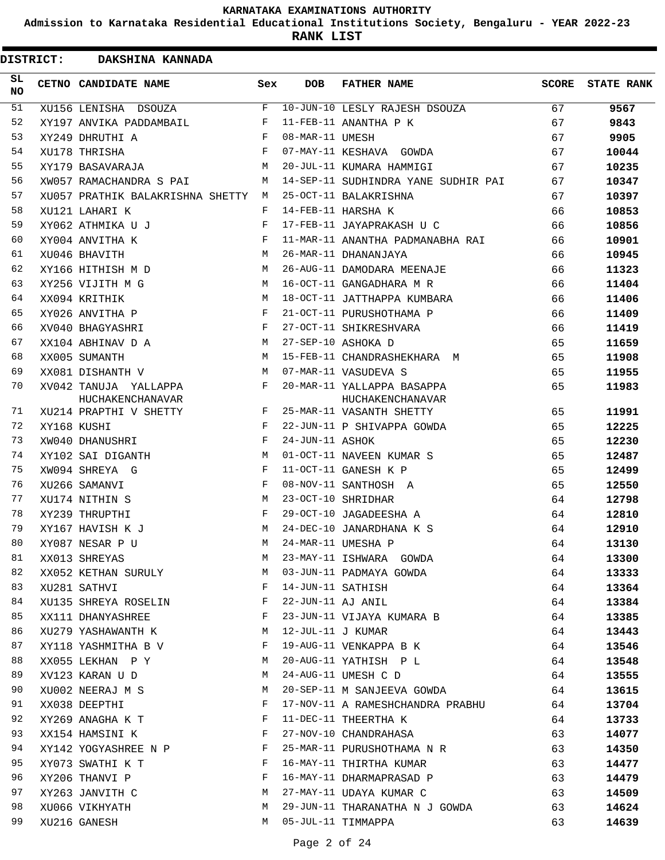**Admission to Karnataka Residential Educational Institutions Society, Bengaluru - YEAR 2022-23**

| <b>DISTRICT:</b> | DAKSHINA KANNADA                          |              |                   |                                                |       |                   |
|------------------|-------------------------------------------|--------------|-------------------|------------------------------------------------|-------|-------------------|
| SL.<br>NO.       | CETNO CANDIDATE NAME                      | Sex          | <b>DOB</b>        | <b>FATHER NAME</b>                             | SCORE | <b>STATE RANK</b> |
| 51               | XU156 LENISHA DSOUZA                      | $\mathbf{F}$ |                   | 10-JUN-10 LESLY RAJESH DSOUZA                  | 67    | 9567              |
| 52               | XY197 ANVIKA PADDAMBAIL                   | F            |                   | 11-FEB-11 ANANTHA P K                          | 67    | 9843              |
| 53               | XY249 DHRUTHI A                           | F            | 08-MAR-11 UMESH   |                                                | 67    | 9905              |
| 54               | XU178 THRISHA                             | F            |                   | 07-MAY-11 KESHAVA GOWDA                        | 67    | 10044             |
| 55               | XY179 BASAVARAJA                          | M            |                   | 20-JUL-11 KUMARA HAMMIGI                       | 67    | 10235             |
| 56               | XW057 RAMACHANDRA S PAI                   | M            |                   | 14-SEP-11 SUDHINDRA YANE SUDHIR PAI            | 67    | 10347             |
| 57               | XU057 PRATHIK BALAKRISHNA SHETTY M        |              |                   | 25-OCT-11 BALAKRISHNA                          | 67    | 10397             |
| 58               | XU121 LAHARI K                            | F            |                   | 14-FEB-11 HARSHA K                             | 66    | 10853             |
| 59               | XY062 ATHMIKA U J                         | F            |                   | 17-FEB-11 JAYAPRAKASH U C                      | 66    | 10856             |
| 60               | XY004 ANVITHA K                           | F            |                   | 11-MAR-11 ANANTHA PADMANABHA RAI               | 66    | 10901             |
| 61               | XU046 BHAVITH                             | M            |                   | 26-MAR-11 DHANANJAYA                           | 66    | 10945             |
| 62               | XY166 HITHISH M D                         | М            |                   | 26-AUG-11 DAMODARA MEENAJE                     | 66    | 11323             |
| 63               | XY256 VIJITH M G                          | M            |                   | 16-OCT-11 GANGADHARA M R                       | 66    | 11404             |
| 64               | XX094 KRITHIK                             | M            |                   | 18-OCT-11 JATTHAPPA KUMBARA                    | 66    | 11406             |
| 65               | XY026 ANVITHA P                           | F            |                   | 21-OCT-11 PURUSHOTHAMA P                       | 66    | 11409             |
| 66               | XV040 BHAGYASHRI                          | F            |                   | 27-OCT-11 SHIKRESHVARA                         | 66    | 11419             |
| 67               | XX104 ABHINAV D A                         | М            |                   | 27-SEP-10 ASHOKA D                             | 65    | 11659             |
| 68               | XX005 SUMANTH                             | M            |                   | 15-FEB-11 CHANDRASHEKHARA M                    | 65    | 11908             |
| 69               | XX081 DISHANTH V                          | M            |                   | 07-MAR-11 VASUDEVA S                           | 65    | 11955             |
| 70               | XV042 TANUJA YALLAPPA<br>HUCHAKENCHANAVAR | F            |                   | 20-MAR-11 YALLAPPA BASAPPA<br>HUCHAKENCHANAVAR | 65    | 11983             |
| 71               | XU214 PRAPTHI V SHETTY                    | $\mathbf{F}$ |                   | 25-MAR-11 VASANTH SHETTY                       | 65    | 11991             |
| 72               | XY168 KUSHI                               | F            |                   | 22-JUN-11 P SHIVAPPA GOWDA                     | 65    | 12225             |
| 73               | XW040 DHANUSHRI                           | F            | 24-JUN-11 ASHOK   |                                                | 65    | 12230             |
| 74               | XY102 SAI DIGANTH                         | M            |                   | 01-OCT-11 NAVEEN KUMAR S                       | 65    | 12487             |
| 75               | XW094 SHREYA G                            | F            |                   | 11-OCT-11 GANESH K P                           | 65    | 12499             |
| 76               | XU266 SAMANVI                             | F            |                   | 08-NOV-11 SANTHOSH A                           | 65    | 12550             |
| 77               | XU174 NITHIN S                            | M            |                   | 23-OCT-10 SHRIDHAR                             | 64    | 12798             |
| 78               | XY239 THRUPTHI                            | F            |                   | 29-OCT-10 JAGADEESHA A                         | 64    | 12810             |
| 79               | XY167 HAVISH K J                          | M            |                   | 24-DEC-10 JANARDHANA K S                       | 64    | 12910             |
| 80               | XY087 NESAR P U                           | М            |                   | 24-MAR-11 UMESHA P                             | 64    | 13130             |
| 81               | XX013 SHREYAS                             | M            |                   | 23-MAY-11 ISHWARA GOWDA                        | 64    | 13300             |
| 82               | XX052 KETHAN SURULY                       | М            |                   | 03-JUN-11 PADMAYA GOWDA                        | 64    | 13333             |
| 83               | XU281 SATHVI                              | F            | 14-JUN-11 SATHISH |                                                | 64    | 13364             |
| 84               | XU135 SHREYA ROSELIN                      | F            | 22-JUN-11 AJ ANIL |                                                | 64    | 13384             |
| 85               | XX111 DHANYASHREE                         | F            |                   | 23-JUN-11 VIJAYA KUMARA B                      | 64    | 13385             |
| 86               | XU279 YASHAWANTH K                        | М            | 12-JUL-11 J KUMAR |                                                | 64    | 13443             |
| 87               | XY118 YASHMITHA B V                       | F            |                   | 19-AUG-11 VENKAPPA B K                         | 64    | 13546             |
| 88               | XX055 LEKHAN P Y                          | М            |                   | 20-AUG-11 YATHISH P L                          | 64    | 13548             |
| 89               | XV123 KARAN U D                           | М            |                   | 24-AUG-11 UMESH C D                            | 64    | 13555             |
| 90               | XU002 NEERAJ M S                          | М            |                   | 20-SEP-11 M SANJEEVA GOWDA                     | 64    | 13615             |
| 91               | XX038 DEEPTHI                             | F            |                   | 17-NOV-11 A RAMESHCHANDRA PRABHU               | 64    | 13704             |
| 92               | XY269 ANAGHA K T                          | F            |                   | 11-DEC-11 THEERTHA K                           | 64    | 13733             |
| 93               | XX154 HAMSINI K                           | F            |                   | 27-NOV-10 CHANDRAHASA                          | 63    | 14077             |
| 94               | XY142 YOGYASHREE N P                      | F            |                   | 25-MAR-11 PURUSHOTHAMA N R                     | 63    | 14350             |
| 95               | XY073 SWATHI K T                          | F            |                   | 16-MAY-11 THIRTHA KUMAR                        | 63    | 14477             |
| 96               | XY206 THANVI P                            | F            |                   | 16-MAY-11 DHARMAPRASAD P                       | 63    | 14479             |
| 97               | XY263 JANVITH C                           | М            |                   | 27-MAY-11 UDAYA KUMAR C                        | 63    | 14509             |
| 98               | XU066 VIKHYATH                            | М            |                   | 29-JUN-11 THARANATHA N J GOWDA                 | 63    | 14624             |
| 99               |                                           | M            |                   | 05-JUL-11 TIMMAPPA                             |       |                   |
|                  | XU216 GANESH                              |              |                   |                                                | 63    | 14639             |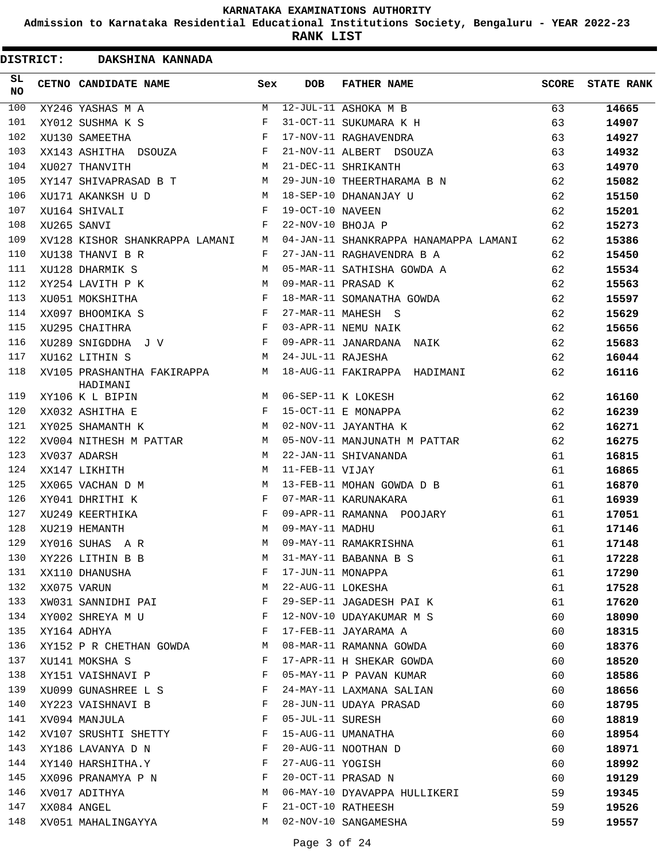**Admission to Karnataka Residential Educational Institutions Society, Bengaluru - YEAR 2022-23**

| <b>DISTRICT:</b> | DAKSHINA KANNADA                       |                           |                   |                                       |              |                   |
|------------------|----------------------------------------|---------------------------|-------------------|---------------------------------------|--------------|-------------------|
| SL<br><b>NO</b>  | CETNO CANDIDATE NAME                   | Sex                       | <b>DOB</b>        | <b>FATHER NAME</b>                    | <b>SCORE</b> | <b>STATE RANK</b> |
| 100              | XY246 YASHAS M A                       | M                         |                   | 12-JUL-11 ASHOKA M B                  | 63           | 14665             |
| 101              | XY012 SUSHMA K S                       | F                         |                   | 31-OCT-11 SUKUMARA K H                | 63           | 14907             |
| 102              | XU130 SAMEETHA                         | F                         |                   | 17-NOV-11 RAGHAVENDRA                 | 63           | 14927             |
| 103              | XX143 ASHITHA DSOUZA                   | F                         |                   | 21-NOV-11 ALBERT DSOUZA               | 63           | 14932             |
| 104              | XU027 THANVITH                         | M                         |                   | 21-DEC-11 SHRIKANTH                   | 63           | 14970             |
| 105              | XY147 SHIVAPRASAD B T                  | M                         |                   | 29-JUN-10 THEERTHARAMA B N            | 62           | 15082             |
| 106              | XU171 AKANKSH U D                      | M                         |                   | 18-SEP-10 DHANANJAY U                 | 62           | 15150             |
| 107              | XU164 SHIVALI                          | F                         | 19-OCT-10 NAVEEN  |                                       | 62           | 15201             |
| 108              | XU265 SANVI                            | F                         | 22-NOV-10 BHOJA P |                                       | 62           | 15273             |
| 109              | XV128 KISHOR SHANKRAPPA LAMANI         | М                         |                   | 04-JAN-11 SHANKRAPPA HANAMAPPA LAMANI | 62           | 15386             |
| 110              | XU138 THANVI B R                       | F                         |                   | 27-JAN-11 RAGHAVENDRA B A             | 62           | 15450             |
| 111              | XU128 DHARMIK S                        | М                         |                   | 05-MAR-11 SATHISHA GOWDA A            | 62           | 15534             |
| 112              | XY254 LAVITH P K                       | M                         |                   | 09-MAR-11 PRASAD K                    | 62           | 15563             |
| 113              | XU051 MOKSHITHA                        | F                         |                   | 18-MAR-11 SOMANATHA GOWDA             | 62           | 15597             |
| 114              | XX097 BHOOMIKA S                       | F                         |                   | 27-MAR-11 MAHESH S                    | 62           | 15629             |
| 115              | XU295 CHAITHRA                         | F                         |                   | 03-APR-11 NEMU NAIK                   | 62           | 15656             |
| 116              | XU289 SNIGDDHA J V                     | F                         |                   | 09-APR-11 JANARDANA NAIK              | 62           | 15683             |
| 117              | XU162 LITHIN S                         | М                         | 24-JUL-11 RAJESHA |                                       | 62           | 16044             |
| 118              | XV105 PRASHANTHA FAKIRAPPA<br>HADIMANI | M                         |                   | 18-AUG-11 FAKIRAPPA HADIMANI          | 62           | 16116             |
| 119              | XY106 K L BIPIN                        | M                         |                   | 06-SEP-11 K LOKESH                    | 62           | 16160             |
| 120              | XX032 ASHITHA E                        | F                         |                   | 15-OCT-11 E MONAPPA                   | 62           | 16239             |
| 121              | XY025 SHAMANTH K                       | М                         |                   | 02-NOV-11 JAYANTHA K                  | 62           | 16271             |
| 122              | XV004 NITHESH M PATTAR                 | M                         |                   | 05-NOV-11 MANJUNATH M PATTAR          | 62           | 16275             |
| 123              | XV037 ADARSH                           | M                         |                   | 22-JAN-11 SHIVANANDA                  | 61           | 16815             |
| 124              | XX147 LIKHITH                          | M                         | 11-FEB-11 VIJAY   |                                       | 61           | 16865             |
| 125              | XX065 VACHAN D M                       | M                         |                   | 13-FEB-11 MOHAN GOWDA D B             | 61           | 16870             |
| 126              | XY041 DHRITHI K                        | F                         |                   | 07-MAR-11 KARUNAKARA                  | 61           | 16939             |
| 127              | XU249 KEERTHIKA                        | F                         |                   | 09-APR-11 RAMANNA POOJARY             | 61           | 17051             |
| 128              | XU219 HEMANTH                          | M                         | 09-MAY-11 MADHU   |                                       | 61           | 17146             |
| 129              | XY016 SUHAS A R                        | $\mathop{\rm M}\nolimits$ |                   | 09-MAY-11 RAMAKRISHNA                 | 61           | 17148             |
| 130              | XY226 LITHIN B B                       | М                         |                   | 31-MAY-11 BABANNA B S                 | 61           | 17228             |
| 131              | XX110 DHANUSHA                         | F                         | 17-JUN-11 MONAPPA |                                       | 61           | 17290             |
| 132              | XX075 VARUN                            | М                         | 22-AUG-11 LOKESHA |                                       | 61           | 17528             |
| 133              | XW031 SANNIDHI PAI                     | F                         |                   | 29-SEP-11 JAGADESH PAI K              | 61           | 17620             |
| 134              | XY002 SHREYA M U                       | F                         |                   | 12-NOV-10 UDAYAKUMAR M S              | 60           | 18090             |
| 135              | XY164 ADHYA                            | F                         |                   | 17-FEB-11 JAYARAMA A                  | 60           | 18315             |
| 136              | XY152 P R CHETHAN GOWDA                | M                         |                   | 08-MAR-11 RAMANNA GOWDA               | 60           | 18376             |
| 137              | XU141 MOKSHA S                         | F                         |                   | 17-APR-11 H SHEKAR GOWDA              | 60           | 18520             |
| 138              | XY151 VAISHNAVI P                      | F                         |                   | 05-MAY-11 P PAVAN KUMAR               | 60           | 18586             |
| 139              | XU099 GUNASHREE L S                    | F                         |                   | 24-MAY-11 LAXMANA SALIAN              | 60           | 18656             |
| 140              | XY223 VAISHNAVI B                      | F                         |                   | 28-JUN-11 UDAYA PRASAD                | 60           | 18795             |
| 141              | XV094 MANJULA                          | F                         | 05-JUL-11 SURESH  |                                       | 60           | 18819             |
| 142              | XV107 SRUSHTI SHETTY                   | F                         |                   | 15-AUG-11 UMANATHA                    | 60           | 18954             |
| 143              | XY186 LAVANYA D N                      | F                         |                   | 20-AUG-11 NOOTHAN D                   | 60           | 18971             |
| 144              | XY140 HARSHITHA.Y                      | F                         | 27-AUG-11 YOGISH  |                                       | 60           | 18992             |
| 145              | XX096 PRANAMYA P N                     | F                         |                   | 20-OCT-11 PRASAD N                    | 60           | 19129             |
| 146              | XV017 ADITHYA                          | M                         |                   | 06-MAY-10 DYAVAPPA HULLIKERI          | 59           | 19345             |
| 147              | XX084 ANGEL                            | F                         |                   | 21-OCT-10 RATHEESH                    | 59           | 19526             |
| 148              | XV051 MAHALINGAYYA                     | M                         |                   | 02-NOV-10 SANGAMESHA                  | 59           | 19557             |
|                  |                                        |                           |                   |                                       |              |                   |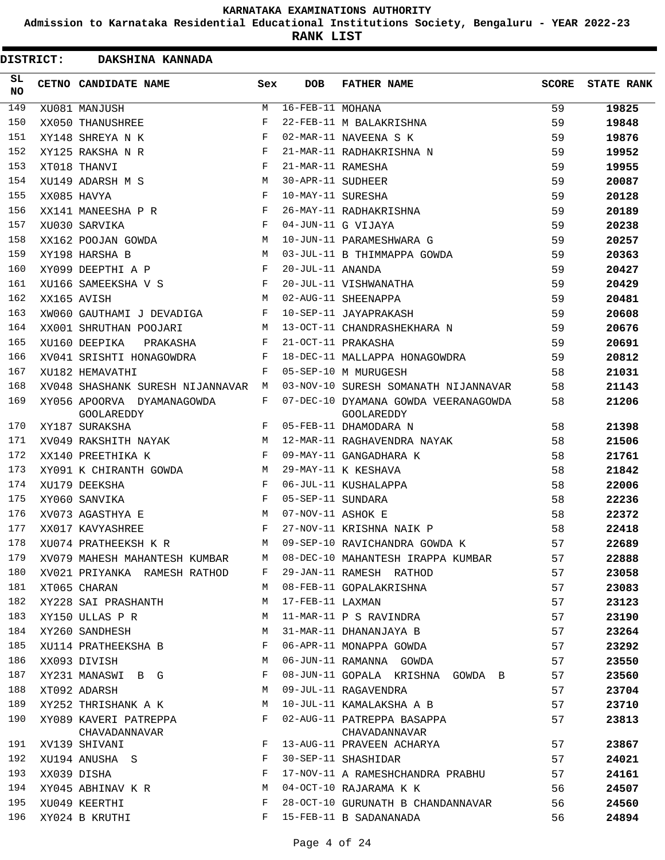**Admission to Karnataka Residential Educational Institutions Society, Bengaluru - YEAR 2022-23**

| <b>DISTRICT:</b> | DAKSHINA KANNADA                                |              |                        |                                                           |              |                   |
|------------------|-------------------------------------------------|--------------|------------------------|-----------------------------------------------------------|--------------|-------------------|
| SL<br><b>NO</b>  | CETNO CANDIDATE NAME                            | Sex          | <b>DOB</b>             | <b>FATHER NAME</b>                                        | <b>SCORE</b> | <b>STATE RANK</b> |
| 149              | XU081 MANJUSH                                   | M            | $16 - FEB - 11$ MOHANA |                                                           | 59           | 19825             |
| 150              | XX050 THANUSHREE                                | F            |                        | 22-FEB-11 M BALAKRISHNA                                   | 59           | 19848             |
| 151              | XY148 SHREYA N K                                | F            |                        | 02-MAR-11 NAVEENA S K                                     | 59           | 19876             |
| 152              | XY125 RAKSHA N R                                | F            |                        | 21-MAR-11 RADHAKRISHNA N                                  | 59           | 19952             |
| 153              | XT018 THANVI                                    | F            | 21-MAR-11 RAMESHA      |                                                           | 59           | 19955             |
| 154              | XU149 ADARSH M S                                | M            | 30-APR-11 SUDHEER      |                                                           | 59           | 20087             |
| 155              | XX085 HAVYA                                     | F            | 10-MAY-11 SURESHA      |                                                           | 59           | 20128             |
| 156              | XX141 MANEESHA P R                              | F            |                        | 26-MAY-11 RADHAKRISHNA                                    | 59           | 20189             |
| 157              | XU030 SARVIKA                                   | F            |                        | 04-JUN-11 G VIJAYA                                        | 59           | 20238             |
| 158              | XX162 POOJAN GOWDA                              | M            |                        | 10-JUN-11 PARAMESHWARA G                                  | 59           | 20257             |
| 159              | XY198 HARSHA B                                  | M            |                        | 03-JUL-11 B THIMMAPPA GOWDA                               | 59           | 20363             |
| 160              | XY099 DEEPTHI A P                               | F            | 20-JUL-11 ANANDA       |                                                           | 59           | 20427             |
| 161              | XU166 SAMEEKSHA V S                             | F            |                        | 20-JUL-11 VISHWANATHA                                     | 59           | 20429             |
| 162              | XX165 AVISH                                     | M            |                        | 02-AUG-11 SHEENAPPA                                       | 59           | 20481             |
| 163              | XW060 GAUTHAMI J DEVADIGA                       | F            |                        | 10-SEP-11 JAYAPRAKASH                                     | 59           | 20608             |
| 164              | XX001 SHRUTHAN POOJARI                          | M            |                        | 13-OCT-11 CHANDRASHEKHARA N                               | 59           | 20676             |
| 165              | XU160 DEEPIKA<br>PRAKASHA                       | F            |                        | 21-OCT-11 PRAKASHA                                        | 59           | 20691             |
| 166              | XV041 SRISHTI HONAGOWDRA                        | F            |                        | 18-DEC-11 MALLAPPA HONAGOWDRA                             | 59           | 20812             |
| 167              | XU182 HEMAVATHI                                 | F            |                        | 05-SEP-10 M MURUGESH                                      | 58           | 21031             |
| 168              | XV048 SHASHANK SURESH NIJANNAVAR M              |              |                        | 03-NOV-10 SURESH SOMANATH NIJANNAVAR                      | 58           | 21143             |
| 169              | XY056 APOORVA DYAMANAGOWDA<br><b>GOOLAREDDY</b> | F            |                        | 07-DEC-10 DYAMANA GOWDA VEERANAGOWDA<br><b>GOOLAREDDY</b> | 58           | 21206             |
| 170              | XY187 SURAKSHA                                  | $\mathbf{F}$ |                        | 05-FEB-11 DHAMODARA N                                     | 58           | 21398             |
| 171              | XV049 RAKSHITH NAYAK                            | M            |                        | 12-MAR-11 RAGHAVENDRA NAYAK                               | 58           | 21506             |
| 172              | XX140 PREETHIKA K                               | $\mathbf{F}$ |                        | 09-MAY-11 GANGADHARA K                                    | 58           | 21761             |
| 173              | XY091 K CHIRANTH GOWDA                          | M            |                        | 29-MAY-11 K KESHAVA                                       | 58           | 21842             |
| 174              | XU179 DEEKSHA                                   | F            |                        | 06-JUL-11 KUSHALAPPA                                      | 58           | 22006             |
| 175              | XY060 SANVIKA                                   | F            | 05-SEP-11 SUNDARA      |                                                           | 58           | 22236             |
| 176              | XV073 AGASTHYA E                                | M            | 07-NOV-11 ASHOK E      |                                                           | 58           | 22372             |
| 177              | XX017 KAVYASHREE                                | F            |                        | 27-NOV-11 KRISHNA NAIK P                                  | 58           | 22418             |
| 178              | XU074 PRATHEEKSH K R                            |              |                        | M 09-SEP-10 RAVICHANDRA GOWDA K                           | 57           | 22689             |
| 179              | XV079 MAHESH MAHANTESH KUMBAR                   | M            |                        | 08-DEC-10 MAHANTESH IRAPPA KUMBAR                         | 57           | 22888             |
| 180              | XV021 PRIYANKA RAMESH RATHOD                    | F            |                        | 29-JAN-11 RAMESH RATHOD                                   | 57           | 23058             |
| 181              | XT065 CHARAN                                    | М            |                        | 08-FEB-11 GOPALAKRISHNA                                   | 57           | 23083             |
| 182              | XY228 SAI PRASHANTH                             | М            | 17-FEB-11 LAXMAN       |                                                           | 57           | 23123             |
| 183              | XY150 ULLAS P R                                 | M            |                        | 11-MAR-11 P S RAVINDRA                                    | 57           | 23190             |
| 184              | XY260 SANDHESH                                  | М            |                        | 31-MAR-11 DHANANJAYA B                                    | 57           | 23264             |
| 185              | XU114 PRATHEEKSHA B                             | F            |                        | 06-APR-11 MONAPPA GOWDA                                   | 57           | 23292             |
| 186              | XX093 DIVISH                                    | M            |                        | 06-JUN-11 RAMANNA GOWDA                                   | 57           | 23550             |
| 187              | XY231 MANASWI B G                               | F            |                        | 08-JUN-11 GOPALA KRISHNA GOWDA B                          | 57           | 23560             |
| 188              | XT092 ADARSH                                    | М            |                        | 09-JUL-11 RAGAVENDRA                                      | 57           | 23704             |
| 189              | XY252 THRISHANK A K                             | М            |                        | 10-JUL-11 KAMALAKSHA A B                                  | 57           | 23710             |
| 190              | XY089 KAVERI PATREPPA<br>CHAVADANNAVAR          | F            |                        | 02-AUG-11 PATREPPA BASAPPA<br>CHAVADANNAVAR               | 57           | 23813             |
| 191              | XV139 SHIVANI                                   | F            |                        | 13-AUG-11 PRAVEEN ACHARYA                                 | 57           | 23867             |
| 192              | XU194 ANUSHA S                                  | F            |                        | 30-SEP-11 SHASHIDAR                                       | 57           | 24021             |
| 193              | XX039 DISHA                                     | F            |                        | 17-NOV-11 A RAMESHCHANDRA PRABHU                          | 57           | 24161             |
| 194              | XY045 ABHINAV K R                               | M            |                        | 04-OCT-10 RAJARAMA K K                                    | 56           | 24507             |
| 195              | XU049 KEERTHI                                   | F            |                        | 28-OCT-10 GURUNATH B CHANDANNAVAR                         | 56           | 24560             |
| 196              | XY024 B KRUTHI                                  | F            |                        | 15-FEB-11 B SADANANADA                                    | 56           | 24894             |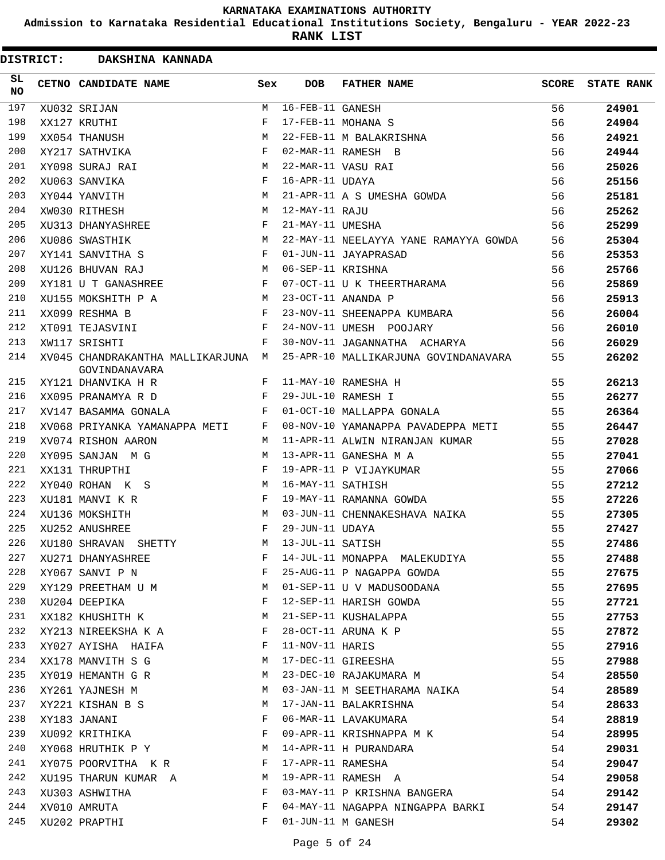**Admission to Karnataka Residential Educational Institutions Society, Bengaluru - YEAR 2022-23**

| <b>DISTRICT:</b> | DAKSHINA KANNADA                                    |            |                   |                                       |              |                   |
|------------------|-----------------------------------------------------|------------|-------------------|---------------------------------------|--------------|-------------------|
| SL<br><b>NO</b>  | CETNO CANDIDATE NAME                                | Sex        | <b>DOB</b>        | <b>FATHER NAME</b>                    | <b>SCORE</b> | <b>STATE RANK</b> |
| 197              | XU032 SRIJAN                                        | M          | 16-FEB-11 GANESH  |                                       | 56           | 24901             |
| 198              | XX127 KRUTHI                                        | F          |                   | 17-FEB-11 MOHANA S                    | 56           | 24904             |
| 199              | XX054 THANUSH                                       | M          |                   | 22-FEB-11 M BALAKRISHNA               | 56           | 24921             |
| 200              | XY217 SATHVIKA                                      | F          |                   | 02-MAR-11 RAMESH B                    | 56           | 24944             |
| 201              | XY098 SURAJ RAI                                     | M          |                   | 22-MAR-11 VASU RAI                    | 56           | 25026             |
| 202              | XU063 SANVIKA                                       | F          | 16-APR-11 UDAYA   |                                       | 56           | 25156             |
| 203              | XY044 YANVITH                                       | M          |                   | 21-APR-11 A S UMESHA GOWDA            | 56           | 25181             |
| 204              | XW030 RITHESH                                       | M          | 12-MAY-11 RAJU    |                                       | 56           | 25262             |
| 205              | XU313 DHANYASHREE                                   | F          | 21-MAY-11 UMESHA  |                                       | 56           | 25299             |
| 206              | XU086 SWASTHIK                                      | М          |                   | 22-MAY-11 NEELAYYA YANE RAMAYYA GOWDA | 56           | 25304             |
| 207              | XY141 SANVITHA S                                    | F          |                   | 01-JUN-11 JAYAPRASAD                  | 56           | 25353             |
| 208              | XU126 BHUVAN RAJ                                    | М          | 06-SEP-11 KRISHNA |                                       | 56           | 25766             |
| 209              | XY181 U T GANASHREE                                 | F          |                   | 07-OCT-11 U K THEERTHARAMA            | 56           | 25869             |
| 210              | XU155 MOKSHITH P A                                  | M          |                   | 23-OCT-11 ANANDA P                    | 56           | 25913             |
| 211              | XX099 RESHMA B                                      | F          |                   | 23-NOV-11 SHEENAPPA KUMBARA           | 56           | 26004             |
| 212              | XT091 TEJASVINI                                     | F          |                   | 24-NOV-11 UMESH POOJARY               | 56           | 26010             |
| 213              | XW117 SRISHTI                                       | F          |                   | 30-NOV-11 JAGANNATHA ACHARYA          | 56           | 26029             |
| 214              | XV045 CHANDRAKANTHA MALLIKARJUNA M<br>GOVINDANAVARA |            |                   | 25-APR-10 MALLIKARJUNA GOVINDANAVARA  | 55           | 26202             |
| 215              | XY121 DHANVIKA H R                                  | F          |                   | 11-MAY-10 RAMESHA H                   | 55           | 26213             |
| 216              | XX095 PRANAMYA R D                                  | F          |                   | 29-JUL-10 RAMESH I                    | 55           | 26277             |
| 217              | XV147 BASAMMA GONALA                                | F          |                   | 01-OCT-10 MALLAPPA GONALA             | 55           | 26364             |
| 218              | XV068 PRIYANKA YAMANAPPA METI                       | F          |                   | 08-NOV-10 YAMANAPPA PAVADEPPA METI    | 55           | 26447             |
| 219              | XV074 RISHON AARON                                  | M          |                   | 11-APR-11 ALWIN NIRANJAN KUMAR        | 55           | 27028             |
| 220              | XY095 SANJAN M G                                    | M          |                   | 13-APR-11 GANESHA M A                 | 55           | 27041             |
| 221              | XX131 THRUPTHI                                      | F          |                   | 19-APR-11 P VIJAYKUMAR                | 55           | 27066             |
| 222              | XY040 ROHAN K S                                     | M          | 16-MAY-11 SATHISH |                                       | 55           | 27212             |
| 223              | XU181 MANVI K R                                     | F          |                   | 19-MAY-11 RAMANNA GOWDA               | 55           | 27226             |
| 224              | XU136 MOKSHITH                                      | M          |                   | 03-JUN-11 CHENNAKESHAVA NAIKA         | 55           | 27305             |
| 225              | XU252 ANUSHREE                                      | $_{\rm F}$ | 29-JUN-11 UDAYA   |                                       | 55           | 27427             |
| 226              | XU180 SHRAVAN SHETTY                                | М          | 13-JUL-11 SATISH  |                                       | 55           | 27486             |
| 227              | XU271 DHANYASHREE                                   | F          |                   | 14-JUL-11 MONAPPA MALEKUDIYA          | 55           | 27488             |
| 228              | XY067 SANVI P N                                     | F          |                   | 25-AUG-11 P NAGAPPA GOWDA             | 55           | 27675             |
| 229              | XY129 PREETHAM U M                                  | M          |                   | 01-SEP-11 U V MADUSOODANA             | 55           | 27695             |
| 230              | XU204 DEEPIKA                                       | F          |                   | 12-SEP-11 HARISH GOWDA                | 55           | 27721             |
| 231              | XX182 KHUSHITH K                                    | M          |                   | 21-SEP-11 KUSHALAPPA                  | 55           | 27753             |
| 232              | XY213 NIREEKSHA K A                                 | F          |                   | 28-OCT-11 ARUNA K P                   | 55           | 27872             |
| 233              | XY027 AYISHA HAIFA                                  | F          | 11-NOV-11 HARIS   |                                       | 55           | 27916             |
| 234              | XX178 MANVITH S G                                   | M          |                   | 17-DEC-11 GIREESHA                    | 55           |                   |
| 235              | XY019 HEMANTH G R                                   | М          |                   | 23-DEC-10 RAJAKUMARA M                | 54           | 27988             |
| 236              |                                                     |            |                   |                                       |              | 28550             |
|                  | XY261 YAJNESH M                                     | M          |                   | 03-JAN-11 M SEETHARAMA NAIKA          | 54           | 28589             |
| 237              | XY221 KISHAN B S                                    | М          |                   | 17-JAN-11 BALAKRISHNA                 | 54           | 28633             |
| 238              | XY183 JANANI                                        | F          |                   | 06-MAR-11 LAVAKUMARA                  | 54           | 28819             |
| 239              | XU092 KRITHIKA                                      | F          |                   | 09-APR-11 KRISHNAPPA M K              | 54           | 28995             |
| 240              | XY068 HRUTHIK P Y                                   | M          |                   | 14-APR-11 H PURANDARA                 | 54           | 29031             |
| 241              | XY075 POORVITHA KR                                  | F          |                   | 17-APR-11 RAMESHA                     | 54           | 29047             |
| 242              | XU195 THARUN KUMAR A                                | М          |                   | 19-APR-11 RAMESH A                    | 54           | 29058             |
| 243              | XU303 ASHWITHA                                      | F          |                   | 03-MAY-11 P KRISHNA BANGERA           | 54           | 29142             |
| 244              | XV010 AMRUTA                                        | F          |                   | 04-MAY-11 NAGAPPA NINGAPPA BARKI      | 54           | 29147             |
| 245              | XU202 PRAPTHI                                       | F          |                   | 01-JUN-11 M GANESH                    | 54           | 29302             |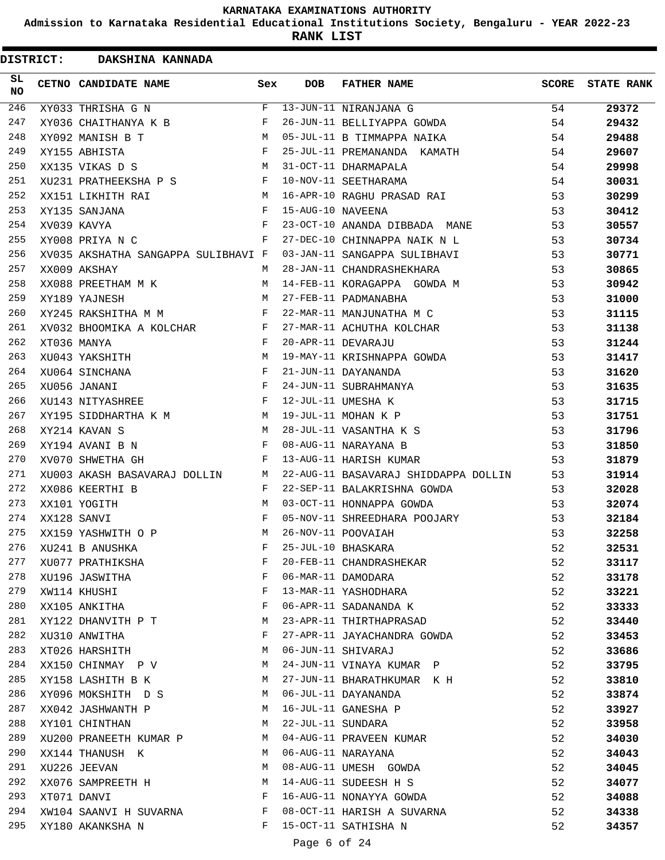**Admission to Karnataka Residential Educational Institutions Society, Bengaluru - YEAR 2022-23**

**RANK LIST**

 $\blacksquare$ 

| <b>DISTRICT:</b> | DAKSHINA KANNADA                       |              |                   |                                      |       |                   |
|------------------|----------------------------------------|--------------|-------------------|--------------------------------------|-------|-------------------|
| SL<br><b>NO</b>  | CETNO CANDIDATE NAME                   | Sex          | <b>DOB</b>        | <b>FATHER NAME</b>                   | SCORE | <b>STATE RANK</b> |
| 246              | XY033 THRISHA G N                      | F            |                   | 13-JUN-11 NIRANJANA G                | 54    | 29372             |
| 247              | XY036 CHAITHANYA K B                   | F            |                   | 26-JUN-11 BELLIYAPPA GOWDA           | 54    | 29432             |
| 248              | XY092 MANISH B T                       | м            |                   | 05-JUL-11 B TIMMAPPA NAIKA           | 54    | 29488             |
| 249              | XY155 ABHISTA                          | F            |                   | 25-JUL-11 PREMANANDA KAMATH          | 54    | 29607             |
| 250              | XX135 VIKAS D S                        | M            |                   | 31-OCT-11 DHARMAPALA                 | 54    | 29998             |
| 251              | XU231 PRATHEEKSHA P S                  | $\mathbf{F}$ |                   | 10-NOV-11 SEETHARAMA                 | 54    | 30031             |
| 252              | XX151 LIKHITH RAI                      | M            |                   | 16-APR-10 RAGHU PRASAD RAI           | 53    | 30299             |
| 253              | XY135 SANJANA                          | F            | 15-AUG-10 NAVEENA |                                      | 53    | 30412             |
| 254              | XV039 KAVYA                            | F            |                   | 23-OCT-10 ANANDA DIBBADA MANE        | 53    | 30557             |
| 255              | XY008 PRIYA N C                        | F            |                   | 27-DEC-10 CHINNAPPA NAIK N L         | 53    | 30734             |
| 256              | XV035 AKSHATHA SANGAPPA SULIBHAVI F    |              |                   | 03-JAN-11 SANGAPPA SULIBHAVI         | 53    | 30771             |
| 257              | XX009 AKSHAY                           | М            |                   | 28-JAN-11 CHANDRASHEKHARA            | 53    | 30865             |
| 258              | XX088 PREETHAM M K                     | M            |                   | 14-FEB-11 KORAGAPPA GOWDA M          | 53    | 30942             |
| 259              | XY189 YAJNESH                          | M            |                   | 27-FEB-11 PADMANABHA                 | 53    | 31000             |
| 260              | XY245 RAKSHITHA M M                    | F            |                   | 22-MAR-11 MANJUNATHA M C             | 53    | 31115             |
| 261              | XV032 BHOOMIKA A KOLCHAR               | F            |                   | 27-MAR-11 ACHUTHA KOLCHAR            | 53    | 31138             |
| 262              | XT036 MANYA                            | $_{\rm F}$   |                   | 20-APR-11 DEVARAJU                   | 53    | 31244             |
| 263              | XU043 YAKSHITH                         | М            |                   | 19-MAY-11 KRISHNAPPA GOWDA           | 53    | 31417             |
| 264              | XU064 SINCHANA                         | $_{\rm F}$   |                   | 21-JUN-11 DAYANANDA                  | 53    | 31620             |
| 265              | XU056 JANANI                           | $_{\rm F}$   |                   | 24-JUN-11 SUBRAHMANYA                | 53    | 31635             |
| 266              | XU143 NITYASHREE                       | F            |                   | 12-JUL-11 UMESHA K                   | 53    | 31715             |
| 267              | M <sub>N</sub><br>XY195 SIDDHARTHA K M |              |                   | 19-JUL-11 MOHAN K P                  | 53    | 31751             |
| 268              | XY214 KAVAN S                          | м            |                   | 28-JUL-11 VASANTHA K S               | 53    | 31796             |
| 269              | XY194 AVANI B N                        | F            |                   | 08-AUG-11 NARAYANA B                 | 53    | 31850             |
| 270              | XV070 SHWETHA GH                       | F            |                   | 13-AUG-11 HARISH KUMAR               | 53    | 31879             |
| 271              | XU003 AKASH BASAVARAJ DOLLIN           | M            |                   | 22-AUG-11 BASAVARAJ SHIDDAPPA DOLLIN | 53    | 31914             |
| 272              | XX086 KEERTHI B                        | F            |                   | 22-SEP-11 BALAKRISHNA GOWDA          | 53    | 32028             |
| 273              | XX101 YOGITH                           | M            |                   | 03-OCT-11 HONNAPPA GOWDA             | 53    | 32074             |
| 274              | XX128 SANVI                            | F            |                   | 05-NOV-11 SHREEDHARA POOJARY         | 53    | 32184             |
| 275              | XX159 YASHWITH O P                     | M            |                   | 26-NOV-11 POOVAIAH                   | 53    | 32258             |
| 276              | XU241 B ANUSHKA                        | F            |                   | 25-JUL-10 BHASKARA                   | 52    | 32531             |
| 277              | XU077 PRATHIKSHA                       | F            |                   | 20-FEB-11 CHANDRASHEKAR              | 52    | 33117             |
| 278              | XU196 JASWITHA                         | F            |                   | 06-MAR-11 DAMODARA                   | 52    | 33178             |
| 279              | XW114 KHUSHI                           | F            |                   | 13-MAR-11 YASHODHARA                 | 52    | 33221             |
| 280              | XX105 ANKITHA                          | F            |                   | 06-APR-11 SADANANDA K                | 52    | 33333             |
| 281              | XY122 DHANVITH P T                     | M            |                   | 23-APR-11 THIRTHAPRASAD              | 52    | 33440             |
| 282              | XU310 ANWITHA                          | F            |                   | 27-APR-11 JAYACHANDRA GOWDA          | 52    | 33453             |
| 283              | XT026 HARSHITH                         | М            |                   | 06-JUN-11 SHIVARAJ                   | 52    | 33686             |
| 284              | XX150 CHINMAY P V                      | М            |                   | 24-JUN-11 VINAYA KUMAR P             | 52    | 33795             |
| 285              | XY158 LASHITH B K                      | М            |                   | 27-JUN-11 BHARATHKUMAR K H           | 52    | 33810             |
| 286              | XY096 MOKSHITH D S                     | M            |                   | 06-JUL-11 DAYANANDA                  | 52    | 33874             |
| 287              | XX042 JASHWANTH P                      | М            |                   | 16-JUL-11 GANESHA P                  | 52    | 33927             |
| 288              | XY101 CHINTHAN                         | M            | 22-JUL-11 SUNDARA |                                      | 52    | 33958             |
| 289              | XU200 PRANEETH KUMAR P                 | M            |                   | 04-AUG-11 PRAVEEN KUMAR              | 52    | 34030             |
| 290              | XX144 THANUSH K                        | M            |                   | 06-AUG-11 NARAYANA                   | 52    | 34043             |
| 291              | XU226 JEEVAN                           | М            |                   | 08-AUG-11 UMESH GOWDA                | 52    | 34045             |
| 292              | XX076 SAMPREETH H                      | М            |                   | 14-AUG-11 SUDEESH H S                | 52    | 34077             |
| 293              | XT071 DANVI                            | F            |                   | 16-AUG-11 NONAYYA GOWDA              | 52    | 34088             |
| 294              | XW104 SAANVI H SUVARNA                 | F            |                   | 08-OCT-11 HARISH A SUVARNA           | 52    | 34338             |
| 295              | XY180 AKANKSHA N                       | F            |                   | 15-OCT-11 SATHISHA N                 | 52    | 34357             |
|                  |                                        |              |                   |                                      |       |                   |

Page 6 of 24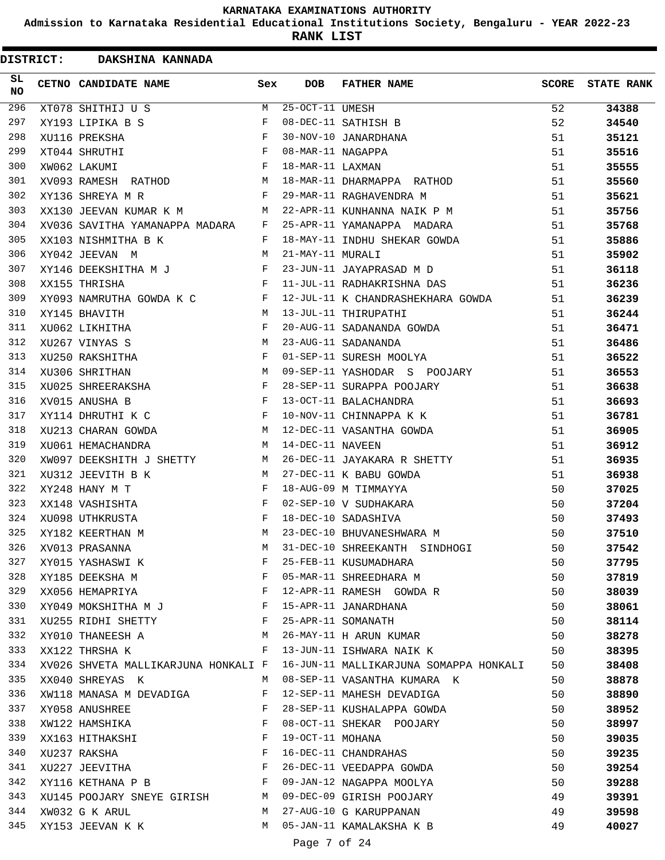**Admission to Karnataka Residential Educational Institutions Society, Bengaluru - YEAR 2022-23**

| <b>DISTRICT:</b> | DAKSHINA KANNADA                                                                                                                |                            |                   |                                        |              |                   |
|------------------|---------------------------------------------------------------------------------------------------------------------------------|----------------------------|-------------------|----------------------------------------|--------------|-------------------|
| SL<br><b>NO</b>  | CETNO CANDIDATE NAME                                                                                                            | Sex                        | <b>DOB</b>        | <b>FATHER NAME</b>                     | <b>SCORE</b> | <b>STATE RANK</b> |
| 296              | XT078 SHITHIJ U S                                                                                                               | M                          | $25-OCT-11$ UMESH |                                        | 52           | 34388             |
| 297              | XY193 LIPIKA B S                                                                                                                | F                          |                   | 08-DEC-11 SATHISH B                    | 52           | 34540             |
| 298              | XU116 PREKSHA                                                                                                                   | F                          |                   | 30-NOV-10 JANARDHANA                   | 51           | 35121             |
| 299              | XT044 SHRUTHI                                                                                                                   | $_{\rm F}$                 | 08-MAR-11 NAGAPPA |                                        | 51           | 35516             |
| 300              | XW062 LAKUMI                                                                                                                    | $_{\rm F}$                 | 18-MAR-11 LAXMAN  |                                        | 51           | 35555             |
| 301              | XV093 RAMESH RATHOD                                                                                                             | M                          |                   | 18-MAR-11 DHARMAPPA RATHOD             | 51           | 35560             |
| 302              | XY136 SHREYA M R                                                                                                                | F                          |                   | 29-MAR-11 RAGHAVENDRA M                | 51           | 35621             |
| 303              | XX130 JEEVAN KUMAR K M                                                                                                          | M                          |                   | 22-APR-11 KUNHANNA NAIK P M            | 51           | 35756             |
| 304              | XV036 SAVITHA YAMANAPPA MADARA                                                                                                  | F                          |                   | 25-APR-11 YAMANAPPA MADARA             | 51           | 35768             |
| 305              | XX103 NISHMITHA B K                                                                                                             | F                          |                   | 18-MAY-11 INDHU SHEKAR GOWDA           | 51           | 35886             |
| 306              | XY042 JEEVAN M                                                                                                                  | M                          | 21-MAY-11 MURALI  |                                        | 51           | 35902             |
| 307              | XY146 DEEKSHITHA M J                                                                                                            | F                          |                   | 23-JUN-11 JAYAPRASAD M D               | 51           | 36118             |
| 308              | XX155 THRISHA                                                                                                                   | $_{\rm F}$                 |                   | 11-JUL-11 RADHAKRISHNA DAS             | 51           | 36236             |
| 309              | XY093 NAMRUTHA GOWDA K C                                                                                                        | F                          |                   | 12-JUL-11 K CHANDRASHEKHARA GOWDA      | 51           | 36239             |
| 310              | XY145 BHAVITH                                                                                                                   | M                          |                   | 13-JUL-11 THIRUPATHI                   | 51           | 36244             |
| 311              | XU062 LIKHITHA                                                                                                                  | F                          |                   | 20-AUG-11 SADANANDA GOWDA              | 51           | 36471             |
| 312              | XU267 VINYAS S                                                                                                                  | M                          |                   | 23-AUG-11 SADANANDA                    | 51           | 36486             |
| 313              | XU250 RAKSHITHA                                                                                                                 | $_{\rm F}$                 |                   | 01-SEP-11 SURESH MOOLYA                | 51           | 36522             |
| 314              | XU306 SHRITHAN                                                                                                                  | M                          |                   | 09-SEP-11 YASHODAR S POOJARY           | 51           | 36553             |
| 315              | XU025 SHREERAKSHA                                                                                                               | F                          |                   | 28-SEP-11 SURAPPA POOJARY              | 51           | 36638             |
| 316              | XV015 ANUSHA B                                                                                                                  | $_{\rm F}$                 |                   | 13-OCT-11 BALACHANDRA                  | 51           | 36693             |
| 317              | XY114 DHRUTHI K C                                                                                                               | F                          |                   | 10-NOV-11 CHINNAPPA K K                | 51           | 36781             |
| 318              | XU213 CHARAN GOWDA                                                                                                              | м                          |                   | 12-DEC-11 VASANTHA GOWDA               | 51           | 36905             |
| 319              | XU061 HEMACHANDRA                                                                                                               | M                          | 14-DEC-11 NAVEEN  |                                        | 51           | 36912             |
| 320              | XW097 DEEKSHITH J SHETTY                                                                                                        | M                          |                   | 26-DEC-11 JAYAKARA R SHETTY            | 51           | 36935             |
| 321              | XU312 JEEVITH B K                                                                                                               | М                          |                   | 27-DEC-11 K BABU GOWDA                 | 51           | 36938             |
| 322              | XY248 HANY M T                                                                                                                  | $_{\rm F}$                 |                   | 18-AUG-09 M TIMMAYYA                   | 50           | 37025             |
| 323              | XX148 VASHISHTA                                                                                                                 | F                          |                   | 02-SEP-10 V SUDHAKARA                  | 50           | 37204             |
| 324              | XU098 UTHKRUSTA                                                                                                                 | $_{\rm F}$                 |                   | 18-DEC-10 SADASHIVA                    | 50           | 37493             |
| 325              | XY182 KEERTHAN M                                                                                                                | M                          |                   | 23-DEC-10 BHUVANESHWARA M              | 50           | 37510             |
| 326              | XV013 PRASANNA                                                                                                                  | М                          |                   | 31-DEC-10 SHREEKANTH SINDHOGI          | 50           | 37542             |
| 327              | XY015 YASHASWI K                                                                                                                | F                          |                   | 25-FEB-11 KUSUMADHARA                  | 50           | 37795             |
| 328              | XY185 DEEKSHA M                                                                                                                 | F                          |                   | 05-MAR-11 SHREEDHARA M                 | 50           | 37819             |
| 329              | $\mathbf{F}$ and the contract of $\mathbf{F}$<br>XX056 HEMAPRIYA                                                                |                            |                   | 12-APR-11 RAMESH GOWDA R               | 50           | 38039             |
| 330              | XY049 MOKSHITHA M J                                                                                                             | F                          |                   | 15-APR-11 JANARDHANA                   | 50           | 38061             |
| 331              | XU255 RIDHI SHETTY F                                                                                                            |                            |                   | 25-APR-11 SOMANATH                     | 50           | 38114             |
| 332              | XY010 THANEESH A M                                                                                                              |                            |                   | 26-MAY-11 H ARUN KUMAR                 | 50           | 38278             |
| 333              | XX122 THRSHA K                                                                                                                  | F                          |                   | 13-JUN-11 ISHWARA NAIK K               | 50           | 38395             |
| 334              | XV026 SHVETA MALLIKARJUNA HONKALI F                                                                                             |                            |                   | 16-JUN-11 MALLIKARJUNA SOMAPPA HONKALI | 50           | 38408             |
| 335              | XX040 SHREYAS K                                                                                                                 | M                          |                   | 08-SEP-11 VASANTHA KUMARA K            | 50           | 38878             |
| 336              |                                                                                                                                 | F                          |                   | 12-SEP-11 MAHESH DEVADIGA              |              |                   |
| 337              | XW118 MANASA M DEVADIGA                                                                                                         | F                          |                   |                                        | 50           | 38890             |
|                  | XY058 ANUSHREE                                                                                                                  |                            |                   | 28-SEP-11 KUSHALAPPA GOWDA             | 50           | 38952             |
| 338              | XW122 HAMSHIKA                                                                                                                  | $_{\rm F}$                 |                   | 08-OCT-11 SHEKAR POOJARY               | 50           | 38997             |
| 339              | XX163 HITHAKSHI                                                                                                                 | $\mathbf{F}$<br>$_{\rm F}$ | 19-OCT-11 MOHANA  |                                        | 50           | 39035             |
| 340              | XU237 RAKSHA<br>and the state of the state of the Party of the State of the State of the State of the State of the State of the |                            |                   | 16-DEC-11 CHANDRAHAS                   | 50           | 39235             |
| 341              | XU227 JEEVITHA                                                                                                                  |                            |                   | 26-DEC-11 VEEDAPPA GOWDA               | 50           | 39254             |
| 342              | XY116 KETHANA P B                                                                                                               | F                          |                   | 09-JAN-12 NAGAPPA MOOLYA               | 50           | 39288             |
| 343              | XU145 POOJARY SNEYE GIRISH M                                                                                                    |                            |                   | 09-DEC-09 GIRISH POOJARY               | 49           | 39391             |
| 344              | XW032 G K ARUL                                                                                                                  | M                          |                   | 27-AUG-10 G KARUPPANAN                 | 49           | 39598             |
| 345              | XY153 JEEVAN K K                                                                                                                | M                          |                   | 05-JAN-11 KAMALAKSHA K B               | 49           | 40027             |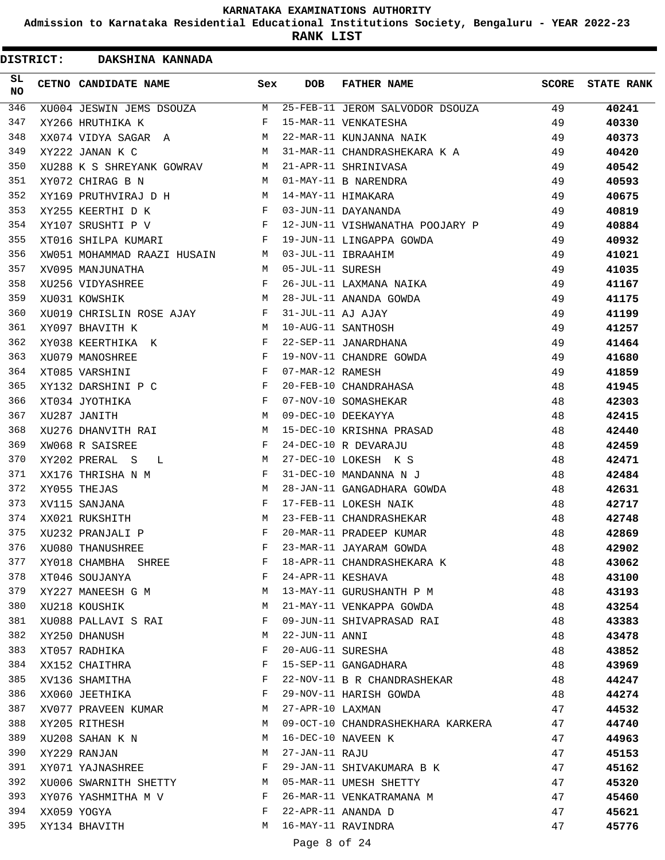**Admission to Karnataka Residential Educational Institutions Society, Bengaluru - YEAR 2022-23**

| <b>DISTRICT:</b> | DAKSHINA KANNADA            |            |                   |                                   |       |                   |
|------------------|-----------------------------|------------|-------------------|-----------------------------------|-------|-------------------|
| SL<br><b>NO</b>  | CETNO CANDIDATE NAME        | Sex        | <b>DOB</b>        | <b>FATHER NAME</b>                | SCORE | <b>STATE RANK</b> |
| 346              | XU004 JESWIN JEMS DSOUZA    | M          |                   | 25-FEB-11 JEROM SALVODOR DSOUZA   | 49    | 40241             |
| 347              | XY266 HRUTHIKA K            | F          |                   | 15-MAR-11 VENKATESHA              | 49    | 40330             |
| 348              | XX074 VIDYA SAGAR A         | M          |                   | 22-MAR-11 KUNJANNA NAIK           | 49    | 40373             |
| 349              | XY222 JANAN K C             | M          |                   | 31-MAR-11 CHANDRASHEKARA K A      | 49    | 40420             |
| 350              | XU288 K S SHREYANK GOWRAV   | M          |                   | 21-APR-11 SHRINIVASA              | 49    | 40542             |
| 351              | XY072 CHIRAG B N            | м          |                   | 01-MAY-11 B NARENDRA              | 49    | 40593             |
| 352              | XY169 PRUTHVIRAJ D H        | M          |                   | 14-MAY-11 HIMAKARA                | 49    | 40675             |
| 353              | XY255 KEERTHI D K           | F          |                   | 03-JUN-11 DAYANANDA               | 49    | 40819             |
| 354              | XY107 SRUSHTI P V           | F          |                   | 12-JUN-11 VISHWANATHA POOJARY P   | 49    | 40884             |
| 355              | XT016 SHILPA KUMARI         | F          |                   | 19-JUN-11 LINGAPPA GOWDA          | 49    | 40932             |
| 356              | XW051 MOHAMMAD RAAZI HUSAIN | M          |                   | 03-JUL-11 IBRAAHIM                | 49    | 41021             |
| 357              | XV095 MANJUNATHA            | M          | 05-JUL-11 SURESH  |                                   | 49    | 41035             |
| 358              | XU256 VIDYASHREE            | F          |                   | 26-JUL-11 LAXMANA NAIKA           | 49    | 41167             |
| 359              | XU031 KOWSHIK               | М          |                   | 28-JUL-11 ANANDA GOWDA            | 49    | 41175             |
| 360              | XU019 CHRISLIN ROSE AJAY    | F          | 31-JUL-11 AJ AJAY |                                   | 49    | 41199             |
| 361              | XY097 BHAVITH K             | M          |                   | 10-AUG-11 SANTHOSH                | 49    | 41257             |
| 362              | XY038 KEERTHIKA K           | F          |                   | 22-SEP-11 JANARDHANA              | 49    | 41464             |
| 363              | XU079 MANOSHREE             | F          |                   | 19-NOV-11 CHANDRE GOWDA           | 49    | 41680             |
| 364              | XT085 VARSHINI              | $_{\rm F}$ | 07-MAR-12 RAMESH  |                                   | 49    | 41859             |
| 365              | XY132 DARSHINI P C          | F          |                   | 20-FEB-10 CHANDRAHASA             | 48    | 41945             |
| 366              | XT034 JYOTHIKA              | $_{\rm F}$ |                   | 07-NOV-10 SOMASHEKAR              | 48    | 42303             |
| 367              | XU287 JANITH                | M          |                   | 09-DEC-10 DEEKAYYA                | 48    | 42415             |
| 368              | XU276 DHANVITH RAI          | M          |                   | 15-DEC-10 KRISHNA PRASAD          | 48    | 42440             |
| 369              | XW068 R SAISREE             | F          |                   | 24-DEC-10 R DEVARAJU              | 48    | 42459             |
| 370              | XY202 PRERAL S<br>L         | М          |                   | 27-DEC-10 LOKESH K S              | 48    | 42471             |
| 371              | XX176 THRISHA N M           | F          |                   | 31-DEC-10 MANDANNA N J            | 48    | 42484             |
| 372              | XY055 THEJAS                | M          |                   | 28-JAN-11 GANGADHARA GOWDA        | 48    | 42631             |
| 373              | XV115 SANJANA               | F          |                   | 17-FEB-11 LOKESH NAIK             | 48    | 42717             |
| 374              | XX021 RUKSHITH              | M          |                   | 23-FEB-11 CHANDRASHEKAR           | 48    | 42748             |
| 375              | XU232 PRANJALI P            | F          |                   | 20-MAR-11 PRADEEP KUMAR           | 48    | 42869             |
| 376              | XU080 THANUSHREE            | F          |                   | 23-MAR-11 JAYARAM GOWDA           | 48    | 42902             |
| 377              | XY018 CHAMBHA SHREE         | F          |                   | 18-APR-11 CHANDRASHEKARA K        | 48    | 43062             |
| 378              | XT046 SOUJANYA              | F          | 24-APR-11 KESHAVA |                                   | 48    | 43100             |
| 379              | XY227 MANEESH G M           | М          |                   | 13-MAY-11 GURUSHANTH P M          | 48    | 43193             |
| 380              | XU218 KOUSHIK               | M          |                   | 21-MAY-11 VENKAPPA GOWDA          | 48    | 43254             |
| 381              | XU088 PALLAVI S RAI         | F          |                   | 09-JUN-11 SHIVAPRASAD RAI         | 48    | 43383             |
| 382              | XY250 DHANUSH               | M          | $22$ -JUN-11 ANNI |                                   | 48    | 43478             |
| 383              | XT057 RADHIKA               | F          |                   | 20-AUG-11 SURESHA                 | 48    | 43852             |
| 384              | XX152 CHAITHRA              | F          |                   | 15-SEP-11 GANGADHARA              | 48    | 43969             |
| 385              | XV136 SHAMITHA              | F          |                   | 22-NOV-11 B R CHANDRASHEKAR       | 48    | 44247             |
| 386              | XX060 JEETHIKA              | F          |                   | 29-NOV-11 HARISH GOWDA            | 48    | 44274             |
| 387              | XV077 PRAVEEN KUMAR         | М          | 27-APR-10 LAXMAN  |                                   | 47    | 44532             |
| 388              | XY205 RITHESH               | M          |                   | 09-OCT-10 CHANDRASHEKHARA KARKERA | 47    | 44740             |
| 389              | XU208 SAHAN K N             | М          |                   | 16-DEC-10 NAVEEN K                | 47    | 44963             |
| 390              | XY229 RANJAN                | М          | 27-JAN-11 RAJU    |                                   | 47    | 45153             |
| 391              | XY071 YAJNASHREE            | F          |                   | 29-JAN-11 SHIVAKUMARA B K         | 47    | 45162             |
| 392              | XU006 SWARNITH SHETTY       | M          |                   | 05-MAR-11 UMESH SHETTY            | 47    | 45320             |
| 393              | XY076 YASHMITHA M V         | F          |                   | 26-MAR-11 VENKATRAMANA M          | 47    | 45460             |
| 394              | XX059 YOGYA                 | F          |                   | 22-APR-11 ANANDA D                | 47    | 45621             |
| 395              | XY134 BHAVITH               | M          |                   | 16-MAY-11 RAVINDRA                | 47    | 45776             |
|                  |                             |            |                   |                                   |       |                   |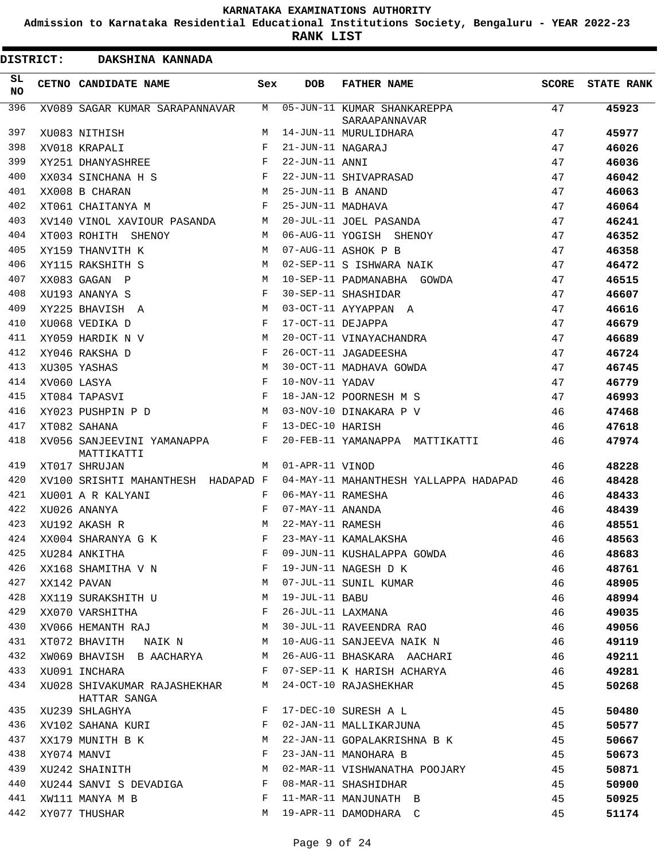**Admission to Karnataka Residential Educational Institutions Society, Bengaluru - YEAR 2022-23**

|                 | <b>DISTRICT:</b> | DAKSHINA KANNADA                         |              |                   |                                              |              |                   |
|-----------------|------------------|------------------------------------------|--------------|-------------------|----------------------------------------------|--------------|-------------------|
| SL<br><b>NO</b> |                  | CETNO CANDIDATE NAME                     | Sex          | <b>DOB</b>        | <b>FATHER NAME</b>                           | <b>SCORE</b> | <b>STATE RANK</b> |
| 396             |                  | XV089 SAGAR KUMAR SARAPANNAVAR           | M            |                   | 05-JUN-11 KUMAR SHANKAREPPA<br>SARAAPANNAVAR | 47           | 45923             |
| 397             |                  | XU083 NITHISH                            | М            |                   | 14-JUN-11 MURULIDHARA                        | 47           | 45977             |
| 398             |                  | XV018 KRAPALI                            | F            | 21-JUN-11 NAGARAJ |                                              | 47           | 46026             |
| 399             |                  | XY251 DHANYASHREE                        | F            | 22-JUN-11 ANNI    |                                              | 47           | 46036             |
| 400             |                  | XX034 SINCHANA H S                       | F            |                   | 22-JUN-11 SHIVAPRASAD                        | 47           | 46042             |
| 401             |                  | XX008 B CHARAN                           | М            | 25-JUN-11 B ANAND |                                              | 47           | 46063             |
| 402             |                  | XT061 CHAITANYA M                        | F            | 25-JUN-11 MADHAVA |                                              | 47           | 46064             |
| 403             |                  | XV140 VINOL XAVIOUR PASANDA              | М            |                   | 20-JUL-11 JOEL PASANDA                       | 47           | 46241             |
| 404             |                  | XT003 ROHITH SHENOY                      | M            |                   | 06-AUG-11 YOGISH SHENOY                      | 47           | 46352             |
| 405             |                  | XY159 THANVITH K                         | M            |                   | 07-AUG-11 ASHOK P B                          | 47           | 46358             |
| 406             |                  | XY115 RAKSHITH S                         | M            |                   | 02-SEP-11 S ISHWARA NAIK                     | 47           | 46472             |
| 407             |                  | XX083 GAGAN P                            | M            |                   | 10-SEP-11 PADMANABHA GOWDA                   | 47           | 46515             |
| 408             |                  | XU193 ANANYA S                           | F            |                   | 30-SEP-11 SHASHIDAR                          | 47           | 46607             |
| 409             |                  | XY225 BHAVISH A                          | M            |                   | 03-OCT-11 AYYAPPAN A                         | 47           | 46616             |
| 410             |                  | XU068 VEDIKA D                           | $_{\rm F}$   | 17-OCT-11 DEJAPPA |                                              | 47           | 46679             |
| 411             |                  | XY059 HARDIK N V                         | M            |                   | 20-OCT-11 VINAYACHANDRA                      | 47           | 46689             |
| 412             |                  | XY046 RAKSHA D                           | F            |                   | 26-OCT-11 JAGADEESHA                         | 47           | 46724             |
| 413             |                  | XU305 YASHAS                             | M            |                   | 30-OCT-11 MADHAVA GOWDA                      | 47           | 46745             |
| 414             |                  | XV060 LASYA                              | F            | 10-NOV-11 YADAV   |                                              | 47           | 46779             |
| 415             |                  | XT084 TAPASVI                            | F            |                   | 18-JAN-12 POORNESH M S                       | 47           | 46993             |
| 416             |                  | XY023 PUSHPIN P D                        | M            |                   | 03-NOV-10 DINAKARA P V                       | 46           | 47468             |
| 417             |                  | XT082 SAHANA                             | F            | 13-DEC-10 HARISH  |                                              | 46           | 47618             |
| 418             |                  | XV056 SANJEEVINI YAMANAPPA<br>MATTIKATTI | F            |                   | 20-FEB-11 YAMANAPPA MATTIKATTI               | 46           | 47974             |
| 419             |                  | XT017 SHRUJAN                            | M            | 01-APR-11 VINOD   |                                              | 46           | 48228             |
| 420             |                  | XV100 SRISHTI MAHANTHESH HADAPAD F       |              |                   | 04-MAY-11 MAHANTHESH YALLAPPA HADAPAD        | 46           | 48428             |
| 421             |                  | XU001 A R KALYANI                        | F            | 06-MAY-11 RAMESHA |                                              | 46           | 48433             |
| 422             |                  | XU026 ANANYA                             | F            | 07-MAY-11 ANANDA  |                                              | 46           | 48439             |
| 423             |                  | XU192 AKASH R                            | M            | 22-MAY-11 RAMESH  |                                              | 46           | 48551             |
| 424             |                  | XX004 SHARANYA G K                       | F            |                   | 23-MAY-11 KAMALAKSHA                         | 46           | 48563             |
| 425             |                  | XU284 ANKITHA                            | F            |                   | 09-JUN-11 KUSHALAPPA GOWDA                   | 46           | 48683             |
| 426             |                  | XX168 SHAMITHA V N                       | F            |                   | 19-JUN-11 NAGESH D K                         | 46           | 48761             |
| 427             |                  | XX142 PAVAN                              | M            |                   | 07-JUL-11 SUNIL KUMAR                        | 46           | 48905             |
| 428             |                  | XX119 SURAKSHITH U                       | M            | 19-JUL-11 BABU    |                                              | 46           | 48994             |
| 429             |                  | XX070 VARSHITHA                          | F            |                   | 26-JUL-11 LAXMANA                            | 46           | 49035             |
| 430             |                  | XV066 HEMANTH RAJ                        | M            |                   | 30-JUL-11 RAVEENDRA RAO                      | 46           | 49056             |
| 431             |                  | XT072 BHAVITH NAIK N M                   |              |                   | 10-AUG-11 SANJEEVA NAIK N                    | 46           | 49119             |
| 432             |                  | XW069 BHAVISH B AACHARYA                 | M            |                   | 26-AUG-11 BHASKARA AACHARI                   | 46           | 49211             |
| 433             |                  | XU091 INCHARA                            | F            |                   | 07-SEP-11 K HARISH ACHARYA                   | 46           | 49281             |
| 434             |                  | XU028 SHIVAKUMAR RAJASHEKHAR             | M            |                   | 24-OCT-10 RAJASHEKHAR                        | 45           | 50268             |
| 435             |                  | HATTAR SANGA<br>XU239 SHLAGHYA           | F            |                   | 17-DEC-10 SURESH A L                         | 45           | 50480             |
| 436             |                  | XV102 SAHANA KURI                        | F            |                   | 02-JAN-11 MALLIKARJUNA                       | 45           | 50577             |
| 437             |                  |                                          | М            |                   | 22-JAN-11 GOPALAKRISHNA B K                  | 45           |                   |
| 438             |                  | XX179 MUNITH B K                         | F            |                   |                                              |              | 50667             |
|                 |                  | XY074 MANVI                              |              |                   | 23-JAN-11 MANOHARA B                         | 45           | 50673             |
| 439             |                  | XU242 SHAINITH                           | M            |                   | 02-MAR-11 VISHWANATHA POOJARY                | 45           | 50871             |
| 440             |                  | XU244 SANVI S DEVADIGA                   | $\mathbf{F}$ |                   | 08-MAR-11 SHASHIDHAR                         | 45           | 50900             |
| 441             |                  | XW111 MANYA M B                          | F            |                   | 11-MAR-11 MANJUNATH B                        | 45           | 50925             |
| 442             |                  | XY077 THUSHAR                            | M            |                   | 19-APR-11 DAMODHARA C                        | 45           | 51174             |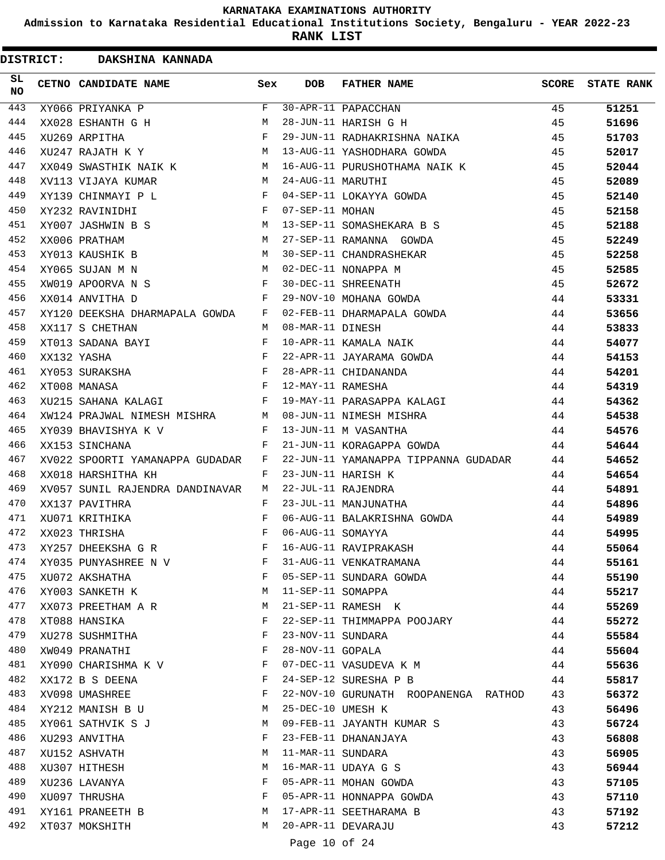**Admission to Karnataka Residential Educational Institutions Society, Bengaluru - YEAR 2022-23**

**RANK LIST**

| <b>DISTRICT:</b> | DAKSHINA KANNADA                |              |                   |                                      |       |                   |
|------------------|---------------------------------|--------------|-------------------|--------------------------------------|-------|-------------------|
| SL<br><b>NO</b>  | CETNO CANDIDATE NAME            | Sex          | <b>DOB</b>        | <b>FATHER NAME</b>                   | SCORE | <b>STATE RANK</b> |
| 443              | XY066 PRIYANKA P                | F            |                   | 30-APR-11 PAPACCHAN                  | 45    | 51251             |
| 444              | XX028 ESHANTH G H               | M            |                   | 28-JUN-11 HARISH G H                 | 45    | 51696             |
| 445              | XU269 ARPITHA                   | F            |                   | 29-JUN-11 RADHAKRISHNA NAIKA         | 45    | 51703             |
| 446              | XU247 RAJATH K Y                | М            |                   | 13-AUG-11 YASHODHARA GOWDA           | 45    | 52017             |
| 447              | XX049 SWASTHIK NAIK K           | M            |                   | 16-AUG-11 PURUSHOTHAMA NAIK K        | 45    | 52044             |
| 448              | XV113 VIJAYA KUMAR              | M            | 24-AUG-11 MARUTHI |                                      | 45    | 52089             |
| 449              | XY139 CHINMAYI P L              | F            |                   | 04-SEP-11 LOKAYYA GOWDA              | 45    | 52140             |
| 450              | XY232 RAVINIDHI                 | $\mathbf{F}$ | 07-SEP-11 MOHAN   |                                      | 45    | 52158             |
| 451              | XY007 JASHWIN B S               | M            |                   | 13-SEP-11 SOMASHEKARA B S            | 45    | 52188             |
| 452              | XX006 PRATHAM                   | M            |                   | 27-SEP-11 RAMANNA GOWDA              | 45    | 52249             |
| 453              | XY013 KAUSHIK B                 | M            |                   | 30-SEP-11 CHANDRASHEKAR              | 45    | 52258             |
| 454              | XY065 SUJAN M N                 | M            |                   | 02-DEC-11 NONAPPA M                  | 45    | 52585             |
| 455              | XW019 APOORVA N S               | F            |                   | 30-DEC-11 SHREENATH                  | 45    | 52672             |
| 456              | XX014 ANVITHA D                 | F            |                   | 29-NOV-10 MOHANA GOWDA               | 44    | 53331             |
| 457              | XY120 DEEKSHA DHARMAPALA GOWDA  | F            |                   | 02-FEB-11 DHARMAPALA GOWDA           | 44    | 53656             |
| 458              | XX117 S CHETHAN                 | M            | 08-MAR-11 DINESH  |                                      | 44    | 53833             |
| 459              | XT013 SADANA BAYI               | F            |                   | 10-APR-11 KAMALA NAIK                | 44    | 54077             |
| 460              | XX132 YASHA                     | F            |                   | 22-APR-11 JAYARAMA GOWDA             | 44    | 54153             |
| 461              | XY053 SURAKSHA                  | $_{\rm F}$   |                   | 28-APR-11 CHIDANANDA                 | 44    | 54201             |
| 462              | XT008 MANASA                    | F            | 12-MAY-11 RAMESHA |                                      | 44    | 54319             |
| 463              | XU215 SAHANA KALAGI             | F            |                   | 19-MAY-11 PARASAPPA KALAGI           | 44    | 54362             |
| 464              | XW124 PRAJWAL NIMESH MISHRA     | M            |                   | 08-JUN-11 NIMESH MISHRA              | 44    | 54538             |
| 465              | XY039 BHAVISHYA K V             | F            |                   | 13-JUN-11 M VASANTHA                 | 44    | 54576             |
| 466              | XX153 SINCHANA                  | F            |                   | 21-JUN-11 KORAGAPPA GOWDA            | 44    | 54644             |
| 467              | XV022 SPOORTI YAMANAPPA GUDADAR | F            |                   | 22-JUN-11 YAMANAPPA TIPPANNA GUDADAR | 44    | 54652             |
| 468              | XX018 HARSHITHA KH              | F            |                   | 23-JUN-11 HARISH K                   | 44    | 54654             |
| 469              | XV057 SUNIL RAJENDRA DANDINAVAR | M            |                   | 22-JUL-11 RAJENDRA                   | 44    | 54891             |
| 470              | XX137 PAVITHRA                  | F            |                   | 23-JUL-11 MANJUNATHA                 | 44    | 54896             |
| 471              | XU071 KRITHIKA                  | F            |                   | 06-AUG-11 BALAKRISHNA GOWDA          | 44    | 54989             |
| 472              | XX023 THRISHA                   | F            | 06-AUG-11 SOMAYYA |                                      | 44    | 54995             |
| 473              | XY257 DHEEKSHA G R              | F            |                   | 16-AUG-11 RAVIPRAKASH                | 44    | 55064             |
| 474              | XY035 PUNYASHREE N V            | F            |                   | 31-AUG-11 VENKATRAMANA               | 44    | 55161             |
| 475              | XU072 AKSHATHA                  | $\mathbf{F}$ |                   | 05-SEP-11 SUNDARA GOWDA              | 44    | 55190             |
| 476              | XY003 SANKETH K                 | М            | 11-SEP-11 SOMAPPA |                                      | 44    | 55217             |
| 477              | XX073 PREETHAM A R              | M            |                   | 21-SEP-11 RAMESH K                   | 44    | 55269             |
| 478              | XT088 HANSIKA                   | F            |                   | 22-SEP-11 THIMMAPPA POOJARY          | 44    | 55272             |
| 479              | XU278 SUSHMITHA                 | F            | 23-NOV-11 SUNDARA |                                      | 44    | 55584             |
| 480              | XW049 PRANATHI                  | F            | 28-NOV-11 GOPALA  |                                      | 44    | 55604             |
| 481              | XY090 CHARISHMA K V             | F            |                   | 07-DEC-11 VASUDEVA K M               | 44    | 55636             |
| 482              | XX172 B S DEENA                 | F            |                   | 24-SEP-12 SURESHA P B                | 44    | 55817             |
| 483              | XV098 UMASHREE                  | F            |                   | 22-NOV-10 GURUNATH ROOPANENGA RATHOD | 43    | 56372             |
| 484              | XY212 MANISH B U                | М            | 25-DEC-10 UMESH K |                                      | 43    | 56496             |
| 485              | XY061 SATHVIK S J               | M            |                   | 09-FEB-11 JAYANTH KUMAR S            | 43    | 56724             |
| 486              | XU293 ANVITHA                   | F            |                   | 23-FEB-11 DHANANJAYA                 | 43    | 56808             |
| 487              | XU152 ASHVATH                   | М            | 11-MAR-11 SUNDARA |                                      | 43    | 56905             |
| 488              | XU307 HITHESH                   | М            |                   | 16-MAR-11 UDAYA G S                  | 43    | 56944             |
| 489              | XU236 LAVANYA                   | F            |                   | 05-APR-11 MOHAN GOWDA                | 43    | 57105             |
| 490              | XU097 THRUSHA                   | F            |                   | 05-APR-11 HONNAPPA GOWDA             | 43    | 57110             |
| 491              | XY161 PRANEETH B                | M            |                   | 17-APR-11 SEETHARAMA B               | 43    | 57192             |
| 492              | XT037 MOKSHITH                  | M            |                   | 20-APR-11 DEVARAJU                   | 43    | 57212             |
|                  |                                 |              |                   |                                      |       |                   |

Page 10 of 24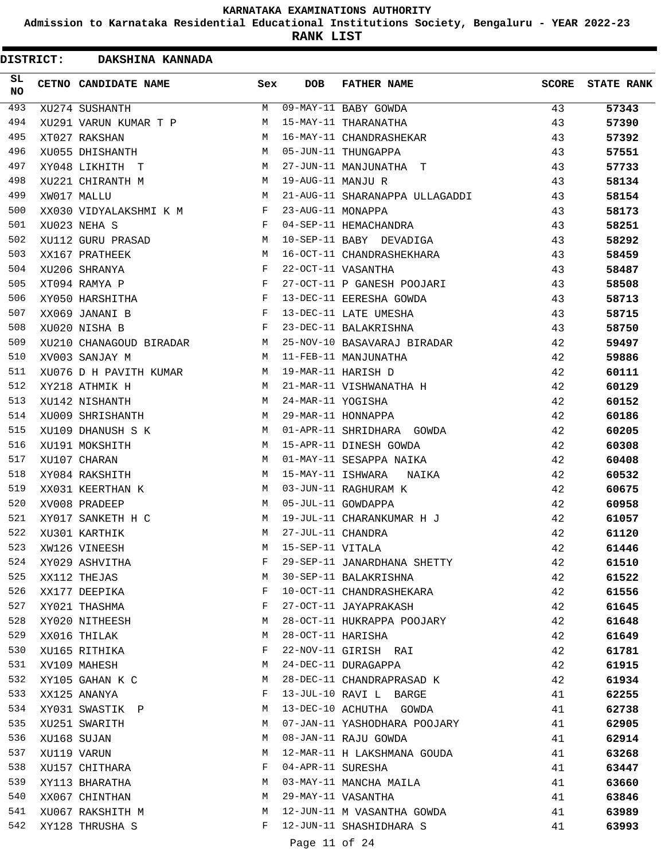**Admission to Karnataka Residential Educational Institutions Society, Bengaluru - YEAR 2022-23**

|                 | <b>DISTRICT:</b> | DAKSHINA KANNADA                |     |                   |                                |              |                   |
|-----------------|------------------|---------------------------------|-----|-------------------|--------------------------------|--------------|-------------------|
| SL<br><b>NO</b> |                  | CETNO CANDIDATE NAME            | Sex | <b>DOB</b>        | <b>FATHER NAME</b>             | <b>SCORE</b> | <b>STATE RANK</b> |
| 493             |                  | XU274 SUSHANTH                  | M   |                   | 09-MAY-11 BABY GOWDA           | 43           | 57343             |
| 494             |                  | XU291 VARUN KUMAR T P           | M   |                   | 15-MAY-11 THARANATHA           | 43           | 57390             |
| 495             |                  | XT027 RAKSHAN                   | M   |                   | 16-MAY-11 CHANDRASHEKAR        | 43           | 57392             |
| 496             |                  | XU055 DHISHANTH                 | M   |                   | 05-JUN-11 THUNGAPPA            | 43           | 57551             |
| 497             |                  | XY048 LIKHITH T                 | M   |                   | 27-JUN-11 MANJUNATHA T         | 43           | 57733             |
| 498             |                  | XU221 CHIRANTH M                | M   | 19-AUG-11 MANJU R |                                | 43           | 58134             |
| 499             |                  | XW017 MALLU                     | M   |                   | 21-AUG-11 SHARANAPPA ULLAGADDI | 43           | 58154             |
| 500             |                  | XX030 VIDYALAKSHMI K M          | F   | 23-AUG-11 MONAPPA |                                | 43           | 58173             |
| 501             |                  | XU023 NEHA S                    | F   |                   | 04-SEP-11 HEMACHANDRA          | 43           | 58251             |
| 502             |                  | XU112 GURU PRASAD               | М   |                   | 10-SEP-11 BABY DEVADIGA        | 43           | 58292             |
| 503             |                  | XX167 PRATHEEK                  | M   |                   | 16-OCT-11 CHANDRASHEKHARA      | 43           | 58459             |
| 504             |                  | XU206 SHRANYA                   | F   |                   | 22-OCT-11 VASANTHA             | 43           | 58487             |
| 505             |                  | XT094 RAMYA P                   | F   |                   | 27-OCT-11 P GANESH POOJARI     | 43           | 58508             |
| 506             |                  | XY050 HARSHITHA                 | F   |                   | 13-DEC-11 EERESHA GOWDA        | 43           | 58713             |
| 507             |                  | XX069 JANANI B                  | F   |                   | 13-DEC-11 LATE UMESHA          | 43           | 58715             |
| 508             |                  | XU020 NISHA B                   | F   |                   | 23-DEC-11 BALAKRISHNA          | 43           | 58750             |
| 509             |                  | XU210 CHANAGOUD BIRADAR         | M   |                   | 25-NOV-10 BASAVARAJ BIRADAR    | 42           | 59497             |
| 510             |                  | XV003 SANJAY M                  | M   |                   | 11-FEB-11 MANJUNATHA           | 42           | 59886             |
| 511             |                  | XU076 D H PAVITH KUMAR          | М   |                   | 19-MAR-11 HARISH D             | 42           | 60111             |
| 512             |                  | XY218 ATHMIK H                  | M   |                   | 21-MAR-11 VISHWANATHA H        | 42           | 60129             |
| 513             |                  | XU142 NISHANTH                  | M   | 24-MAR-11 YOGISHA |                                | 42           | 60152             |
| 514             |                  | XU009 SHRISHANTH                | М   |                   | 29-MAR-11 HONNAPPA             | 42           | 60186             |
| 515             |                  | XU109 DHANUSH S K               | M   |                   | 01-APR-11 SHRIDHARA GOWDA      | 42           | 60205             |
| 516             |                  | XU191 MOKSHITH                  | М   |                   | 15-APR-11 DINESH GOWDA         | 42           | 60308             |
| 517             |                  | XU107 CHARAN                    | M   |                   | 01-MAY-11 SESAPPA NAIKA        | 42           | 60408             |
| 518             |                  | XY084 RAKSHITH                  | М   | 15-MAY-11 ISHWARA | NAIKA                          | 42           | 60532             |
| 519             |                  | XX031 KEERTHAN K                | M   |                   | 03-JUN-11 RAGHURAM K           | 42           | 60675             |
| 520             |                  | XV008 PRADEEP                   | M   |                   | 05-JUL-11 GOWDAPPA             | 42           | 60958             |
| 521             |                  | XY017 SANKETH H C               | M   |                   | 19-JUL-11 CHARANKUMAR H J      | 42           | 61057             |
| 522             |                  | XU301 KARTHIK                   | M   | 27-JUL-11 CHANDRA |                                | 42           | 61120             |
| 523             |                  | XW126 VINEESH                   | М   | 15-SEP-11 VITALA  |                                | 42           | 61446             |
| 524             |                  | XY029 ASHVITHA                  | F   |                   | 29-SEP-11 JANARDHANA SHETTY    | 42           | 61510             |
| 525             |                  | XX112 THEJAS                    | M   |                   | 30-SEP-11 BALAKRISHNA          | 42           | 61522             |
| 526             |                  | XX177 DEEPIKA                   | F   |                   | 10-OCT-11 CHANDRASHEKARA       | 42           | 61556             |
| 527             |                  |                                 | F   |                   | 27-OCT-11 JAYAPRAKASH          | 42           |                   |
| 528             |                  | XY021 THASHMA<br>XY020 NITHEESH | М   |                   | 28-OCT-11 HUKRAPPA POOJARY     | 42           | 61645<br>61648    |
| 529             |                  | XX016 THILAK                    | М   | 28-OCT-11 HARISHA |                                | 42           | 61649             |
| 530             |                  |                                 | F   |                   |                                |              |                   |
| 531             |                  | XU165 RITHIKA                   |     |                   | 22-NOV-11 GIRISH RAI           | 42           | 61781             |
| 532             |                  | XV109 MAHESH                    | М   |                   | 24-DEC-11 DURAGAPPA            | 42           | 61915             |
|                 |                  | XY105 GAHAN K C                 | М   |                   | 28-DEC-11 CHANDRAPRASAD K      | 42           | 61934             |
| 533             |                  | XX125 ANANYA                    | F   |                   | 13-JUL-10 RAVI L BARGE         | 41           | 62255             |
| 534             |                  | XY031 SWASTIK P                 | М   |                   | 13-DEC-10 ACHUTHA GOWDA        | 41           | 62738             |
| 535             |                  | XU251 SWARITH                   | M   |                   | 07-JAN-11 YASHODHARA POOJARY   | 41           | 62905             |
| 536             |                  | XU168 SUJAN                     | М   |                   | 08-JAN-11 RAJU GOWDA           | 41           | 62914             |
| 537             |                  | XU119 VARUN                     | М   |                   | 12-MAR-11 H LAKSHMANA GOUDA    | 41           | 63268             |
| 538             |                  | XU157 CHITHARA                  | F   | 04-APR-11 SURESHA |                                | 41           | 63447             |
| 539             |                  | XY113 BHARATHA                  | М   |                   | 03-MAY-11 MANCHA MAILA         | 41           | 63660             |
| 540             |                  | XX067 CHINTHAN                  | М   |                   | 29-MAY-11 VASANTHA             | 41           | 63846             |
| 541             |                  | XU067 RAKSHITH M                | М   |                   | 12-JUN-11 M VASANTHA GOWDA     | 41           | 63989             |
| 542             |                  | XY128 THRUSHA S                 | F   |                   | 12-JUN-11 SHASHIDHARA S        | 41           | 63993             |
|                 |                  |                                 |     | Page 11 of 24     |                                |              |                   |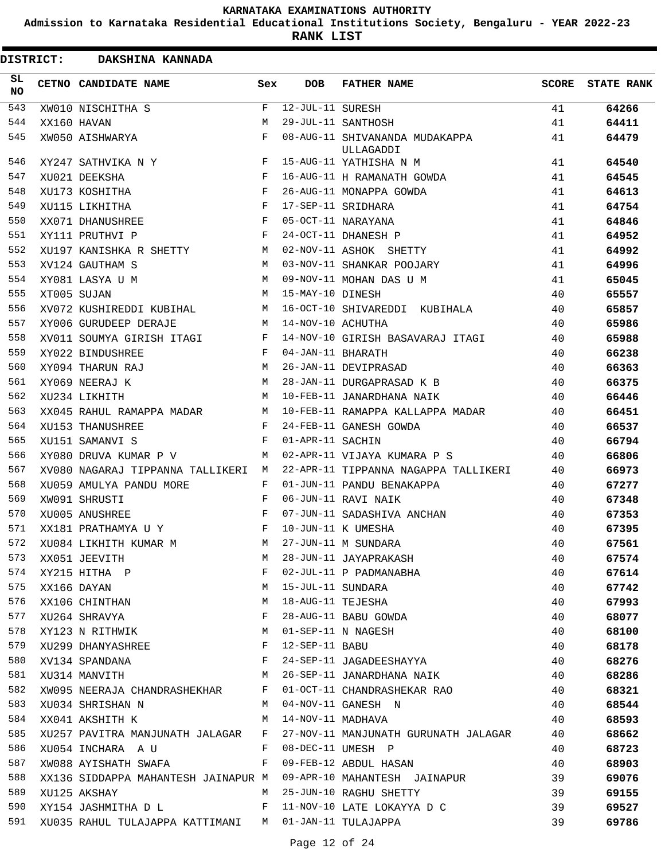**Admission to Karnataka Residential Educational Institutions Society, Bengaluru - YEAR 2022-23**

**RANK LIST**

 $\blacksquare$ 

| <b>DISTRICT:</b> | DAKSHINA KANNADA                                      |       |                        |                                             |       |                   |
|------------------|-------------------------------------------------------|-------|------------------------|---------------------------------------------|-------|-------------------|
| SL<br><b>NO</b>  | CETNO CANDIDATE NAME                                  | Sex   | <b>DOB</b>             | <b>FATHER NAME</b>                          | SCORE | <b>STATE RANK</b> |
| 543              | XW010 NISCHITHA S                                     | F     | $12 - JUL - 11$ SURESH |                                             | 41    | 64266             |
| 544              | XX160 HAVAN                                           | М     |                        | 29-JUL-11 SANTHOSH                          | 41    | 64411             |
| 545              | XW050 AISHWARYA                                       | F     |                        | 08-AUG-11 SHIVANANDA MUDAKAPPA<br>ULLAGADDI | 41    | 64479             |
| 546              | XY247 SATHVIKA N Y                                    | $F$ – |                        | 15-AUG-11 YATHISHA N M                      | 41    | 64540             |
| 547              | XU021 DEEKSHA                                         | F     |                        | 16-AUG-11 H RAMANATH GOWDA                  | 41    | 64545             |
| 548              | XU173 KOSHITHA                                        | F     |                        | 26-AUG-11 MONAPPA GOWDA                     | 41    | 64613             |
| 549              | XU115 LIKHITHA                                        | F     |                        | 17-SEP-11 SRIDHARA                          | 41    | 64754             |
| 550              | XX071 DHANUSHREE                                      | F     |                        | 05-OCT-11 NARAYANA                          | 41    | 64846             |
| 551              | XY111 PRUTHVI P                                       | F     |                        | 24-OCT-11 DHANESH P                         | 41    | 64952             |
| 552              | XU197 KANISHKA R SHETTY                               | M     |                        | 02-NOV-11 ASHOK SHETTY                      | 41    | 64992             |
| 553              | XV124 GAUTHAM S                                       | M     |                        | 03-NOV-11 SHANKAR POOJARY                   | 41    | 64996             |
| 554              | XY081 LASYA U M                                       | M     |                        | 09-NOV-11 MOHAN DAS U M                     | 41    | 65045             |
| 555              | XT005 SUJAN                                           |       | M 15-MAY-10 DINESH     |                                             | 40    | 65557             |
| 556              | XV072 KUSHIREDDI KUBIHAL                              |       |                        | M 16-OCT-10 SHIVAREDDI KUBIHALA             | 40    | 65857             |
| 557              | XY006 GURUDEEP DERAJE                                 |       | M 14-NOV-10 ACHUTHA    |                                             | 40    | 65986             |
| 558              | XV011 SOUMYA GIRISH ITAGI                             |       |                        | F 14-NOV-10 GIRISH BASAVARAJ ITAGI          | 40    | 65988             |
| 559              | XY022 BINDUSHREE                                      | F     | 04-JAN-11 BHARATH      |                                             | 40    | 66238             |
| 560              | XY094 THARUN RAJ                                      | M     |                        | 26-JAN-11 DEVIPRASAD                        | 40    | 66363             |
| 561              | XY069 NEERAJ K                                        | M     |                        | 28-JAN-11 DURGAPRASAD K B                   | 40    | 66375             |
| 562              | XU234 LIKHITH                                         | M     |                        | 10-FEB-11 JANARDHANA NAIK                   | 40    | 66446             |
| 563              | XX045 RAHUL RAMAPPA MADAR                             |       |                        | M 10-FEB-11 RAMAPPA KALLAPPA MADAR          | 40    | 66451             |
| 564              | XU153 THANUSHREE                                      | F     |                        | 24-FEB-11 GANESH GOWDA                      | 40    | 66537             |
| 565              | XU151 SAMANVI S                                       | F     | 01-APR-11 SACHIN       |                                             | 40    | 66794             |
| 566              | XY080 DRUVA KUMAR P V                                 | M     |                        | 02-APR-11 VIJAYA KUMARA P S                 | 40    | 66806             |
| 567              | XV080 NAGARAJ TIPPANNA TALLIKERI M                    |       |                        | 22-APR-11 TIPPANNA NAGAPPA TALLIKERI        | 40    | 66973             |
| 568              | XU059 AMULYA PANDU MORE                               | F     |                        | 01-JUN-11 PANDU BENAKAPPA                   | 40    | 67277             |
| 569              | XW091 SHRUSTI                                         | F     |                        | 06-JUN-11 RAVI NAIK                         | 40    | 67348             |
| 570              | XU005 ANUSHREE                                        | F     |                        | 07-JUN-11 SADASHIVA ANCHAN                  | 40    | 67353             |
| 571              | XX181 PRATHAMYA U Y                                   | F     |                        | 10-JUN-11 K UMESHA                          | 40    | 67395             |
| 572              | XU084 LIKHITH KUMAR M                                 | М     |                        | 27-JUN-11 M SUNDARA                         | 40    | 67561             |
| 573              | XX051 JEEVITH                                         | M     |                        | 28-JUN-11 JAYAPRAKASH                       | 40    | 67574             |
| 574              | XY215 HITHA P                                         | F     |                        | 02-JUL-11 P PADMANABHA                      | 40    | 67614             |
| 575              | XX166 DAYAN                                           | М     | 15-JUL-11 SUNDARA      |                                             | 40    | 67742             |
| 576              | XX106 CHINTHAN                                        | М     | 18-AUG-11 TEJESHA      |                                             | 40    | 67993             |
| 577              | XU264 SHRAVYA                                         | F     |                        | 28-AUG-11 BABU GOWDA                        | 40    | 68077             |
| 578              | XY123 N RITHWIK                                       | M     |                        | 01-SEP-11 N NAGESH                          | 40    | 68100             |
| 579              | XU299 DHANYASHREE                                     | F     | 12-SEP-11 BABU         |                                             | 40    | 68178             |
| 580              | XV134 SPANDANA                                        | F     |                        | 24-SEP-11 JAGADEESHAYYA                     | 40    | 68276             |
| 581              | XU314 MANVITH                                         | М     |                        | 26-SEP-11 JANARDHANA NAIK                   | 40    | 68286             |
| 582              | XW095 NEERAJA CHANDRASHEKHAR                          | F     |                        | 01-OCT-11 CHANDRASHEKAR RAO                 | 40    | 68321             |
| 583              | XU034 SHRISHAN N                                      | М     |                        | 04-NOV-11 GANESH N                          | 40    | 68544             |
| 584              | XX041 AKSHITH K                                       | м     | 14-NOV-11 MADHAVA      |                                             | 40    | 68593             |
| 585              | XU257 PAVITRA MANJUNATH JALAGAR                       | F     |                        | 27-NOV-11 MANJUNATH GURUNATH JALAGAR        | 40    | 68662             |
| 586              | XU054 INCHARA A U                                     | F     |                        | 08-DEC-11 UMESH P                           | 40    | 68723             |
| 587              | XW088 AYISHATH SWAFA                                  | F     |                        | 09-FEB-12 ABDUL HASAN                       | 40    | 68903             |
| 588              | XX136 SIDDAPPA MAHANTESH JAINAPUR M                   |       |                        | 09-APR-10 MAHANTESH JAINAPUR                | 39    | 69076             |
| 589              | XU125 AKSHAY                                          | М     |                        | 25-JUN-10 RAGHU SHETTY                      | 39    | 69155             |
| 590              | XY154 JASHMITHA D L                                   | F     |                        | 11-NOV-10 LATE LOKAYYA D C                  | 39    | 69527             |
| 591              | XU035 RAHUL TULAJAPPA KATTIMANI M 01-JAN-11 TULAJAPPA |       |                        |                                             | 39    | 69786             |
|                  |                                                       |       |                        |                                             |       |                   |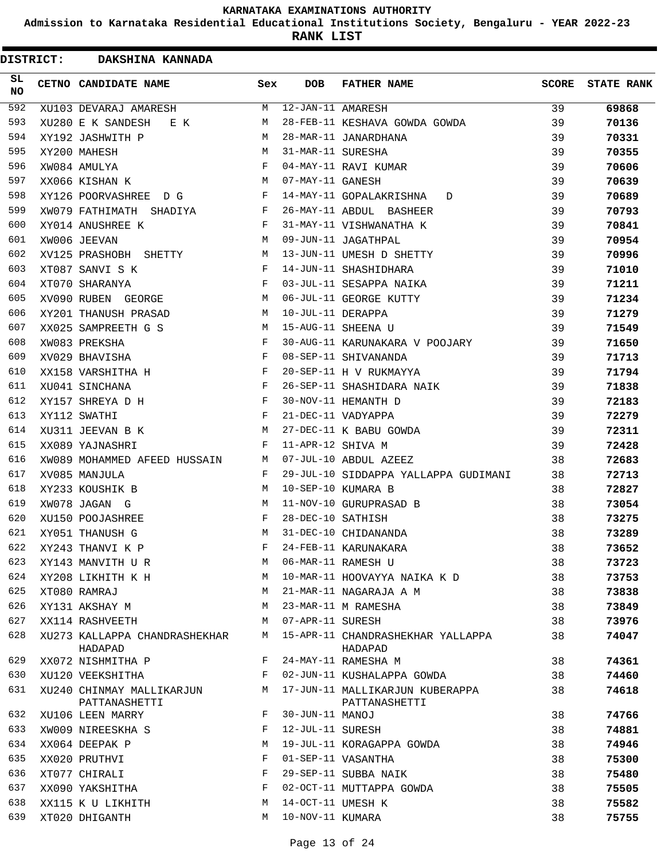**Admission to Karnataka Residential Educational Institutions Society, Bengaluru - YEAR 2022-23**

| <b>DISTRICT:</b> | DAKSHINA KANNADA                           |     |                   |                                                  |              |                   |
|------------------|--------------------------------------------|-----|-------------------|--------------------------------------------------|--------------|-------------------|
| SL<br><b>NO</b>  | CETNO CANDIDATE NAME                       | Sex | <b>DOB</b>        | <b>FATHER NAME</b>                               | <b>SCORE</b> | <b>STATE RANK</b> |
| 592              | XU103 DEVARAJ AMARESH                      | M   | 12-JAN-11 AMARESH |                                                  | 39           | 69868             |
| 593              | XU280 E K SANDESH<br>E K                   | M   |                   | 28-FEB-11 KESHAVA GOWDA GOWDA                    | 39           | 70136             |
| 594              | XY192 JASHWITH P                           | M   |                   | 28-MAR-11 JANARDHANA                             | 39           | 70331             |
| 595              | XY200 MAHESH                               | M   | 31-MAR-11 SURESHA |                                                  | 39           | 70355             |
| 596              | XW084 AMULYA                               | F   |                   | 04-MAY-11 RAVI KUMAR                             | 39           | 70606             |
| 597              | XX066 KISHAN K                             | M   | 07-MAY-11 GANESH  |                                                  | 39           | 70639             |
| 598              | XY126 POORVASHREE D G                      | F   |                   | 14-MAY-11 GOPALAKRISHNA<br>D                     | 39           | 70689             |
| 599              | XW079 FATHIMATH SHADIYA                    | F   |                   | 26-MAY-11 ABDUL BASHEER                          | 39           | 70793             |
| 600              | XY014 ANUSHREE K                           | F   |                   | 31-MAY-11 VISHWANATHA K                          | 39           | 70841             |
| 601              | XW006 JEEVAN                               | M   |                   | 09-JUN-11 JAGATHPAL                              | 39           | 70954             |
| 602              | XV125 PRASHOBH SHETTY                      | M   |                   | 13-JUN-11 UMESH D SHETTY                         | 39           | 70996             |
| 603              | XT087 SANVI S K                            | F   |                   | 14-JUN-11 SHASHIDHARA                            | 39           | 71010             |
| 604              | XT070 SHARANYA                             | F   |                   | 03-JUL-11 SESAPPA NAIKA                          | 39           | 71211             |
| 605              | XV090 RUBEN GEORGE                         | М   |                   | 06-JUL-11 GEORGE KUTTY                           | 39           | 71234             |
| 606              | XY201 THANUSH PRASAD                       | M   | 10-JUL-11 DERAPPA |                                                  | 39           | 71279             |
| 607              | XX025 SAMPREETH G S                        | M   |                   | 15-AUG-11 SHEENA U                               | 39           | 71549             |
| 608              | XW083 PREKSHA                              | F   |                   | 30-AUG-11 KARUNAKARA V POOJARY                   | 39           | 71650             |
| 609              | XV029 BHAVISHA                             | F   |                   | 08-SEP-11 SHIVANANDA                             | 39           | 71713             |
| 610              | XX158 VARSHITHA H                          | F   |                   | 20-SEP-11 H V RUKMAYYA                           | 39           | 71794             |
| 611              | XU041 SINCHANA                             | F   |                   | 26-SEP-11 SHASHIDARA NAIK                        | 39           | 71838             |
| 612              | XY157 SHREYA D H                           | F   |                   | 30-NOV-11 HEMANTH D                              | 39           | 72183             |
| 613              | XY112 SWATHI                               | F   |                   | 21-DEC-11 VADYAPPA                               | 39           | 72279             |
| 614              | XU311 JEEVAN B K                           | M   |                   | 27-DEC-11 K BABU GOWDA                           | 39           | 72311             |
| 615              | XX089 YAJNASHRI                            | F   | 11-APR-12 SHIVA M |                                                  | 39           | 72428             |
| 616              | XW089 MOHAMMED AFEED HUSSAIN               | М   |                   | 07-JUL-10 ABDUL AZEEZ                            | 38           | 72683             |
| 617              | XV085 MANJULA                              | F   |                   | 29-JUL-10 SIDDAPPA YALLAPPA GUDIMANI             | 38           | 72713             |
| 618              | XY233 KOUSHIK B                            | M   |                   | 10-SEP-10 KUMARA B                               | 38           | 72827             |
| 619              | XW078 JAGAN G                              | M   |                   | 11-NOV-10 GURUPRASAD B                           | 38           | 73054             |
| 620              | XU150 POOJASHREE                           | F   | 28-DEC-10 SATHISH |                                                  | 38           | 73275             |
| 621              | XY051 THANUSH G                            | M   |                   | 31-DEC-10 CHIDANANDA                             | 38           | 73289             |
| 622              | XY243 THANVI K P                           | F   |                   | 24-FEB-11 KARUNAKARA                             | 38           | 73652             |
| 623              | XY143 MANVITH U R                          | M   |                   | 06-MAR-11 RAMESH U                               | 38           | 73723             |
| 624              | XY208 LIKHITH K H                          | M   |                   | 10-MAR-11 HOOVAYYA NAIKA K D                     | 38           | 73753             |
| 625              | XT080 RAMRAJ                               | М   |                   | 21-MAR-11 NAGARAJA A M                           | 38           | 73838             |
| 626              | XY131 AKSHAY M                             | M   |                   | 23-MAR-11 M RAMESHA                              | 38           | 73849             |
| 627              | XX114 RASHVEETH                            | М   | 07-APR-11 SURESH  |                                                  | 38           | 73976             |
| 628              | XU273 KALLAPPA CHANDRASHEKHAR<br>HADAPAD   | М   |                   | 15-APR-11 CHANDRASHEKHAR YALLAPPA<br>HADAPAD     | 38           | 74047             |
| 629              | XX072 NISHMITHA P                          | F   |                   | 24-MAY-11 RAMESHA M                              | 38           | 74361             |
| 630              | XU120 VEEKSHITHA                           | F   |                   | 02-JUN-11 KUSHALAPPA GOWDA                       | 38           | 74460             |
| 631              | XU240 CHINMAY MALLIKARJUN<br>PATTANASHETTI | М   |                   | 17-JUN-11 MALLIKARJUN KUBERAPPA<br>PATTANASHETTI | 38           | 74618             |
| 632              | XU106 LEEN MARRY                           | F   | 30-JUN-11 MANOJ   |                                                  | 38           | 74766             |
| 633              | XW009 NIREESKHA S                          | F   | 12-JUL-11 SURESH  |                                                  | 38           | 74881             |
| 634              | XX064 DEEPAK P                             | М   |                   | 19-JUL-11 KORAGAPPA GOWDA                        | 38           | 74946             |
| 635              | XX020 PRUTHVI                              | F   |                   | 01-SEP-11 VASANTHA                               | 38           | 75300             |
| 636              | XT077 CHIRALI                              | F   |                   | 29-SEP-11 SUBBA NAIK                             | 38           | 75480             |
| 637              | XX090 YAKSHITHA                            | F   |                   | 02-OCT-11 MUTTAPPA GOWDA                         | 38           | 75505             |
| 638              | XX115 K U LIKHITH                          | М   | 14-OCT-11 UMESH K |                                                  | 38           | 75582             |
| 639              | XT020 DHIGANTH                             | М   | 10-NOV-11 KUMARA  |                                                  | 38           |                   |
|                  |                                            |     |                   |                                                  |              | 75755             |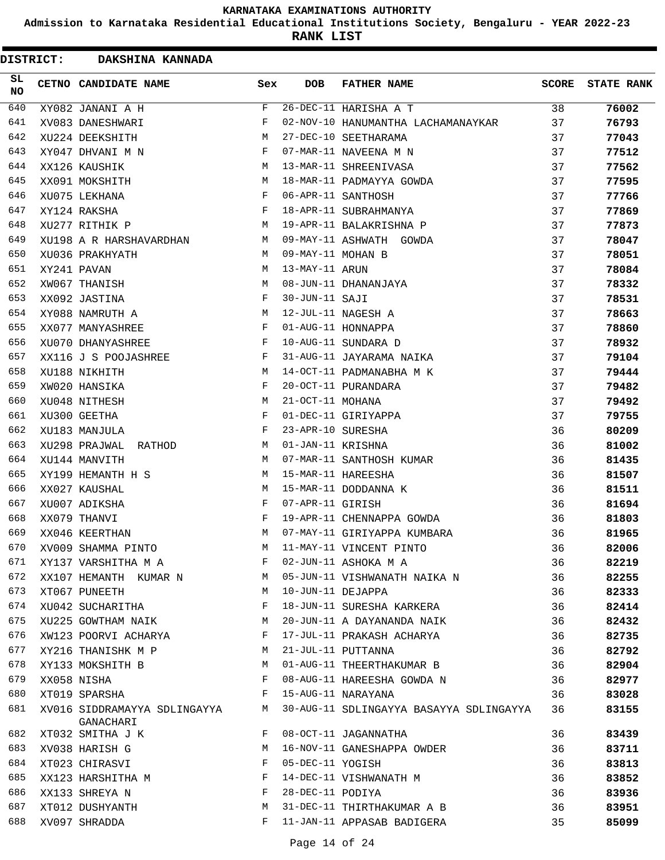**Admission to Karnataka Residential Educational Institutions Society, Bengaluru - YEAR 2022-23**

| <b>DISTRICT:</b> | DAKSHINA KANNADA              |             |                   |                                         |              |                   |
|------------------|-------------------------------|-------------|-------------------|-----------------------------------------|--------------|-------------------|
| SL<br><b>NO</b>  | CETNO CANDIDATE NAME          | Sex         | <b>DOB</b>        | <b>FATHER NAME</b>                      | <b>SCORE</b> | <b>STATE RANK</b> |
| 640              | XY082 JANANI A H              | $\mathbf F$ |                   | 26-DEC-11 HARISHA A T                   | 38           | 76002             |
| 641              | XV083 DANESHWARI              | F           |                   | 02-NOV-10 HANUMANTHA LACHAMANAYKAR      | 37           | 76793             |
| 642              | XU224 DEEKSHITH               | М           |                   | 27-DEC-10 SEETHARAMA                    | 37           | 77043             |
| 643              | XY047 DHVANI M N              | F           |                   | 07-MAR-11 NAVEENA M N                   | 37           | 77512             |
| 644              | XX126 KAUSHIK                 | М           |                   | 13-MAR-11 SHREENIVASA                   | 37           | 77562             |
| 645              | XX091 MOKSHITH                | М           |                   | 18-MAR-11 PADMAYYA GOWDA                | 37           | 77595             |
| 646              | XU075 LEKHANA                 | F           |                   | 06-APR-11 SANTHOSH                      | 37           | 77766             |
| 647              | XY124 RAKSHA                  | F           |                   | 18-APR-11 SUBRAHMANYA                   | 37           | 77869             |
| 648              | XU277 RITHIK P                | М           |                   | 19-APR-11 BALAKRISHNA P                 | 37           | 77873             |
| 649              | XU198 A R HARSHAVARDHAN       | М           |                   | 09-MAY-11 ASHWATH GOWDA                 | 37           | 78047             |
| 650              | XU036 PRAKHYATH               | M           | 09-MAY-11 MOHAN B |                                         | 37           | 78051             |
| 651              | XY241 PAVAN                   | M           | 13-MAY-11 ARUN    |                                         | 37           | 78084             |
| 652              | XW067 THANISH                 | M           |                   | 08-JUN-11 DHANANJAYA                    | 37           | 78332             |
| 653              | XX092 JASTINA                 | F           | 30-JUN-11 SAJI    |                                         | 37           | 78531             |
| 654              | XY088 NAMRUTH A               | М           |                   | 12-JUL-11 NAGESH A                      | 37           | 78663             |
| 655              | XX077 MANYASHREE              | F           |                   | 01-AUG-11 HONNAPPA                      | 37           | 78860             |
| 656              | XU070 DHANYASHREE             | F           |                   | 10-AUG-11 SUNDARA D                     | 37           | 78932             |
| 657              | XX116 J S POOJASHREE          | F           |                   | 31-AUG-11 JAYARAMA NAIKA                | 37           | 79104             |
| 658              | XU188 NIKHITH                 | М           |                   | 14-OCT-11 PADMANABHA M K                | 37           | 79444             |
| 659              | XW020 HANSIKA                 | F           |                   | 20-OCT-11 PURANDARA                     | 37           | 79482             |
| 660              | XU048 NITHESH                 | М           | 21-OCT-11 MOHANA  |                                         | 37           | 79492             |
| 661              | XU300 GEETHA                  | F           |                   | 01-DEC-11 GIRIYAPPA                     | 37           | 79755             |
| 662              | XU183 MANJULA                 | F           | 23-APR-10 SURESHA |                                         | 36           | 80209             |
| 663              | XU298 PRAJWAL<br>RATHOD       | М           | 01-JAN-11 KRISHNA |                                         | 36           | 81002             |
| 664              | XU144 MANVITH                 | M           |                   | 07-MAR-11 SANTHOSH KUMAR                | 36           | 81435             |
| 665              | XY199 HEMANTH H S             | М           |                   | 15-MAR-11 HAREESHA                      | 36           | 81507             |
| 666              | XX027 KAUSHAL                 | М           |                   | 15-MAR-11 DODDANNA K                    | 36           | 81511             |
| 667              | XU007 ADIKSHA                 | F           | 07-APR-11 GIRISH  |                                         | 36           | 81694             |
| 668              | XX079 THANVI                  | F           |                   | 19-APR-11 CHENNAPPA GOWDA               | 36           | 81803             |
| 669              | XX046 KEERTHAN                | M           |                   | 07-MAY-11 GIRIYAPPA KUMBARA             | 36           | 81965             |
| 670              | XV009 SHAMMA PINTO            | M           |                   | 11-MAY-11 VINCENT PINTO                 | 36           | 82006             |
| 671              | XY137 VARSHITHA M A           | F           |                   | 02-JUN-11 ASHOKA M A                    | 36           | 82219             |
| 672              | XX107 HEMANTH KUMAR N         | M           |                   | 05-JUN-11 VISHWANATH NAIKA N            | 36           | 82255             |
| 673              | XT067 PUNEETH                 | M           | 10-JUN-11 DEJAPPA |                                         | 36           | 82333             |
| 674              | XU042 SUCHARITHA              | F           |                   | 18-JUN-11 SURESHA KARKERA               | 36           | 82414             |
| 675              | XU225 GOWTHAM NAIK            | M           |                   | 20-JUN-11 A DAYANANDA NAIK              | 36           | 82432             |
| 676              | XW123 POORVI ACHARYA          | F           |                   | 17-JUL-11 PRAKASH ACHARYA               | 36           | 82735             |
| 677              | XY216 THANISHK M P            | M           |                   | 21-JUL-11 PUTTANNA                      | 36           | 82792             |
| 678              | XY133 MOKSHITH B              | M           |                   | 01-AUG-11 THEERTHAKUMAR B               | 36           | 82904             |
| 679              | XX058 NISHA                   | F           |                   | 08-AUG-11 HAREESHA GOWDA N              | 36           | 82977             |
| 680              | XT019 SPARSHA                 | F           |                   | 15-AUG-11 NARAYANA                      | 36           | 83028             |
| 681              | XV016 SIDDRAMAYYA SDLINGAYYA  | M           |                   | 30-AUG-11 SDLINGAYYA BASAYYA SDLINGAYYA | 36           | 83155             |
| 682              | GANACHARI<br>XT032 SMITHA J K | F           |                   | 08-OCT-11 JAGANNATHA                    | 36           | 83439             |
| 683              |                               | М           |                   | 16-NOV-11 GANESHAPPA OWDER              |              |                   |
|                  | XV038 HARISH G                |             |                   |                                         | 36           | 83711             |
| 684              | XT023 CHIRASVI                | F           | 05-DEC-11 YOGISH  |                                         | 36           | 83813             |
| 685              | XX123 HARSHITHA M             | F           |                   | 14-DEC-11 VISHWANATH M                  | 36           | 83852             |
| 686              | XX133 SHREYA N                | F           | 28-DEC-11 PODIYA  |                                         | 36           | 83936             |
| 687              | XT012 DUSHYANTH               | М           |                   | 31-DEC-11 THIRTHAKUMAR A B              | 36           | 83951             |
| 688              | XV097 SHRADDA                 | F           |                   | 11-JAN-11 APPASAB BADIGERA              | 35           | 85099             |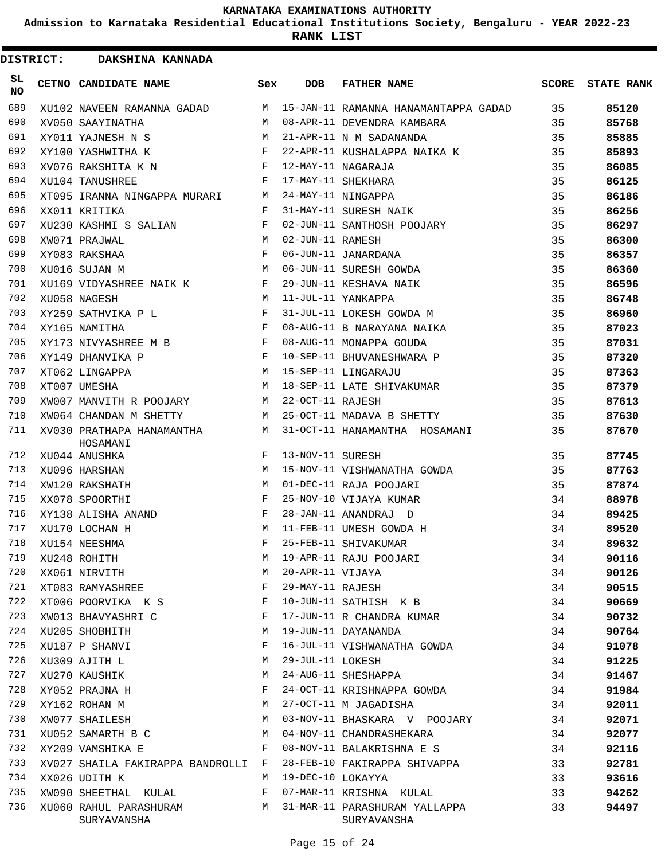**Admission to Karnataka Residential Educational Institutions Society, Bengaluru - YEAR 2022-23**

**RANK LIST**

 $\blacksquare$ 

|            | <b>DISTRICT:</b> | DAKSHINA KANNADA                      |     |                   |                                      |              |                   |
|------------|------------------|---------------------------------------|-----|-------------------|--------------------------------------|--------------|-------------------|
| SL.<br>NO. |                  | CETNO CANDIDATE NAME                  | Sex | <b>DOB</b>        | <b>FATHER NAME</b>                   | <b>SCORE</b> | <b>STATE RANK</b> |
| 689        |                  | XU102 NAVEEN RAMANNA GADAD            | M   |                   | 15-JAN-11 RAMANNA HANAMANTAPPA GADAD | 35           | 85120             |
| 690        |                  | XV050 SAAYINATHA                      | M   |                   | 08-APR-11 DEVENDRA KAMBARA           | 35           | 85768             |
| 691        |                  | XY011 YAJNESH N S                     | M   |                   | 21-APR-11 N M SADANANDA              | 35           | 85885             |
| 692        |                  | XY100 YASHWITHA K                     | F   |                   | 22-APR-11 KUSHALAPPA NAIKA K         | 35           | 85893             |
| 693        |                  | XV076 RAKSHITA K N                    | F   |                   | 12-MAY-11 NAGARAJA                   | 35           | 86085             |
| 694        |                  | XU104 TANUSHREE                       | F   |                   | 17-MAY-11 SHEKHARA                   | 35           | 86125             |
| 695        |                  | XT095 IRANNA NINGAPPA MURARI          | М   |                   | 24-MAY-11 NINGAPPA                   | 35           | 86186             |
| 696        |                  | XX011 KRITIKA                         | F   |                   | 31-MAY-11 SURESH NAIK                | 35           | 86256             |
| 697        |                  | XU230 KASHMI S SALIAN                 | F   |                   | 02-JUN-11 SANTHOSH POOJARY           | 35           | 86297             |
| 698        |                  | XW071 PRAJWAL                         | М   | 02-JUN-11 RAMESH  |                                      | 35           | 86300             |
| 699        |                  | XY083 RAKSHAA                         | F   |                   | 06-JUN-11 JANARDANA                  | 35           | 86357             |
| 700        |                  | XU016 SUJAN M                         | М   |                   | 06-JUN-11 SURESH GOWDA               | 35           | 86360             |
| 701        |                  | XU169 VIDYASHREE NAIK K               | F   |                   | 29-JUN-11 KESHAVA NAIK               | 35           | 86596             |
| 702        |                  | XU058 NAGESH                          | M   |                   | 11-JUL-11 YANKAPPA                   | 35           | 86748             |
| 703        |                  | XY259 SATHVIKA P L                    | F   |                   | 31-JUL-11 LOKESH GOWDA M             | 35           | 86960             |
| 704        |                  | XY165 NAMITHA                         | F   |                   | 08-AUG-11 B NARAYANA NAIKA           | 35           | 87023             |
| 705        |                  | XY173 NIVYASHREE M B                  | F   |                   | 08-AUG-11 MONAPPA GOUDA              | 35           | 87031             |
| 706        |                  | XY149 DHANVIKA P                      | F   |                   | 10-SEP-11 BHUVANESHWARA P            | 35           | 87320             |
| 707        |                  | XT062 LINGAPPA                        | M   |                   | 15-SEP-11 LINGARAJU                  | 35           | 87363             |
| 708        |                  | XT007 UMESHA                          | M   |                   | 18-SEP-11 LATE SHIVAKUMAR            | 35           | 87379             |
| 709        |                  | XW007 MANVITH R POOJARY               | M   | 22-OCT-11 RAJESH  |                                      | 35           | 87613             |
| 710        |                  | XW064 CHANDAN M SHETTY                | M   |                   | 25-OCT-11 MADAVA B SHETTY            | 35           | 87630             |
| 711        |                  | XV030 PRATHAPA HANAMANTHA<br>HOSAMANI | М   |                   | 31-OCT-11 HANAMANTHA HOSAMANI        | 35           | 87670             |
| 712        |                  | XU044 ANUSHKA                         | F   | 13-NOV-11 SURESH  |                                      | 35           | 87745             |
| 713        |                  | XU096 HARSHAN                         | M   |                   | 15-NOV-11 VISHWANATHA GOWDA          | 35           | 87763             |
| 714        |                  | XW120 RAKSHATH                        | M   |                   | 01-DEC-11 RAJA POOJARI               | 35           | 87874             |
| 715        |                  | XX078 SPOORTHI                        | F   |                   | 25-NOV-10 VIJAYA KUMAR               | 34           | 88978             |
| 716        |                  | XY138 ALISHA ANAND                    | F   |                   | 28-JAN-11 ANANDRAJ D                 | 34           | 89425             |
| 717        |                  | XU170 LOCHAN H                        | M   |                   | 11-FEB-11 UMESH GOWDA H              | 34           | 89520             |
| 718        |                  | XU154 NEESHMA                         | F   |                   | 25-FEB-11 SHIVAKUMAR                 | 34           | 89632             |
| 719        |                  | XU248 ROHITH                          | М   |                   | 19-APR-11 RAJU POOJARI               | 34           | 90116             |
| 720        |                  | XX061 NIRVITH                         | М   | 20-APR-11 VIJAYA  |                                      | 34           | 90126             |
| 721        |                  | XT083 RAMYASHREE                      | F   | 29-MAY-11 RAJESH  |                                      | 34           | 90515             |
| 722        |                  | XT006 POORVIKA K S                    | F   |                   | 10-JUN-11 SATHISH K B                | 34           | 90669             |
| 723        |                  | XW013 BHAVYASHRI C                    | F   |                   | 17-JUN-11 R CHANDRA KUMAR            | 34           | 90732             |
| 724        |                  | XU205 SHOBHITH                        | M   |                   | 19-JUN-11 DAYANANDA                  | 34           | 90764             |
| 725        |                  | XU187 P SHANVI                        | F   |                   | 16-JUL-11 VISHWANATHA GOWDA          | 34           | 91078             |
| 726        |                  | XU309 AJITH L                         | М   | 29-JUL-11 LOKESH  |                                      | 34           | 91225             |
| 727        |                  | XU270 KAUSHIK                         | М   |                   | 24-AUG-11 SHESHAPPA                  | 34           | 91467             |
| 728        |                  | XY052 PRAJNA H                        | F   |                   | 24-OCT-11 KRISHNAPPA GOWDA           | 34           | 91984             |
| 729        |                  | XY162 ROHAN M                         | М   |                   | 27-OCT-11 M JAGADISHA                | 34           | 92011             |
| 730        |                  | XW077 SHAILESH                        | М   |                   | 03-NOV-11 BHASKARA V POOJARY         | 34           | 92071             |
| 731        |                  | XU052 SAMARTH B C                     | М   |                   | 04-NOV-11 CHANDRASHEKARA             | 34           | 92077             |
| 732        |                  | XY209 VAMSHIKA E                      | F   |                   | 08-NOV-11 BALAKRISHNA E S            | 34           | 92116             |
| 733        |                  | XV027 SHAILA FAKIRAPPA BANDROLLI      | F   |                   | 28-FEB-10 FAKIRAPPA SHIVAPPA         | 33           | 92781             |
| 734        |                  | XX026 UDITH K                         | М   | 19-DEC-10 LOKAYYA |                                      | 33           | 93616             |
| 735        |                  | XW090 SHEETHAL KULAL                  | F   |                   | 07-MAR-11 KRISHNA KULAL              | 33           | 94262             |
| 736        |                  |                                       | М   |                   | 31-MAR-11 PARASHURAM YALLAPPA        | 33           |                   |
|            |                  | XU060 RAHUL PARASHURAM<br>SURYAVANSHA |     |                   | SURYAVANSHA                          |              | 94497             |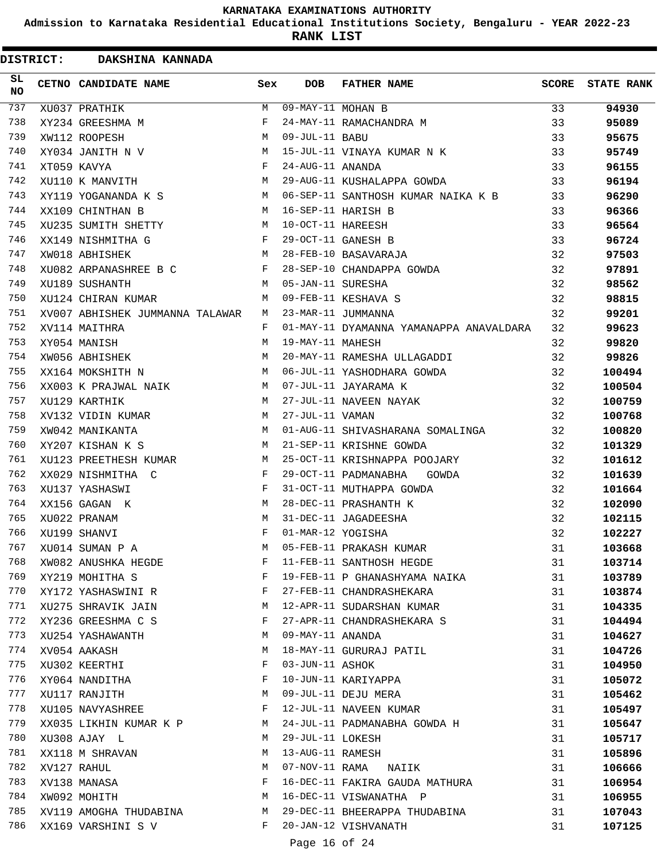**Admission to Karnataka Residential Educational Institutions Society, Bengaluru - YEAR 2022-23**

| <b>DISTRICT:</b> |  | DAKSHINA KANNADA                |     |                   |                                         |       |                   |
|------------------|--|---------------------------------|-----|-------------------|-----------------------------------------|-------|-------------------|
| SL<br><b>NO</b>  |  | CETNO CANDIDATE NAME            | Sex | <b>DOB</b>        | <b>FATHER NAME</b>                      | SCORE | <b>STATE RANK</b> |
| 737              |  | XU037 PRATHIK                   | M   | 09-MAY-11 MOHAN B |                                         | 33    | 94930             |
| 738              |  | XY234 GREESHMA M                | F   |                   | 24-MAY-11 RAMACHANDRA M                 | 33    | 95089             |
| 739              |  | XW112 ROOPESH                   | М   | 09-JUL-11 BABU    |                                         | 33    | 95675             |
| 740              |  | XY034 JANITH N V                | М   |                   | 15-JUL-11 VINAYA KUMAR N K              | 33    | 95749             |
| 741              |  | XT059 KAVYA                     | F   | 24-AUG-11 ANANDA  |                                         | 33    | 96155             |
| 742              |  | XU110 K MANVITH                 | М   |                   | 29-AUG-11 KUSHALAPPA GOWDA              | 33    | 96194             |
| 743              |  | XY119 YOGANANDA K S             | M   |                   | 06-SEP-11 SANTHOSH KUMAR NAIKA K B      | 33    | 96290             |
| 744              |  | XX109 CHINTHAN B                | M   |                   | 16-SEP-11 HARISH B                      | 33    | 96366             |
| 745              |  | XU235 SUMITH SHETTY             | М   | 10-OCT-11 HAREESH |                                         | 33    | 96564             |
| 746              |  | XX149 NISHMITHA G               | F   |                   | 29-OCT-11 GANESH B                      | 33    | 96724             |
| 747              |  | XW018 ABHISHEK                  | М   |                   | 28-FEB-10 BASAVARAJA                    | 32    | 97503             |
| 748              |  | XU082 ARPANASHREE B C           | F   |                   | 28-SEP-10 CHANDAPPA GOWDA               | 32    | 97891             |
| 749              |  | XU189 SUSHANTH                  | M   | 05-JAN-11 SURESHA |                                         | 32    | 98562             |
| 750              |  | XU124 CHIRAN KUMAR              | M   |                   | 09-FEB-11 KESHAVA S                     | 32    | 98815             |
| 751              |  | XV007 ABHISHEK JUMMANNA TALAWAR | M   |                   | 23-MAR-11 JUMMANNA                      | 32    | 99201             |
| 752              |  | XV114 MAITHRA                   | F   |                   | 01-MAY-11 DYAMANNA YAMANAPPA ANAVALDARA | 32    | 99623             |
| 753              |  | XY054 MANISH                    | М   | 19-MAY-11 MAHESH  |                                         | 32    | 99820             |
| 754              |  | XW056 ABHISHEK                  | M   |                   | 20-MAY-11 RAMESHA ULLAGADDI             | 32    | 99826             |
| 755              |  | XX164 MOKSHITH N                | М   |                   | 06-JUL-11 YASHODHARA GOWDA              | 32    | 100494            |
| 756              |  | XX003 K PRAJWAL NAIK            | M   |                   | 07-JUL-11 JAYARAMA K                    | 32    | 100504            |
| 757              |  | XU129 KARTHIK                   | М   |                   | 27-JUL-11 NAVEEN NAYAK                  | 32    | 100759            |
| 758              |  | XV132 VIDIN KUMAR               | М   | 27-JUL-11 VAMAN   |                                         | 32    | 100768            |
| 759              |  | XW042 MANIKANTA                 | M   |                   | 01-AUG-11 SHIVASHARANA SOMALINGA        | 32    | 100820            |
| 760              |  | XY207 KISHAN K S                | M   |                   | 21-SEP-11 KRISHNE GOWDA                 | 32    | 101329            |
| 761              |  | XU123 PREETHESH KUMAR           | М   |                   | 25-OCT-11 KRISHNAPPA POOJARY            | 32    | 101612            |
| 762              |  | XX029 NISHMITHA C               | F   |                   | 29-OCT-11 PADMANABHA<br>GOWDA           | 32    | 101639            |
| 763              |  | XU137 YASHASWI                  | F   |                   | 31-OCT-11 MUTHAPPA GOWDA                | 32    | 101664            |
| 764              |  | XX156 GAGAN K                   | M   |                   | 28-DEC-11 PRASHANTH K                   | 32    | 102090            |
| 765              |  | XU022 PRANAM                    | M   |                   | 31-DEC-11 JAGADEESHA                    | 32    | 102115            |
| 766              |  | XU199 SHANVI                    | F   | 01-MAR-12 YOGISHA |                                         | 32    | 102227            |
| 767              |  | XU014 SUMAN P A                 | M   |                   | 05-FEB-11 PRAKASH KUMAR                 | 31    | 103668            |
| 768              |  | XW082 ANUSHKA HEGDE             | F   |                   | 11-FEB-11 SANTHOSH HEGDE                | 31    | 103714            |
| 769              |  | XY219 MOHITHA S                 | F   |                   | 19-FEB-11 P GHANASHYAMA NAIKA           | 31    | 103789            |
| 770              |  | XY172 YASHASWINI R              | F   |                   | 27-FEB-11 CHANDRASHEKARA                | 31    | 103874            |
| 771              |  | XU275 SHRAVIK JAIN              | М   |                   | 12-APR-11 SUDARSHAN KUMAR               | 31    | 104335            |
| 772              |  | XY236 GREESHMA C S              | F   |                   | 27-APR-11 CHANDRASHEKARA S              | 31    | 104494            |
| 773              |  | XU254 YASHAWANTH                | М   | 09-MAY-11 ANANDA  |                                         | 31    | 104627            |
| 774              |  | XV054 AAKASH                    | М   |                   | 18-MAY-11 GURURAJ PATIL                 | 31    | 104726            |
| 775              |  | XU302 KEERTHI                   | F   | 03-JUN-11 ASHOK   |                                         | 31    | 104950            |
| 776              |  |                                 | F   |                   | 10-JUN-11 KARIYAPPA                     |       |                   |
| 777              |  | XY064 NANDITHA                  | М   |                   | 09-JUL-11 DEJU MERA                     | 31    | 105072            |
| 778              |  | XU117 RANJITH                   | F   |                   |                                         | 31    | 105462            |
|                  |  | XU105 NAVYASHREE                |     |                   | 12-JUL-11 NAVEEN KUMAR                  | 31    | 105497            |
| 779              |  | XX035 LIKHIN KUMAR K P          | M   |                   | 24-JUL-11 PADMANABHA GOWDA H            | 31    | 105647            |
| 780              |  | XU308 AJAY L                    | М   | 29-JUL-11 LOKESH  |                                         | 31    | 105717            |
| 781              |  | XX118 M SHRAVAN                 | М   | 13-AUG-11 RAMESH  |                                         | 31    | 105896            |
| 782              |  | XV127 RAHUL                     | М   |                   | 07-NOV-11 RAMA NAIIK                    | 31    | 106666            |
| 783              |  | XV138 MANASA                    | F   |                   | 16-DEC-11 FAKIRA GAUDA MATHURA          | 31    | 106954            |
| 784              |  | XW092 MOHITH                    | М   |                   | 16-DEC-11 VISWANATHA P                  | 31    | 106955            |
| 785              |  | XV119 AMOGHA THUDABINA          | M   |                   | 29-DEC-11 BHEERAPPA THUDABINA           | 31    | 107043            |
| 786              |  | XX169 VARSHINI S V              | F   |                   | 20-JAN-12 VISHVANATH                    | 31    | 107125            |
|                  |  |                                 |     | Page 16 of 24     |                                         |       |                   |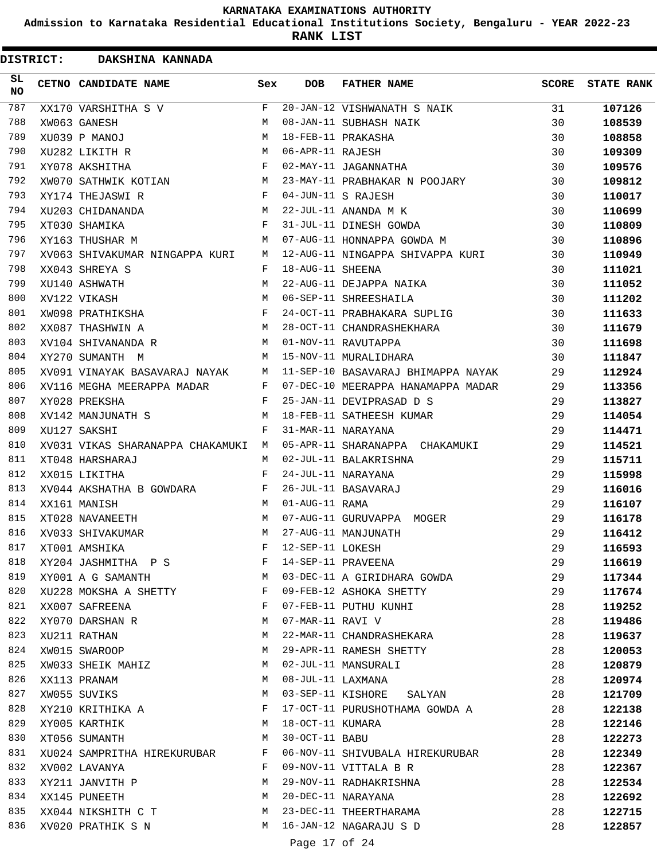**Admission to Karnataka Residential Educational Institutions Society, Bengaluru - YEAR 2022-23**

|                 | <b>DISTRICT:</b> | DAKSHINA KANNADA                 |     |                   |                                    |              |                   |
|-----------------|------------------|----------------------------------|-----|-------------------|------------------------------------|--------------|-------------------|
| SL<br><b>NO</b> |                  | CETNO CANDIDATE NAME             | Sex | <b>DOB</b>        | <b>FATHER NAME</b>                 | <b>SCORE</b> | <b>STATE RANK</b> |
| 787             |                  | XX170 VARSHITHA S V              | F   |                   | 20-JAN-12 VISHWANATH S NAIK        | 31           | 107126            |
| 788             |                  | XW063 GANESH                     | М   |                   | 08-JAN-11 SUBHASH NAIK             | 30           | 108539            |
| 789             |                  | XU039 P MANOJ                    | M   |                   | 18-FEB-11 PRAKASHA                 | 30           | 108858            |
| 790             |                  | XU282 LIKITH R                   | M   | 06-APR-11 RAJESH  |                                    | 30           | 109309            |
| 791             |                  | XY078 AKSHITHA                   | F   |                   | 02-MAY-11 JAGANNATHA               | 30           | 109576            |
| 792             |                  | XW070 SATHWIK KOTIAN             | М   |                   | 23-MAY-11 PRABHAKAR N POOJARY      | 30           | 109812            |
| 793             |                  | XY174 THEJASWI R                 | F   |                   | 04-JUN-11 S RAJESH                 | 30           | 110017            |
| 794             |                  | XU203 CHIDANANDA                 | M   |                   | 22-JUL-11 ANANDA M K               | 30           | 110699            |
| 795             |                  | XT030 SHAMIKA                    | F   |                   | 31-JUL-11 DINESH GOWDA             | 30           | 110809            |
| 796             |                  | XY163 THUSHAR M                  | М   |                   | 07-AUG-11 HONNAPPA GOWDA M         | 30           | 110896            |
| 797             |                  | XV063 SHIVAKUMAR NINGAPPA KURI   | М   |                   | 12-AUG-11 NINGAPPA SHIVAPPA KURI   | 30           | 110949            |
| 798             |                  | XX043 SHREYA S                   | F   | 18-AUG-11 SHEENA  |                                    | 30           | 111021            |
| 799             |                  | XU140 ASHWATH                    | M   |                   | 22-AUG-11 DEJAPPA NAIKA            | 30           | 111052            |
| 800             |                  | XV122 VIKASH                     | M   |                   | 06-SEP-11 SHREESHAILA              | 30           | 111202            |
| 801             |                  | XW098 PRATHIKSHA                 | F   |                   | 24-OCT-11 PRABHAKARA SUPLIG        | 30           | 111633            |
| 802             |                  | XX087 THASHWIN A                 | М   |                   | 28-OCT-11 CHANDRASHEKHARA          | 30           | 111679            |
| 803             |                  | XV104 SHIVANANDA R               | M   |                   | 01-NOV-11 RAVUTAPPA                | 30           | 111698            |
| 804             |                  | XY270 SUMANTH M                  | M   |                   | 15-NOV-11 MURALIDHARA              | 30           | 111847            |
| 805             |                  | XV091 VINAYAK BASAVARAJ NAYAK    | M   |                   | 11-SEP-10 BASAVARAJ BHIMAPPA NAYAK | 29           | 112924            |
| 806             |                  | XV116 MEGHA MEERAPPA MADAR       | F   |                   | 07-DEC-10 MEERAPPA HANAMAPPA MADAR | 29           | 113356            |
| 807             |                  | XY028 PREKSHA                    | F   |                   | 25-JAN-11 DEVIPRASAD D S           | 29           | 113827            |
| 808             |                  | XV142 MANJUNATH S                | M   |                   | 18-FEB-11 SATHEESH KUMAR           | 29           | 114054            |
| 809             |                  | XU127 SAKSHI                     | F   |                   | 31-MAR-11 NARAYANA                 | 29           | 114471            |
| 810             |                  | XV031 VIKAS SHARANAPPA CHAKAMUKI | M   |                   | 05-APR-11 SHARANAPPA CHAKAMUKI     | 29           | 114521            |
| 811             |                  | XT048 HARSHARAJ                  | M   |                   | 02-JUL-11 BALAKRISHNA              | 29           | 115711            |
| 812             |                  | XX015 LIKITHA                    | F   |                   | 24-JUL-11 NARAYANA                 | 29           | 115998            |
| 813             |                  | XV044 AKSHATHA B GOWDARA         | F   |                   | 26-JUL-11 BASAVARAJ                | 29           | 116016            |
| 814             |                  | XX161 MANISH                     | M   | 01-AUG-11 RAMA    |                                    | 29           | 116107            |
| 815             |                  | XT028 NAVANEETH                  | M   |                   | 07-AUG-11 GURUVAPPA MOGER          | 29           | 116178            |
| 816             |                  | XV033 SHIVAKUMAR                 | M   |                   | 27-AUG-11 MANJUNATH                | 29           | 116412            |
| 817             |                  | XT001 AMSHIKA                    | F   | 12-SEP-11 LOKESH  |                                    | 29           | 116593            |
| 818             |                  | XY204 JASHMITHA P S              | F   |                   | 14-SEP-11 PRAVEENA                 | 29           | 116619            |
| 819             |                  | XY001 A G SAMANTH                | М   |                   | 03-DEC-11 A GIRIDHARA GOWDA        | 29           | 117344            |
| 820             |                  | XU228 MOKSHA A SHETTY            | F   |                   | 09-FEB-12 ASHOKA SHETTY            | 29           | 117674            |
| 821             |                  | XX007 SAFREENA                   | F   |                   | 07-FEB-11 PUTHU KUNHI              | 28           | 119252            |
| 822             |                  | XY070 DARSHAN R                  | М   | 07-MAR-11 RAVI V  |                                    | 28           | 119486            |
| 823             |                  | XU211 RATHAN                     | М   |                   | 22-MAR-11 CHANDRASHEKARA           | 28           | 119637            |
| 824             |                  | XW015 SWAROOP                    | М   |                   | 29-APR-11 RAMESH SHETTY            | 28           | 120053            |
| 825             |                  | XW033 SHEIK MAHIZ                | М   |                   | 02-JUL-11 MANSURALI                | 28           | 120879            |
| 826             |                  | XX113 PRANAM                     | М   | 08-JUL-11 LAXMANA |                                    | 28           | 120974            |
| 827             |                  | XW055 SUVIKS                     | М   |                   | 03-SEP-11 KISHORE<br>SALYAN        | 28           | 121709            |
| 828             |                  | XY210 KRITHIKA A                 | F   |                   | 17-OCT-11 PURUSHOTHAMA GOWDA A     | 28           | 122138            |
| 829             |                  | XY005 KARTHIK                    | M   | 18-OCT-11 KUMARA  |                                    | 28           | 122146            |
| 830             |                  | XT056 SUMANTH                    | М   | 30-OCT-11 BABU    |                                    | 28           | 122273            |
| 831             |                  | XU024 SAMPRITHA HIREKURUBAR      | F   |                   | 06-NOV-11 SHIVUBALA HIREKURUBAR    | 28           | 122349            |
| 832             |                  | XV002 LAVANYA                    | F   |                   | 09-NOV-11 VITTALA B R              | 28           | 122367            |
| 833             |                  | XY211 JANVITH P                  | М   |                   | 29-NOV-11 RADHAKRISHNA             | 28           | 122534            |
| 834             |                  | XX145 PUNEETH                    | М   |                   | 20-DEC-11 NARAYANA                 | 28           | 122692            |
| 835             |                  | XX044 NIKSHITH C T               | M   |                   | 23-DEC-11 THEERTHARAMA             | 28           | 122715            |
| 836             |                  | XV020 PRATHIK S N                | M   |                   | 16-JAN-12 NAGARAJU S D             | 28           | 122857            |
|                 |                  |                                  |     | Page 17 of 24     |                                    |              |                   |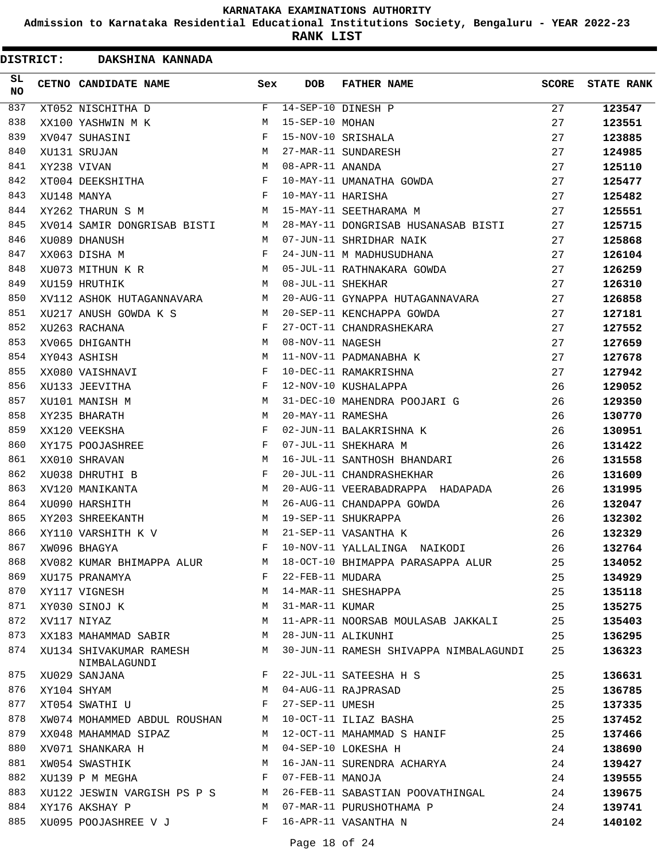**Admission to Karnataka Residential Educational Institutions Society, Bengaluru - YEAR 2022-23**

| <b>DISTRICT:</b> | DAKSHINA KANNADA                        |              |                   |                                        |              |                   |
|------------------|-----------------------------------------|--------------|-------------------|----------------------------------------|--------------|-------------------|
| SL<br><b>NO</b>  | CETNO CANDIDATE NAME                    | Sex          | <b>DOB</b>        | <b>FATHER NAME</b>                     | <b>SCORE</b> | <b>STATE RANK</b> |
| 837              | XT052 NISCHITHA D                       | F            |                   | 14-SEP-10 DINESH P                     | 27           | 123547            |
| 838              | XX100 YASHWIN M K                       | M            | 15-SEP-10 MOHAN   |                                        | 27           | 123551            |
| 839              | XV047 SUHASINI                          | F            |                   | 15-NOV-10 SRISHALA                     | 27           | 123885            |
| 840              | XU131 SRUJAN                            | М            |                   | 27-MAR-11 SUNDARESH                    | 27           | 124985            |
| 841              | XY238 VIVAN                             | M            | 08-APR-11 ANANDA  |                                        | 27           | 125110            |
| 842              | XT004 DEEKSHITHA                        | F            |                   | 10-MAY-11 UMANATHA GOWDA               | 27           | 125477            |
| 843              | XU148 MANYA                             | F            | 10-MAY-11 HARISHA |                                        | 27           | 125482            |
| 844              | XY262 THARUN S M                        | М            |                   | 15-MAY-11 SEETHARAMA M                 | 27           | 125551            |
| 845              | XV014 SAMIR DONGRISAB BISTI             | М            |                   | 28-MAY-11 DONGRISAB HUSANASAB BISTI    | 27           | 125715            |
| 846              | XU089 DHANUSH                           | M            |                   | 07-JUN-11 SHRIDHAR NAIK                | 27           | 125868            |
| 847              | XX063 DISHA M                           | F            |                   | 24-JUN-11 M MADHUSUDHANA               | 27           | 126104            |
| 848              | XU073 MITHUN K R                        | М            |                   | 05-JUL-11 RATHNAKARA GOWDA             | 27           | 126259            |
| 849              | XU159 HRUTHIK                           | M            | 08-JUL-11 SHEKHAR |                                        | 27           | 126310            |
| 850              | XV112 ASHOK HUTAGANNAVARA               | M            |                   | 20-AUG-11 GYNAPPA HUTAGANNAVARA        | 27           | 126858            |
| 851              | XU217 ANUSH GOWDA K S                   | M            |                   | 20-SEP-11 KENCHAPPA GOWDA              | 27           | 127181            |
| 852              | XU263 RACHANA                           | F            |                   | 27-OCT-11 CHANDRASHEKARA               | 27           | 127552            |
| 853              | XV065 DHIGANTH                          | M            | 08-NOV-11 NAGESH  |                                        | 27           | 127659            |
| 854              | XY043 ASHISH                            | M            |                   | 11-NOV-11 PADMANABHA K                 | 27           | 127678            |
| 855              | XX080 VAISHNAVI                         | F            |                   | 10-DEC-11 RAMAKRISHNA                  | 27           | 127942            |
| 856              | XU133 JEEVITHA                          | F            |                   | 12-NOV-10 KUSHALAPPA                   | 26           | 129052            |
| 857              | XU101 MANISH M                          | M            |                   | 31-DEC-10 MAHENDRA POOJARI G           | 26           | 129350            |
| 858              | XY235 BHARATH                           | M            | 20-MAY-11 RAMESHA |                                        | 26           | 130770            |
| 859              | XX120 VEEKSHA                           | F            |                   | 02-JUN-11 BALAKRISHNA K                | 26           | 130951            |
| 860              | XY175 POOJASHREE                        | F            |                   | 07-JUL-11 SHEKHARA M                   | 26           | 131422            |
| 861              | XX010 SHRAVAN                           | M            |                   | 16-JUL-11 SANTHOSH BHANDARI            | 26           | 131558            |
| 862              | XU038 DHRUTHI B                         | F            |                   | 20-JUL-11 CHANDRASHEKHAR               | 26           | 131609            |
| 863              | XV120 MANIKANTA                         | M            |                   | 20-AUG-11 VEERABADRAPPA HADAPADA       | 26           | 131995            |
| 864              | XU090 HARSHITH                          | M            |                   | 26-AUG-11 CHANDAPPA GOWDA              | 26           | 132047            |
| 865              | XY203 SHREEKANTH                        | M            |                   | 19-SEP-11 SHUKRAPPA                    | 26           | 132302            |
| 866              | XY110 VARSHITH K V                      | M            |                   | 21-SEP-11 VASANTHA K                   | 26           | 132329            |
| 867              | XW096 BHAGYA                            | F            |                   | 10-NOV-11 YALLALINGA NAIKODI           | 26           | 132764            |
| 868              | XV082 KUMAR BHIMAPPA ALUR               | M            |                   | 18-OCT-10 BHIMAPPA PARASAPPA ALUR      | 25           | 134052            |
| 869              | XU175 PRANAMYA                          | $\mathbf{F}$ | 22-FEB-11 MUDARA  |                                        | 25           | 134929            |
| 870              | XY117 VIGNESH                           | М            |                   | 14-MAR-11 SHESHAPPA                    | 25           | 135118            |
| 871              | XY030 SINOJ K                           | M            | 31-MAR-11 KUMAR   |                                        | 25           | 135275            |
| 872              | XV117 NIYAZ                             | М            |                   | 11-APR-11 NOORSAB MOULASAB JAKKALI     | 25           | 135403            |
| 873              | XX183 MAHAMMAD SABIR                    | M            |                   | 28-JUN-11 ALIKUNHI                     | 25           | 136295            |
| 874              | XU134 SHIVAKUMAR RAMESH<br>NIMBALAGUNDI | M            |                   | 30-JUN-11 RAMESH SHIVAPPA NIMBALAGUNDI | 25           | 136323            |
| 875              | XU029 SANJANA                           | F            |                   | 22-JUL-11 SATEESHA H S                 | 25           | 136631            |
| 876              | XY104 SHYAM                             | М            |                   | 04-AUG-11 RAJPRASAD                    | 25           | 136785            |
| 877              | XT054 SWATHI U                          | F            | 27-SEP-11 UMESH   |                                        | 25           | 137335            |
| 878              | XW074 MOHAMMED ABDUL ROUSHAN            | M            |                   | 10-OCT-11 ILIAZ BASHA                  | 25           | 137452            |
| 879              | XX048 MAHAMMAD SIPAZ                    | M            |                   | 12-OCT-11 MAHAMMAD S HANIF             | 25           | 137466            |
| 880              | XV071 SHANKARA H                        | M            |                   | 04-SEP-10 LOKESHA H                    | 24           | 138690            |
| 881              | XW054 SWASTHIK                          | M            |                   | 16-JAN-11 SURENDRA ACHARYA             | 24           | 139427            |
| 882              | XU139 P M MEGHA                         | F            | 07-FEB-11 MANOJA  |                                        | 24           | 139555            |
| 883              | XU122 JESWIN VARGISH PS P S             | M            |                   | 26-FEB-11 SABASTIAN POOVATHINGAL       | 24           | 139675            |
| 884              | XY176 AKSHAY P                          | M            |                   | 07-MAR-11 PURUSHOTHAMA P               | 24           | 139741            |
| 885              | XU095 POOJASHREE V J                    | F            |                   | 16-APR-11 VASANTHA N                   | 24           | 140102            |
|                  |                                         |              |                   |                                        |              |                   |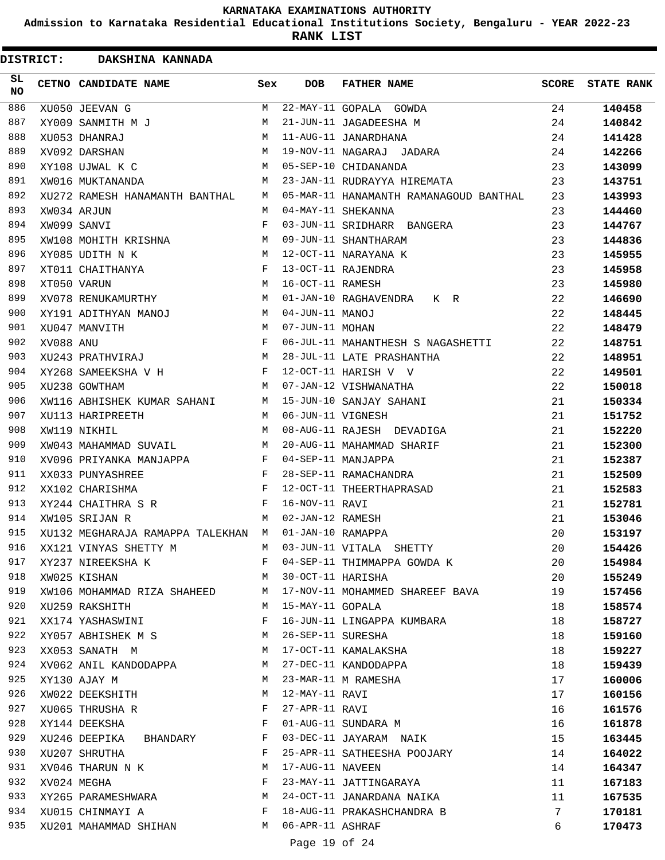**Admission to Karnataka Residential Educational Institutions Society, Bengaluru - YEAR 2022-23**

| <b>DISTRICT:</b> |           | DAKSHINA KANNADA                   |              |                   |                                                               |              |                   |
|------------------|-----------|------------------------------------|--------------|-------------------|---------------------------------------------------------------|--------------|-------------------|
| SL<br><b>NO</b>  |           | CETNO CANDIDATE NAME               | Sex          | DOB               | <b>FATHER NAME</b>                                            | <b>SCORE</b> | <b>STATE RANK</b> |
| 886              |           | XU050 JEEVAN G                     | M            |                   | 22-MAY-11 GOPALA GOWDA                                        | 24           | 140458            |
| 887              |           | XY009 SANMITH M J                  | М            |                   | 21-JUN-11 JAGADEESHA M                                        | 24           | 140842            |
| 888              |           | XU053 DHANRAJ                      | M            |                   | 11-AUG-11 JANARDHANA                                          | 24           | 141428            |
| 889              |           | XV092 DARSHAN                      | М            |                   | 19-NOV-11 NAGARAJ JADARA                                      | 24           | 142266            |
| 890              |           | XY108 UJWAL K C                    | M            |                   | 05-SEP-10 CHIDANANDA                                          | 23           | 143099            |
| 891              |           | XW016 MUKTANANDA                   | M            |                   | 23-JAN-11 RUDRAYYA HIREMATA                                   | 23           | 143751            |
| 892              |           | XU272 RAMESH HANAMANTH BANTHAL     | M            |                   | 05-MAR-11 HANAMANTH RAMANAGOUD BANTHAL                        | 23           | 143993            |
| 893              |           | XW034 ARJUN                        | M            |                   | 04-MAY-11 SHEKANNA                                            | 23           | 144460            |
| 894              |           | XW099 SANVI                        | F            |                   | 03-JUN-11 SRIDHARR BANGERA                                    | 23           | 144767            |
| 895              |           | XW108 MOHITH KRISHNA               | М            |                   | 09-JUN-11 SHANTHARAM                                          | 23           | 144836            |
| 896              |           | XY085 UDITH N K                    | M            |                   | 12-OCT-11 NARAYANA K                                          | 23           | 145955            |
| 897              |           | XT011 CHAITHANYA                   | F            |                   | 13-OCT-11 RAJENDRA                                            | 23           | 145958            |
| 898              |           | XT050 VARUN                        | M            | 16-OCT-11 RAMESH  |                                                               | 23           | 145980            |
| 899              |           | XV078 RENUKAMURTHY                 | M            |                   | 01-JAN-10 RAGHAVENDRA K R                                     | 22           | 146690            |
| 900              |           | XY191 ADITHYAN MANOJ               | М            | 04-JUN-11 MANOJ   |                                                               | 22           | 148445            |
| 901              |           | XU047 MANVITH                      | M            | 07-JUN-11 MOHAN   |                                                               | 22           | 148479            |
| 902              | XV088 ANU |                                    | F            |                   | 06-JUL-11 MAHANTHESH S NAGASHETTI                             | 22           | 148751            |
| 903              |           | XU243 PRATHVIRAJ                   | M            |                   | 28-JUL-11 LATE PRASHANTHA                                     | 22           | 148951            |
| 904              |           | XY268 SAMEEKSHA V H                | F            |                   | 12-OCT-11 HARISH V V                                          | 22           | 149501            |
| 905              |           | XU238 GOWTHAM                      | M            |                   | 07-JAN-12 VISHWANATHA                                         | 22           | 150018            |
| 906              |           | XW116 ABHISHEK KUMAR SAHANI        | M            |                   | 15-JUN-10 SANJAY SAHANI                                       | 21           | 150334            |
| 907              |           | XU113 HARIPREETH                   | M            | 06-JUN-11 VIGNESH |                                                               | 21           | 151752            |
| 908              |           | XW119 NIKHIL                       | M            |                   | 08-AUG-11 RAJESH DEVADIGA                                     | 21           | 152220            |
| 909              |           | XW043 MAHAMMAD SUVAIL              | M            |                   | 20-AUG-11 MAHAMMAD SHARIF                                     | 21           | 152300            |
| 910              |           | XV096 PRIYANKA MANJAPPA            | F            |                   | 04-SEP-11 MANJAPPA                                            | 21           | 152387            |
| 911              |           | XX033 PUNYASHREE                   | F            |                   | 28-SEP-11 RAMACHANDRA                                         | 21           | 152509            |
| 912              |           | XX102 CHARISHMA                    | F            |                   | 12-OCT-11 THEERTHAPRASAD                                      | 21           | 152583            |
| 913              |           | XY244 CHAITHRA S R                 | F            | 16-NOV-11 RAVI    |                                                               | 21           | 152781            |
| 914              |           | XW105 SRIJAN R                     | M            | 02-JAN-12 RAMESH  |                                                               | 21           | 153046            |
| 915              |           | XU132 MEGHARAJA RAMAPPA TALEKHAN M |              | 01-JAN-10 RAMAPPA |                                                               | 20           | 153197            |
| 916              |           |                                    |              |                   | XX121 VINYAS SHETTY M M 03-JUN-11 VITALA SHETTY               | 20           | 154426            |
| 917              |           |                                    |              |                   | XY237 NIREEKSHA K F 04-SEP-11 THIMMAPPA GOWDA K               | 20           | 154984            |
| 918              |           | $M_{\rm{max}}$<br>XW025 KISHAN     |              | 30-OCT-11 HARISHA |                                                               | 20           | 155249            |
| 919              |           |                                    |              |                   | XW106 MOHAMMAD RIZA SHAHEED M 17-NOV-11 MOHAMMED SHAREEF BAVA | 19           | 157456            |
| 920              |           | XU259 RAKSHITH                     | M            | 15-MAY-11 GOPALA  |                                                               | 18           | 158574            |
| 921              |           | XX174 YASHASWINI                   | F            |                   | 16-JUN-11 LINGAPPA KUMBARA                                    | 18           | 158727            |
| 922              |           | XY057 ABHISHEK M S M               |              |                   | 26-SEP-11 SURESHA                                             | 18           | 159160            |
| 923              |           | M<br>XX053 SANATH M                |              |                   | 17-OCT-11 KAMALAKSHA                                          | 18           | 159227            |
| 924              |           | XV062 ANIL KANDODAPPA              | M            |                   | 27-DEC-11 KANDODAPPA                                          | 18           | 159439            |
| 925              |           | M <sub>N</sub><br>XY130 AJAY M     |              |                   | 23-MAR-11 M RAMESHA                                           | 17           | 160006            |
| 926              |           | XW022 DEEKSHITH M                  |              | 12-MAY-11 RAVI    |                                                               | 17           | 160156            |
| 927              |           | XU065 THRUSHA R<br>$\mathbf{F}$    |              | 27-APR-11 RAVI    |                                                               | 16           | 161576            |
| 928              |           | XY144 DEEKSHA                      | $\mathbf{F}$ |                   | 01-AUG-11 SUNDARA M                                           | 16           | 161878            |
| 929              |           | XU246 DEEPIKA BHANDARY             | F            |                   | 03-DEC-11 JAYARAM NAIK                                        | 15           | 163445            |
| 930              |           | XU207 SHRUTHA                      | F            |                   | 25-APR-11 SATHEESHA POOJARY                                   | 14           | 164022            |
| 931              |           | XV046 THARUN N K                   | M            | 17-AUG-11 NAVEEN  |                                                               | 14           | 164347            |
| 932              |           | XV024 MEGHA                        | F            |                   | 23-MAY-11 JATTINGARAYA                                        | 11           | 167183            |
| 933              |           | XY265 PARAMESHWARA M               |              |                   | 24-OCT-11 JANARDANA NAIKA                                     | 11           | 167535            |
| 934              |           | XU015 CHINMAYI A F                 |              |                   | 18-AUG-11 PRAKASHCHANDRA B                                    | 7            | 170181            |
| 935              |           | XU201 MAHAMMAD SHIHAN M            |              | 06-APR-11 ASHRAF  |                                                               | 6            | 170473            |
|                  |           |                                    |              | Page 19 of 24     |                                                               |              |                   |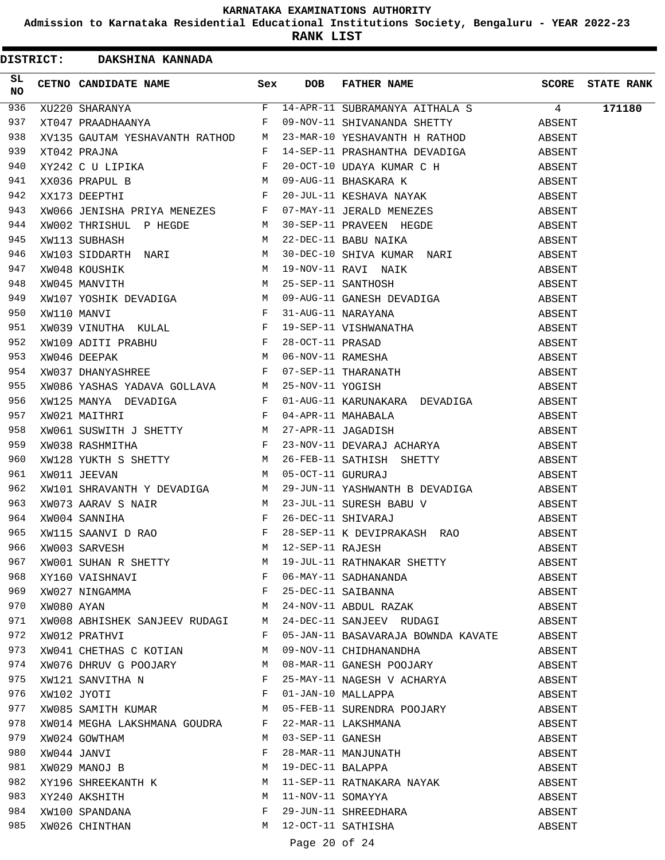**Admission to Karnataka Residential Educational Institutions Society, Bengaluru - YEAR 2022-23**

**RANK LIST**

DISTRICT: DAKSHINA KANNADA

| SL<br>NO |                                 |              |               | CETNO CANDIDATE NAME Sex DOB FATHER NAME SCORE STATE RANK                                                                                                                                                                     |        |  |
|----------|---------------------------------|--------------|---------------|-------------------------------------------------------------------------------------------------------------------------------------------------------------------------------------------------------------------------------|--------|--|
| 936      |                                 |              |               | XU220 SHARANYA                             F   14-APR-11 SUBRAMANYA AITHALA S               4         171180<br>XT047 PRAADHAANYA               F   09-NOV-11 SHIVANANDA SHETTY           ABSENT                              |        |  |
| 937      |                                 |              |               |                                                                                                                                                                                                                               |        |  |
| 938      |                                 |              |               | XV135 GAUTAM YESHAVANTH RATHOD M 23-MAR-10 YESHAVANTH H RATHOD ABSENT                                                                                                                                                         |        |  |
| 939      |                                 |              |               |                                                                                                                                                                                                                               |        |  |
| 940      |                                 |              |               |                                                                                                                                                                                                                               |        |  |
| 941      |                                 |              |               |                                                                                                                                                                                                                               |        |  |
| 942      |                                 |              |               |                                                                                                                                                                                                                               |        |  |
| 943      |                                 |              |               |                                                                                                                                                                                                                               |        |  |
| 944      |                                 |              |               | XV13 GAUTAN YEARAMANIN RATHOD M 23-NAR-10 YESHAVANUN SHATIN ABSENT XV135 GAUTAN YESHAVANIN RATHOD M 23-NAR-10 YESHAVANUN H RATHOD XXXX ASSENT XV135 GAUTAN YESHAVANIN P 10-07-11 GUAN AWAND C 11 BIRSKARA K ABSENT XV135 DEFI |        |  |
| 945      |                                 |              |               |                                                                                                                                                                                                                               |        |  |
| 946      |                                 |              |               |                                                                                                                                                                                                                               |        |  |
| 947      |                                 |              |               |                                                                                                                                                                                                                               |        |  |
| 948      |                                 |              |               |                                                                                                                                                                                                                               |        |  |
| 949      |                                 |              |               |                                                                                                                                                                                                                               |        |  |
| 950      |                                 |              |               |                                                                                                                                                                                                                               |        |  |
| 951      |                                 |              |               |                                                                                                                                                                                                                               |        |  |
| 952      |                                 |              |               |                                                                                                                                                                                                                               |        |  |
| 953      |                                 |              |               |                                                                                                                                                                                                                               |        |  |
| 954      |                                 |              |               |                                                                                                                                                                                                                               |        |  |
| 955      |                                 |              |               |                                                                                                                                                                                                                               |        |  |
| 956      |                                 |              |               |                                                                                                                                                                                                                               |        |  |
| 957      |                                 |              |               |                                                                                                                                                                                                                               |        |  |
| 958      |                                 |              |               |                                                                                                                                                                                                                               |        |  |
| 959      |                                 |              |               |                                                                                                                                                                                                                               |        |  |
| 960      |                                 |              |               |                                                                                                                                                                                                                               |        |  |
| 961      |                                 |              |               |                                                                                                                                                                                                                               |        |  |
| 962      |                                 |              |               |                                                                                                                                                                                                                               |        |  |
| 963      |                                 |              |               |                                                                                                                                                                                                                               |        |  |
| 964      |                                 |              |               |                                                                                                                                                                                                                               |        |  |
| 965      |                                 |              |               |                                                                                                                                                                                                                               |        |  |
| 966      |                                 |              |               |                                                                                                                                                                                                                               |        |  |
| 967      |                                 |              |               | XWOO1 SUHAN R SHETTY<br>XY160 VAISHNAVI F 06-MAY-11 SADHANANDA<br>XWO27 NINGAMMA F 25-DEC-11 SAIBANNA<br>XWO80 AYAN M 24-NOV-11 ABDUL RAZAK                                                                                   | ABSENT |  |
| 968      |                                 |              |               |                                                                                                                                                                                                                               | ABSENT |  |
| 969      |                                 |              |               |                                                                                                                                                                                                                               | ABSENT |  |
| 970      |                                 |              |               |                                                                                                                                                                                                                               | ABSENT |  |
| 971      | XW008 ABHISHEK SANJEEV RUDAGI M |              |               | 24-DEC-11 SANJEEV RUDAGI                                                                                                                                                                                                      | ABSENT |  |
| 972      | XW012 PRATHVI                   | $\mathbf{F}$ |               | 05-JAN-11 BASAVARAJA BOWNDA KAVATE ABSENT                                                                                                                                                                                     |        |  |
| 973      | XW041 CHETHAS C KOTIAN          | М            |               | 09-NOV-11 CHIDHANANDHA                                                                                                                                                                                                        | ABSENT |  |
| 974      | XW076 DHRUV G POOJARY M         |              |               | 08-MAR-11 GANESH POOJARY                                                                                                                                                                                                      | ABSENT |  |
| 975      | XW121 SANVITHA N                | F            |               | 25-MAY-11 NAGESH V ACHARYA                                                                                                                                                                                                    | ABSENT |  |
| 976      | XW102 JYOTI                     | F            |               | 01-JAN-10 MALLAPPA                                                                                                                                                                                                            | ABSENT |  |
| 977      | XW085 SAMITH KUMAR M            |              |               | 05-FEB-11 SURENDRA POOJARY                                                                                                                                                                                                    | ABSENT |  |
| 978      | XW014 MEGHA LAKSHMANA GOUDRA F  |              |               | 22-MAR-11 LAKSHMANA                                                                                                                                                                                                           | ABSENT |  |
| 979      | XW024 GOWTHAM                   | M            |               | 03-SEP-11 GANESH                                                                                                                                                                                                              | ABSENT |  |
| 980      | XW044 JANVI                     | F            |               | 28-NAR-11 MANJUNATH<br>19-DEC-11 BALAPPA                                                                                                                                                                                      | ABSENT |  |
| 981      | XW029 MANOJ B                   | M            |               |                                                                                                                                                                                                                               | ABSENT |  |
| 982      | XY196 SHREEKANTH K M            |              |               | 11-SEP-11 RATNAKARA NAYAK                                                                                                                                                                                                     | ABSENT |  |
| 983      | XY240 AKSHITH                   | M            |               | 11-NOV-11 SOMAYYA                                                                                                                                                                                                             | ABSENT |  |
| 984      | XW100 SPANDANA                  | F            |               |                                                                                                                                                                                                                               | ABSENT |  |
| 985      | XW026 CHINTHAN                  | М            |               | -<br>29-JUN-11 SHREEDHARA<br>12-OCT-11 SATHISHA                                                                                                                                                                               | ABSENT |  |
|          |                                 |              |               |                                                                                                                                                                                                                               |        |  |
|          |                                 |              | Page 20 of 24 |                                                                                                                                                                                                                               |        |  |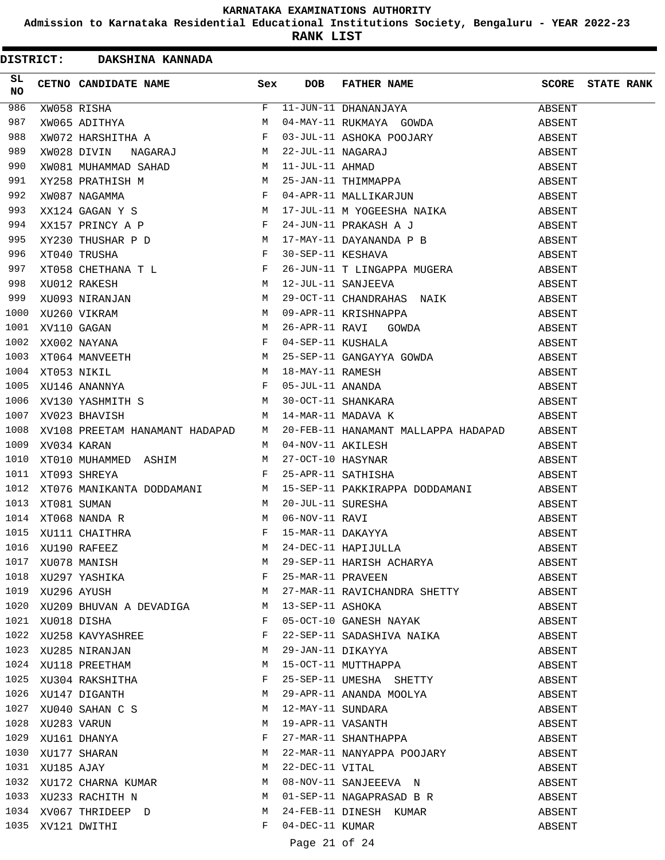**Admission to Karnataka Residential Educational Institutions Society, Bengaluru - YEAR 2022-23**

**RANK LIST**

|                 |                  | DISTRICT: DAKSHINA KANNADA                                                                                                                                                                                                                                 |   |                   |                                                                                                                                       |                         |  |
|-----------------|------------------|------------------------------------------------------------------------------------------------------------------------------------------------------------------------------------------------------------------------------------------------------------|---|-------------------|---------------------------------------------------------------------------------------------------------------------------------------|-------------------------|--|
| SL<br><b>NO</b> |                  | CETNO CANDIDATE NAME Sex                                                                                                                                                                                                                                   |   | DOB               | FATHER NAME                                                                                                                           | <b>SCORE</b> STATE RANK |  |
| 986             |                  |                                                                                                                                                                                                                                                            |   |                   | 11-JUN-11 DHANANJAYA                                                                                                                  | ABSENT                  |  |
| 987             |                  |                                                                                                                                                                                                                                                            |   |                   | 04-MAY-11 RUKMAYA GOWDA                                                                                                               | ABSENT                  |  |
| 988             |                  |                                                                                                                                                                                                                                                            |   |                   |                                                                                                                                       | ABSENT                  |  |
| 989             |                  |                                                                                                                                                                                                                                                            |   |                   | 03-JUL-11 ASHOKA POOJARY<br>22-JUL-11 NAGARAJ<br>11-JUL-11 AHMAD<br>25-JAN-11 THIMMAPPA<br>04-APR-11 MALLIKARJUN                      | ABSENT                  |  |
| 990             |                  |                                                                                                                                                                                                                                                            |   |                   |                                                                                                                                       |                         |  |
| 991             |                  |                                                                                                                                                                                                                                                            |   |                   |                                                                                                                                       |                         |  |
| 992             |                  |                                                                                                                                                                                                                                                            |   |                   |                                                                                                                                       |                         |  |
| 993             |                  |                                                                                                                                                                                                                                                            |   |                   |                                                                                                                                       |                         |  |
| 994             |                  |                                                                                                                                                                                                                                                            |   |                   | XY258 PRATHISH M<br>XY258 PRATHISH M<br>XWO87 NAGAMMA<br>XX124 GAGAN Y S<br>XX124 GAGAN Y S<br>XX157 PRINCY A P<br>XY230 THIISHAP D D |                         |  |
| 995             |                  |                                                                                                                                                                                                                                                            |   |                   | 17-MAY-11 DAYANANDA P B                                                                                                               | ABSENT                  |  |
| 996             |                  | XX157 PRINCY A P<br>XY230 THUSHAR P D<br>XT040 TRUSHA<br>XT058 CHETHANA T L<br>XU012 RAKESH<br>XU093 NIRANJAN<br>XU260 VIKRAM<br>XV1260 VIKRAM<br>XV110 GAGAN<br>XX002 NAYANA<br>XT064 MANVEETH<br>XT063 NIKIL<br>XU146 ANANNYA<br>XV130 YASHMITH S<br>M M |   | 30-SEP-11 KESHAVA |                                                                                                                                       | ABSENT                  |  |
| 997             |                  |                                                                                                                                                                                                                                                            |   |                   | 26-JUN-11 T LINGAPPA MUGERA ABSENT                                                                                                    |                         |  |
| 998             |                  |                                                                                                                                                                                                                                                            |   |                   | 12-JUL-11 SANJEEVA                                                                                                                    | ABSENT                  |  |
| 999             |                  |                                                                                                                                                                                                                                                            |   |                   |                                                                                                                                       | ABSENT                  |  |
| 1000            |                  |                                                                                                                                                                                                                                                            |   |                   | 29-OCT-11 CHANDRAHAS NAIK<br>09-APR-11 KRISHNAPPA                                                                                     | ABSENT                  |  |
| 1001            |                  |                                                                                                                                                                                                                                                            |   |                   | 26-APR-11 RAVI GOWDA                                                                                                                  | ABSENT                  |  |
| 1002            |                  |                                                                                                                                                                                                                                                            |   |                   | 04-SEP-11 KUSHALA                                                                                                                     | ABSENT                  |  |
| 1003            |                  |                                                                                                                                                                                                                                                            |   |                   |                                                                                                                                       | ABSENT                  |  |
| 1004            |                  |                                                                                                                                                                                                                                                            |   |                   |                                                                                                                                       | ABSENT                  |  |
| 1005            |                  |                                                                                                                                                                                                                                                            |   |                   |                                                                                                                                       | ABSENT                  |  |
| 1006            |                  | XV130 YASHMITH S M                                                                                                                                                                                                                                         |   |                   | 25-SEP-11 GANGAYYA GOWDA<br>18-MAY-11 RAMESH<br>05-JUL-11 ANANDA<br>30-OCT-11 SHANKARA                                                | ABSENT                  |  |
| 1007            |                  | <b>M</b><br>XV023 BHAVISH                                                                                                                                                                                                                                  |   |                   | 14-MAR-11 MADAVA K                                                                                                                    | ABSENT                  |  |
| 1008            |                  | XV108 PREETAM HANAMANT HADAPAD M                                                                                                                                                                                                                           |   |                   | 20-FEB-11 HANAMANT MALLAPPA HADAPAD ABSENT                                                                                            |                         |  |
| 1009            | XV034 KARAN      |                                                                                                                                                                                                                                                            | M |                   | 04-NOV-11 AKILESH                                                                                                                     | ABSENT                  |  |
| 1010            |                  | XT010 MUHAMMED ASHIM                                                                                                                                                                                                                                       | M |                   |                                                                                                                                       | ABSENT                  |  |
| 1011            |                  | $\mathbf{F}$ . The set of $\mathbf{F}$<br>XT093 SHREYA                                                                                                                                                                                                     |   |                   | 27-OCT-10 HASYNAR<br>25-APR-11 SATHISHA<br>25-APR-11 SATHISHA                                                                         | ABSENT                  |  |
| 1012            |                  |                                                                                                                                                                                                                                                            |   |                   | 15-SEP-11 PAKKIRAPPA DODDAMANI                                                                                                        | ABSENT                  |  |
| 1013            |                  |                                                                                                                                                                                                                                                            |   |                   |                                                                                                                                       | ABSENT                  |  |
| 1014            |                  |                                                                                                                                                                                                                                                            |   |                   |                                                                                                                                       | ABSENT                  |  |
|                 |                  | 1015 XU111 CHAITHRA                                                                                                                                                                                                                                        |   |                   | 20-JUL-11 SURESHA<br>06-NOV-11 RAVI<br>15-MAR-11 DAKAYYA<br>24-DEC-11 HAPIJULLA                                                       | ABSENT                  |  |
|                 |                  | 1016 XU190 RAFEEZ<br>1017 XU078 MANISH M<br>1018 XU297 YASHIKA F                                                                                                                                                                                           |   |                   |                                                                                                                                       | ABSENT                  |  |
|                 |                  |                                                                                                                                                                                                                                                            |   |                   | M 29-SEP-11 HARISH ACHARYA                                                                                                            | ABSENT                  |  |
|                 |                  |                                                                                                                                                                                                                                                            |   |                   | 25-MAR-11 PRAVEEN                                                                                                                     | ABSENT                  |  |
|                 | 1019 XU296 AYUSH | M                                                                                                                                                                                                                                                          |   |                   | 27-MAR-11 RAVICHANDRA SHETTY                                                                                                          | ABSENT                  |  |
|                 |                  | 1020 XU209 BHUVAN A DEVADIGA M                                                                                                                                                                                                                             |   |                   | 13-SEP-11 ASHOKA                                                                                                                      | ABSENT                  |  |
|                 | 1021 XU018 DISHA |                                                                                                                                                                                                                                                            | F |                   | 05-OCT-10 GANESH NAYAK                                                                                                                | ABSENT                  |  |
| 1022            |                  | XU258 KAVYASHREE                                                                                                                                                                                                                                           | F |                   | 22-SEP-11 SADASHIVA NAIKA                                                                                                             | ABSENT                  |  |
|                 |                  | 1023 XU285 NIRANJAN                                                                                                                                                                                                                                        | M |                   | --------------<br>15-OCT-11 MUTTHAPPA<br>25-SEP-11 UMESHA surror                                                                      | ABSENT                  |  |
|                 |                  |                                                                                                                                                                                                                                                            | М |                   |                                                                                                                                       | ABSENT                  |  |
|                 |                  |                                                                                                                                                                                                                                                            | F |                   |                                                                                                                                       | ABSENT                  |  |
|                 |                  | 1024 XU118 PREETHAM<br>1025 XU304 RAKSHITHA<br>1026 XU147 DIGANTH                                                                                                                                                                                          | M |                   | 29-APR-11 ANANDA MOOLYA                                                                                                               | ABSENT                  |  |
|                 |                  | 1027 XU040 SAHAN C S                                                                                                                                                                                                                                       | M |                   |                                                                                                                                       | ABSENT                  |  |
|                 |                  |                                                                                                                                                                                                                                                            | M |                   | 12-AFR 11 ANVAREAL<br>12-MAY-11 SUNDARA<br>19-APR-11 VASANTH<br>27-MAR-11 SHANTHAPPA                                                  | ABSENT                  |  |
|                 |                  |                                                                                                                                                                                                                                                            | F |                   |                                                                                                                                       | ABSENT                  |  |
|                 |                  | 1028 XU283 VARUN<br>1029 XU161 DHANYA<br>1030 XU177 SHARAN                                                                                                                                                                                                 | М |                   | 22-MAR-11 NANYAPPA POOJARY                                                                                                            | ABSENT                  |  |
| 1031            | XU185 AJAY       |                                                                                                                                                                                                                                                            | M | 22-DEC-11 VITAL   |                                                                                                                                       | ABSENT                  |  |
|                 |                  |                                                                                                                                                                                                                                                            | M |                   | 08-NOV-11 SANJEEEVA N                                                                                                                 | ABSENT                  |  |
|                 |                  | 1032 XU172 CHARNA KUMAR<br>1033 XU233 RACHITH N                                                                                                                                                                                                            | M |                   | 01-SEP-11 NAGAPRASAD B R                                                                                                              | ABSENT                  |  |
|                 |                  | 1034 XV067 THRIDEEP D                                                                                                                                                                                                                                      | M |                   | 24-FEB-11 DINESH KUMAR                                                                                                                | ABSENT                  |  |
|                 |                  | 1035 XV121 DWITHI                                                                                                                                                                                                                                          | F | 04-DEC-11 KUMAR   |                                                                                                                                       | ABSENT                  |  |
|                 |                  |                                                                                                                                                                                                                                                            |   |                   |                                                                                                                                       |                         |  |

# Page 21 of 24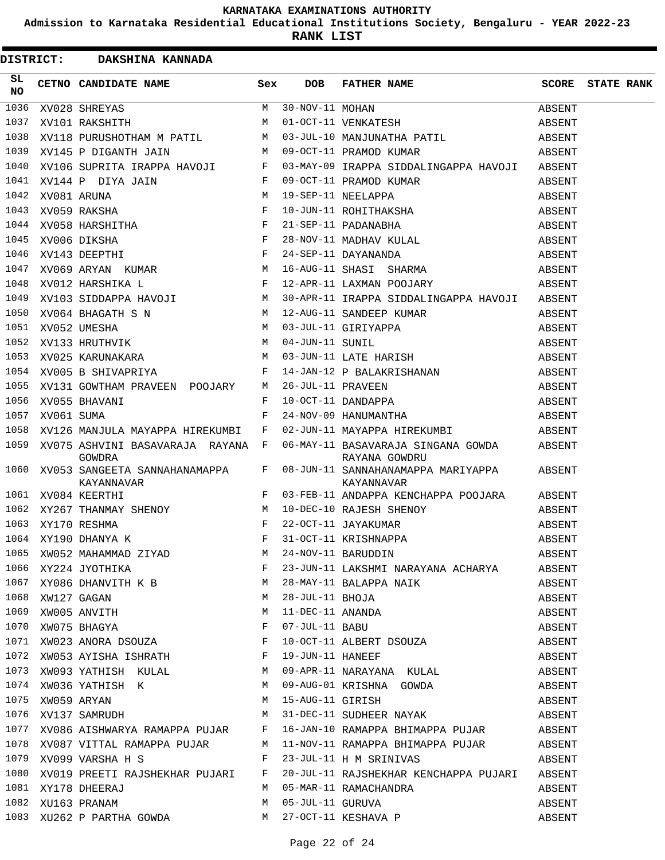**Admission to Karnataka Residential Educational Institutions Society, Bengaluru - YEAR 2022-23**

|                 |            | DISTRICT: DAKSHINA KANNADA                                       |         |                   |                                                                                                                                                                                                                                                                                                                                        |        |                         |
|-----------------|------------|------------------------------------------------------------------|---------|-------------------|----------------------------------------------------------------------------------------------------------------------------------------------------------------------------------------------------------------------------------------------------------------------------------------------------------------------------------------|--------|-------------------------|
| SL<br><b>NO</b> |            | CETNO CANDIDATE NAME Sex                                         |         | <b>DOB</b>        | FATHER NAME                                                                                                                                                                                                                                                                                                                            |        | <b>SCORE</b> STATE RANK |
| 1036            |            | $\begin{array}{c}\nM \\ M\n\end{array}$<br>XV028 SHREYAS         |         | M 30-NOV-11 MOHAN |                                                                                                                                                                                                                                                                                                                                        | ABSENT |                         |
| 1037            |            | XV101 RAKSHITH                                                   |         |                   | 30-NOV-11 MOHAN<br>01-OCT-11 VENKATESH                                                                                                                                                                                                                                                                                                 | ABSENT |                         |
| 1038            |            |                                                                  |         |                   |                                                                                                                                                                                                                                                                                                                                        | ABSENT |                         |
| 1039            |            |                                                                  |         |                   | XV118 PURUSHOTHAM M PATIL M 03-JUL-10 MANJUNATHA PATIL<br>XV145 P DIGANTH JAIN M 09-OCT-11 PRAMOD KUMAR                                                                                                                                                                                                                                | ABSENT |                         |
| 1040            |            | XV106 SUPRITA IRAPPA HAVOJI F                                    |         |                   | 03-MAY-09 IRAPPA SIDDALINGAPPA HAVOJI ABSENT                                                                                                                                                                                                                                                                                           |        |                         |
| 1041            |            |                                                                  |         |                   |                                                                                                                                                                                                                                                                                                                                        | ABSENT |                         |
| 1042            |            |                                                                  |         |                   |                                                                                                                                                                                                                                                                                                                                        | ABSENT |                         |
| 1043            |            |                                                                  |         |                   |                                                                                                                                                                                                                                                                                                                                        | ABSENT |                         |
| 1044            |            |                                                                  |         |                   |                                                                                                                                                                                                                                                                                                                                        | ABSENT |                         |
| 1045            |            |                                                                  |         |                   | XV108 SOFRITA IRAPPA HAVOUT FORMATION IRAPPA SIDDALINGAPPA HAVOUT<br>XV144 P DIYA JAIN F 09-OCT-11 PRAMOD KUMAR<br>XV059 RAKSHA F 10-JUN-11 ROHITHAKSHA<br>XV059 RAKSHITHA F 21-SEP-11 PADANABHA<br>XV066 DIKSHA F 28-NOV-11 MADHAV KU<br>19-SEP-11 NEELAPPA<br>10-JUN-11 ROHITHAKSHA<br>21-SEP-11 PADANABHA<br>28-NOV-11 MADHAV KULAL | ABSENT |                         |
| 1046            |            |                                                                  |         |                   |                                                                                                                                                                                                                                                                                                                                        | ABSENT |                         |
| 1047            |            |                                                                  |         |                   |                                                                                                                                                                                                                                                                                                                                        | ABSENT |                         |
| 1048            |            |                                                                  |         |                   | 12-APR-11 LAXMAN POOJARY                                                                                                                                                                                                                                                                                                               | ABSENT |                         |
| 1049            |            |                                                                  |         |                   |                                                                                                                                                                                                                                                                                                                                        |        |                         |
| 1050            |            |                                                                  |         |                   |                                                                                                                                                                                                                                                                                                                                        |        |                         |
| 1051            |            |                                                                  |         |                   | XV12 HANDIING L<br>XV103 SIDDAPPA HAVOJI M 30-APR-11 IRAPPA SIDDALINGAPPA HAVOJI ABSENT<br>XV064 BHAGATH S N M 12-AUG-11 SANDEEP KUMAR ABSENT<br>XV052 UMESHA M 03-JUL-11 GIRIYAPPA ABSENT<br>XV133 HRUTHVIK M 04-JUN-11 SUNIL ABSENT<br>                                                                                              |        |                         |
| 1052            |            |                                                                  |         |                   |                                                                                                                                                                                                                                                                                                                                        |        |                         |
| 1053            |            |                                                                  |         |                   |                                                                                                                                                                                                                                                                                                                                        |        |                         |
|                 |            | $\mathbf{F}$<br>1054 XV005 B SHIVAPRIYA                          |         |                   | 14-JAN-12 P BALAKRISHANAN<br>26-JUL-11 PRAVEEN<br>10-OCT-11 DANDAPPA<br>24-NOV-09 HANUMANTHA                                                                                                                                                                                                                                           | ABSENT |                         |
| 1055            |            | XV131 GOWTHAM PRAVEEN POOJARY                                    | M       |                   |                                                                                                                                                                                                                                                                                                                                        | ABSENT |                         |
| 1056            |            | XV055 BHAVANI                                                    | F       |                   |                                                                                                                                                                                                                                                                                                                                        | ABSENT |                         |
| 1057            | XV061 SUMA |                                                                  | F       |                   |                                                                                                                                                                                                                                                                                                                                        | ABSENT |                         |
| 1058            |            | XV126 MANJULA MAYAPPA HIREKUMBI F                                |         |                   | 02-JUN-11 MAYAPPA HIREKUMBI                                                                                                                                                                                                                                                                                                            | ABSENT |                         |
|                 |            | 1059 XV075 ASHVINI BASAVARAJA RAYANA F<br>GOWDRA                 |         |                   | 06-MAY-11 BASAVARAJA SINGANA GOWDA ABSENT<br>RAYANA GOWDRU                                                                                                                                                                                                                                                                             |        |                         |
|                 |            | 1060 XV053 SANGEETA SANNAHANAMAPPA<br>KAYANNAVAR<br>$\mathbf{F}$ | $F$ and |                   | 08-JUN-11 SANNAHANAMAPPA MARIYAPPA ABSENT<br>KAYANNAVAR                                                                                                                                                                                                                                                                                |        |                         |
|                 |            | 1061 XV084 KEERTHI                                               |         |                   | 03-FEB-11 ANDAPPA KENCHAPPA POOJARA ABSENT                                                                                                                                                                                                                                                                                             |        |                         |
|                 |            |                                                                  |         |                   |                                                                                                                                                                                                                                                                                                                                        | ABSENT |                         |
|                 |            |                                                                  |         |                   |                                                                                                                                                                                                                                                                                                                                        |        |                         |
|                 |            |                                                                  |         |                   |                                                                                                                                                                                                                                                                                                                                        |        |                         |
|                 |            |                                                                  |         |                   |                                                                                                                                                                                                                                                                                                                                        |        |                         |
|                 |            |                                                                  |         |                   |                                                                                                                                                                                                                                                                                                                                        |        |                         |
|                 |            |                                                                  |         |                   |                                                                                                                                                                                                                                                                                                                                        |        |                         |
|                 |            |                                                                  |         |                   |                                                                                                                                                                                                                                                                                                                                        | ABSENT |                         |
|                 |            |                                                                  |         |                   | 1068 XW127 GAGAN<br>1069 XW005 ANVITH M 11-DEC-11 ANANDA<br>1070 XW075 BHAGYA<br>1071 XW023 ANORA DSOUZA<br>F 10-OCT-11 ALBERT DSOUZA                                                                                                                                                                                                  | ABSENT |                         |
|                 |            |                                                                  |         |                   |                                                                                                                                                                                                                                                                                                                                        | ABSENT |                         |
|                 |            |                                                                  |         |                   |                                                                                                                                                                                                                                                                                                                                        | ABSENT |                         |
|                 |            | 1072 XW053 AYISHA ISHRATH BALL F 19-JUN-11 HANEEF                |         |                   | ABSENT                                                                                                                                                                                                                                                                                                                                 |        |                         |
|                 |            |                                                                  |         |                   | 1073 XWO93 YATHISH KULAL M 09-APR-11 NARAYANA KULAL ABSENT ABSENT<br>1074 XWO36 YATHISH K M 09-AUG-01 KRISHNA GOWDA ABSENT<br>1075 XWO59 ARYAN M 15-AUG-11 GIRISH M 15-AUG-11 M                                                                                                                                                        |        |                         |
|                 |            |                                                                  |         |                   |                                                                                                                                                                                                                                                                                                                                        |        |                         |
|                 |            |                                                                  |         |                   |                                                                                                                                                                                                                                                                                                                                        |        |                         |
|                 |            |                                                                  |         |                   | 1076 XV137 SAMRUDH M 31-DEC-11 SUDHEER NAYAK ABSENT                                                                                                                                                                                                                                                                                    |        |                         |
|                 |            |                                                                  |         |                   | 1077 XV086 AISHWARYA RAMAPPA PUJAR F 16-JAN-10 RAMAPPA BHIMAPPA PUJAR ABSENT                                                                                                                                                                                                                                                           |        |                         |
|                 |            |                                                                  |         |                   | 1078 XV087 VITTAL RAMAPPA PUJAR M 11-NOV-11 RAMAPPA BHIMAPPA PUJAR ABSENT                                                                                                                                                                                                                                                              |        |                         |
|                 |            |                                                                  |         |                   | 1079 XV099 VARSHA H S $F$ 23-JUL-11 H M SRINIVAS ABSENT                                                                                                                                                                                                                                                                                |        |                         |
|                 |            |                                                                  |         |                   | 1080 XV019 PREETI RAJSHEKHAR PUJARI F 20-JUL-11 RAJSHEKHAR KENCHAPPA PUJARI ABSENT                                                                                                                                                                                                                                                     |        |                         |
|                 |            |                                                                  |         |                   |                                                                                                                                                                                                                                                                                                                                        | ABSENT |                         |
|                 |            | 1081 XY178 DHEERAJ<br>1082 XU163 PRANAM                          |         |                   | M 05-MAR-11 RAMACHANDRA<br>M 05-JUL-11 GURUVA                                                                                                                                                                                                                                                                                          | ABSENT |                         |
|                 |            |                                                                  |         |                   | 1083 XU262 P PARTHA GOWDA M 27-OCT-11 KESHAVA P                                                                                                                                                                                                                                                                                        | ABSENT |                         |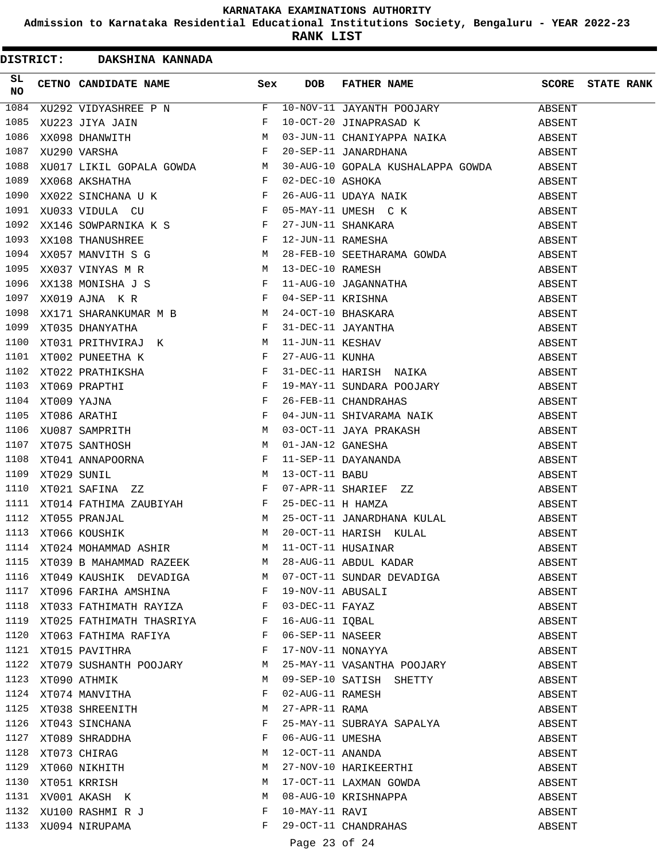**Admission to Karnataka Residential Educational Institutions Society, Bengaluru - YEAR 2022-23**

**RANK LIST**

|          | DISTRICT: DAKSHINA KANNADA              |                                                                                                                                                                                                                                                        |   |                   |                                                                                                                                                                                                                                                    |        |                         |
|----------|-----------------------------------------|--------------------------------------------------------------------------------------------------------------------------------------------------------------------------------------------------------------------------------------------------------|---|-------------------|----------------------------------------------------------------------------------------------------------------------------------------------------------------------------------------------------------------------------------------------------|--------|-------------------------|
| SL<br>NO |                                         | CETNO CANDIDATE NAME Sex                                                                                                                                                                                                                               |   | <b>DOB</b>        | FATHER NAME<br>NO CETNO CANDIDATE NAME<br>SEX DOB FATHER NAME<br>1084 XU292 VIDYASHEKE P N F 10-NOV-11 JAYANTH POOJARY P<br>1084 XU292 VIDYASHEKE P N F 10-OCT-20 JINAPRASAD K<br>1086 XXOSB DKANNITH N 603-JUN-11 CHANIYAPPA NAIKA F 20-SEP-11 JA |        | <b>SCORE STATE RANK</b> |
|          |                                         |                                                                                                                                                                                                                                                        |   |                   |                                                                                                                                                                                                                                                    | ABSENT |                         |
|          |                                         |                                                                                                                                                                                                                                                        |   |                   |                                                                                                                                                                                                                                                    | ABSENT |                         |
|          |                                         |                                                                                                                                                                                                                                                        |   |                   |                                                                                                                                                                                                                                                    |        |                         |
|          |                                         |                                                                                                                                                                                                                                                        |   |                   |                                                                                                                                                                                                                                                    |        |                         |
|          |                                         |                                                                                                                                                                                                                                                        |   |                   | 30-AUG-10 GOPALA KUSHALAPPA GOWDA ABSENT                                                                                                                                                                                                           |        |                         |
|          |                                         |                                                                                                                                                                                                                                                        |   |                   |                                                                                                                                                                                                                                                    | ABSENT |                         |
|          |                                         |                                                                                                                                                                                                                                                        |   |                   |                                                                                                                                                                                                                                                    | ABSENT |                         |
|          |                                         |                                                                                                                                                                                                                                                        |   |                   |                                                                                                                                                                                                                                                    | ABSENT |                         |
|          |                                         |                                                                                                                                                                                                                                                        |   |                   |                                                                                                                                                                                                                                                    | ABSENT |                         |
|          |                                         |                                                                                                                                                                                                                                                        |   |                   |                                                                                                                                                                                                                                                    | ABSENT |                         |
|          |                                         |                                                                                                                                                                                                                                                        |   |                   |                                                                                                                                                                                                                                                    | ABSENT |                         |
|          |                                         |                                                                                                                                                                                                                                                        |   |                   |                                                                                                                                                                                                                                                    | ABSENT |                         |
|          |                                         |                                                                                                                                                                                                                                                        |   |                   |                                                                                                                                                                                                                                                    | ABSENT |                         |
|          |                                         |                                                                                                                                                                                                                                                        |   |                   |                                                                                                                                                                                                                                                    | ABSENT |                         |
|          |                                         |                                                                                                                                                                                                                                                        |   |                   |                                                                                                                                                                                                                                                    | ABSENT |                         |
|          |                                         |                                                                                                                                                                                                                                                        |   |                   |                                                                                                                                                                                                                                                    | ABSENT |                         |
|          |                                         |                                                                                                                                                                                                                                                        |   |                   |                                                                                                                                                                                                                                                    | ABSENT |                         |
|          |                                         |                                                                                                                                                                                                                                                        |   |                   |                                                                                                                                                                                                                                                    | ABSENT |                         |
|          |                                         |                                                                                                                                                                                                                                                        |   |                   |                                                                                                                                                                                                                                                    | ABSENT |                         |
| 1103     |                                         |                                                                                                                                                                                                                                                        |   |                   |                                                                                                                                                                                                                                                    |        |                         |
| 1104     |                                         |                                                                                                                                                                                                                                                        |   |                   |                                                                                                                                                                                                                                                    |        |                         |
| 1105     |                                         |                                                                                                                                                                                                                                                        |   |                   | 04-JUN-11 SHIVARAMA NAIK                                                                                                                                                                                                                           | ABSENT |                         |
| 1106     |                                         |                                                                                                                                                                                                                                                        |   |                   |                                                                                                                                                                                                                                                    |        |                         |
| 1107     |                                         |                                                                                                                                                                                                                                                        |   |                   |                                                                                                                                                                                                                                                    |        |                         |
| 1108     |                                         | XTOO2 PUNEETHA K<br>XTOO2 PRATHIKSHA<br>XTOO9 PRAPTHI F<br>XTOO9 YAJNA F<br>XTOO6 ARATHI F F F<br>XTOO6 ARATHI F F F<br>XTOO6 ARATHI F M<br>XTOO5 SANTHOSH M<br>XTOO1 ANNAPOORNA F F<br>XTOO2 SUNIL<br>XTOO2 SUNIL M<br>XTOO2 SUNIL M<br>XTOO2 SUNIL M |   |                   | 03-000-11 SHIVARAMA NAIR<br>03-000-11 JAYA PRAKASH<br>01-JAN-12 GANESHA<br>11-SEP-11 DAYANANDA<br>13-000-11 BABU<br>07-APR-11 SHARIEF<br>25-DEC-11 H HAMZA<br>25-000-11 JANARDHANA KULAL<br>26-000-11 JANARDHANA KULAL<br>26-000-11 JANARDHANA K   |        |                         |
| 1109     |                                         |                                                                                                                                                                                                                                                        |   |                   |                                                                                                                                                                                                                                                    |        |                         |
| 1110     |                                         |                                                                                                                                                                                                                                                        |   |                   |                                                                                                                                                                                                                                                    |        |                         |
| 1111     |                                         | XT014 FATHIMA ZAUBIYAH $F$ 25-DEC-11 H HAMZA                                                                                                                                                                                                           |   |                   |                                                                                                                                                                                                                                                    |        |                         |
| 1112     | XT055 PRANJAL                           |                                                                                                                                                                                                                                                        |   |                   |                                                                                                                                                                                                                                                    |        |                         |
|          | 1113 XT066 KOUSHIK                      | $\begin{array}{c}\n M \\  M\n \end{array}$                                                                                                                                                                                                             |   |                   | 20-OCT-11 HARISH KULAL                                                                                                                                                                                                                             | ABSENT |                         |
|          |                                         |                                                                                                                                                                                                                                                        |   |                   | 1114 XT024 MOHAMMAD ASHIR                 M   11-OCT-11 HUSAINAR<br>1115 XT039 B MAHAMMAD RAZEEK             M   28-AUG-11 ABDUL KADAR                                                                                                             | ABSENT |                         |
|          |                                         |                                                                                                                                                                                                                                                        |   |                   |                                                                                                                                                                                                                                                    | ABSENT |                         |
|          |                                         |                                                                                                                                                                                                                                                        |   |                   | 1116 XT049 KAUSHIK DEVADIGA M 07-OCT-11 SUNDAR DEVADIGA                                                                                                                                                                                            | ABSENT |                         |
|          |                                         | 1117 XT096 FARIHA AMSHINA F                                                                                                                                                                                                                            |   | 19-NOV-11 ABUSALI |                                                                                                                                                                                                                                                    | ABSENT |                         |
|          |                                         | 1118 XT033 FATHIMATH RAYIZA F                                                                                                                                                                                                                          |   | 03-DEC-11 FAYAZ   |                                                                                                                                                                                                                                                    | ABSENT |                         |
|          |                                         |                                                                                                                                                                                                                                                        |   |                   |                                                                                                                                                                                                                                                    | ABSENT |                         |
|          |                                         | XT063 FATHIMA RAFIYA F                                                                                                                                                                                                                                 |   |                   | 1119 XTO25 FATHIMATH THASRIYA                F   16-AUG-11 IQBAL<br>1120 XTO63 FATHIMA RAFIYA                         F   06-SEP-11 NASEER                                                                                                         | ABSENT |                         |
| 1121     | XT015 PAVITHRA                          | $\mathbf{F}$                                                                                                                                                                                                                                           |   |                   | 17-NOV-11 NONAYYA                                                                                                                                                                                                                                  | ABSENT |                         |
|          |                                         | 1122 XT079 SUSHANTH POOJARY M                                                                                                                                                                                                                          |   |                   | 25-MAY-11 VASANTHA POOJARY                                                                                                                                                                                                                         | ABSENT |                         |
|          | 1123 XT090 ATHMIK                       |                                                                                                                                                                                                                                                        | M |                   | 09-SEP-10 SATISH SHETTY                                                                                                                                                                                                                            | ABSENT |                         |
|          |                                         | 1124 XT074 MANVITHA                                                                                                                                                                                                                                    | F |                   | 02-AUG-11 RAMESH                                                                                                                                                                                                                                   | ABSENT |                         |
|          |                                         | 1125 XT038 SHREENITH                                                                                                                                                                                                                                   | M | 27-APR-11 RAMA    |                                                                                                                                                                                                                                                    | ABSENT |                         |
|          |                                         |                                                                                                                                                                                                                                                        | F |                   | 25-MAY-11 SUBRAYA SAPALYA                                                                                                                                                                                                                          | ABSENT |                         |
|          |                                         | 1126 XT043 SINCHANA<br>1127 XT089 SHRADDHA                                                                                                                                                                                                             | F |                   | 06-AUG-11 UMESHA                                                                                                                                                                                                                                   | ABSENT |                         |
| 1128     | XT073 CHIRAG                            |                                                                                                                                                                                                                                                        | М |                   | 12-OCT-11 ANANDA                                                                                                                                                                                                                                   | ABSENT |                         |
| 1129     |                                         | XT060 NIKHITH                                                                                                                                                                                                                                          | M |                   | 27-NOV-10 HARIKEERTHI                                                                                                                                                                                                                              | ABSENT |                         |
|          |                                         |                                                                                                                                                                                                                                                        | M |                   | 17-OCT-11 LAXMAN GOWDA                                                                                                                                                                                                                             | ABSENT |                         |
|          | 1130 XT051 KRRISH<br>1131 XV001 AKASH K |                                                                                                                                                                                                                                                        | M |                   | 08-AUG-10 KRISHNAPPA<br>10-MAY-11 RAVI                                                                                                                                                                                                             | ABSENT |                         |
|          |                                         | 1132 XU100 RASHMI R J                                                                                                                                                                                                                                  | F | 10-MAY-11 RAVI    |                                                                                                                                                                                                                                                    | ABSENT |                         |
|          | 1133 XU094 NIRUPAMA                     |                                                                                                                                                                                                                                                        | F |                   | 29-OCT-11 CHANDRAHAS                                                                                                                                                                                                                               | ABSENT |                         |
|          |                                         |                                                                                                                                                                                                                                                        |   |                   |                                                                                                                                                                                                                                                    |        |                         |

Page 23 of 24